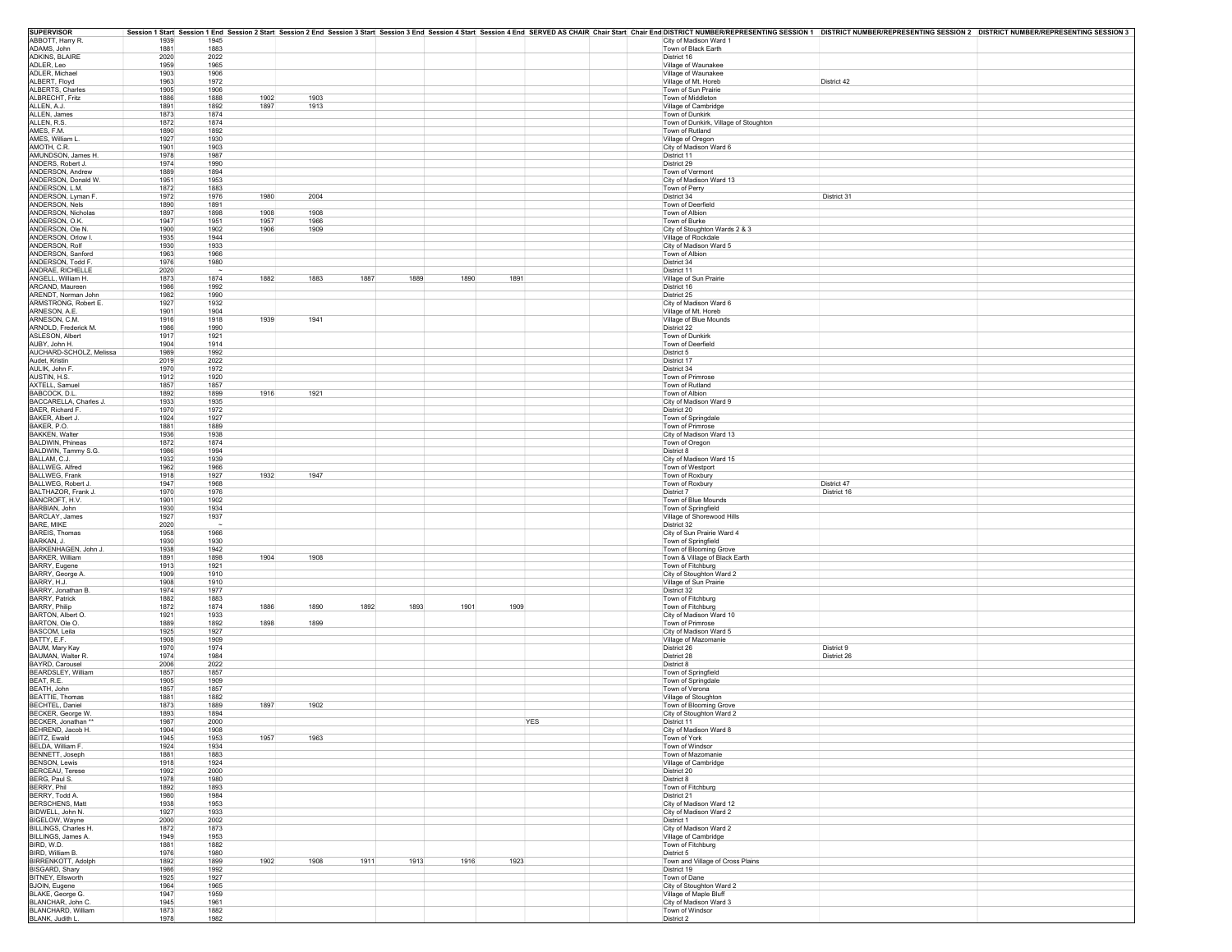| <b>SUPERVISOR</b>                    |              |                              |              |      |      |      |      |            |  |                                                | Session 1 Start Session 1 End Session 2 Start Session 2 End Session 3 Start Session 3 End Session 4 Start Session 4 Start Session 4 Start Session 4 Start Session 3 End Session 4 Start Session 4 Start Session 4 Start Sessio |
|--------------------------------------|--------------|------------------------------|--------------|------|------|------|------|------------|--|------------------------------------------------|--------------------------------------------------------------------------------------------------------------------------------------------------------------------------------------------------------------------------------|
| ABBOTT, Harry R.                     | 1939         | 1945                         |              |      |      |      |      |            |  | City of Madison Ward 1                         |                                                                                                                                                                                                                                |
| ADAMS, John                          | 1881         | 1883                         |              |      |      |      |      |            |  | Town of Black Earth                            |                                                                                                                                                                                                                                |
| <b>ADKINS, BLAIRE</b><br>ADLER, Leo  | 2020<br>1959 | 2022<br>1965                 |              |      |      |      |      |            |  | District 16<br>Village of Waunakee             |                                                                                                                                                                                                                                |
| ADLER, Michae                        | 1903         | 1906                         |              |      |      |      |      |            |  | Village of Waunakee                            |                                                                                                                                                                                                                                |
| ALBERT, Floyd                        | 1963         | 1972                         |              |      |      |      |      |            |  | Village of Mt. Horeb                           | District 42                                                                                                                                                                                                                    |
| ALBERTS, Charles                     | 1905         | 1906                         |              |      |      |      |      |            |  | Town of Sun Prairie                            |                                                                                                                                                                                                                                |
| ALBRECHT, Fritz                      | 1886         | 1888<br>1902                 | 1903         |      |      |      |      |            |  | Town of Middleton                              |                                                                                                                                                                                                                                |
| ALLEN, A.J.                          | 1891         | 1897<br>1892                 | 1913         |      |      |      |      |            |  | Village of Cambridge                           |                                                                                                                                                                                                                                |
| ALLEN, James                         | 1873         | 1874                         |              |      |      |      |      |            |  | Town of Dunkirk                                |                                                                                                                                                                                                                                |
| ALLEN, R.S.                          | 1872         | 1874                         |              |      |      |      |      |            |  | Town of Dunkirk, Village of Stoughton          |                                                                                                                                                                                                                                |
| AMES, F.M.                           | 1890         | 1892                         |              |      |      |      |      |            |  | Town of Rutland                                |                                                                                                                                                                                                                                |
| AMES, William L.                     | 1927         | 1930                         |              |      |      |      |      |            |  | Village of Oregon                              |                                                                                                                                                                                                                                |
| AMOTH, C.R.                          | 1901         | 1903                         |              |      |      |      |      |            |  | City of Madison Ward 6                         |                                                                                                                                                                                                                                |
| AMUNDSON, James H.                   | 1978         | 1987                         |              |      |      |      |      |            |  | District 11                                    |                                                                                                                                                                                                                                |
| ANDERS, Robert J.                    | 1974         | 1990                         |              |      |      |      |      |            |  | District 29                                    |                                                                                                                                                                                                                                |
| ANDERSON, Andrew                     | 1889         | 1894                         |              |      |      |      |      |            |  | Town of Vermont                                |                                                                                                                                                                                                                                |
| ANDERSON, Donald W.                  | 1951         | 1953                         |              |      |      |      |      |            |  | City of Madison Ward 13                        |                                                                                                                                                                                                                                |
| ANDERSON, L.M.                       | 1872         | 1883                         |              |      |      |      |      |            |  | Town of Perry                                  |                                                                                                                                                                                                                                |
| ANDERSON, Lyman F.                   | 1972         | 1976<br>1980                 | 2004         |      |      |      |      |            |  | District 34                                    | District 31                                                                                                                                                                                                                    |
| ANDERSON, Nels                       | 1890         | 1891                         |              |      |      |      |      |            |  | Town of Deerfield                              |                                                                                                                                                                                                                                |
| ANDERSON, Nicholas<br>ANDERSON, O.K. | 1897         | 1898<br>1908<br>1951<br>1957 | 1908         |      |      |      |      |            |  | Town of Albion                                 |                                                                                                                                                                                                                                |
| ANDERSON, Ole N.                     | 1947<br>1900 | 1906<br>1902                 | 1966<br>1909 |      |      |      |      |            |  | Town of Burke<br>City of Stoughton Wards 2 & 3 |                                                                                                                                                                                                                                |
| ANDERSON, Orlow I                    | 1935         | 1944                         |              |      |      |      |      |            |  |                                                |                                                                                                                                                                                                                                |
| ANDERSON, Rolf                       | 1930         | 1933                         |              |      |      |      |      |            |  | Village of Rockdale<br>City of Madison Ward 5  |                                                                                                                                                                                                                                |
| ANDERSON, Sanford                    | 1963         | 1966                         |              |      |      |      |      |            |  | Town of Albion                                 |                                                                                                                                                                                                                                |
| ANDERSON, Todd F                     | 1976         | 1980                         |              |      |      |      |      |            |  | District 34                                    |                                                                                                                                                                                                                                |
| ANDRAE, RICHELLE                     | 2020         |                              |              |      |      |      |      |            |  | District 11                                    |                                                                                                                                                                                                                                |
| ANGELL, William H.                   | 1873         | 1882<br>1874                 | 1883         | 1887 | 1889 | 1890 | 1891 |            |  | Village of Sun Prairie                         |                                                                                                                                                                                                                                |
| ARCAND, Maureen                      | 1986         | 1992                         |              |      |      |      |      |            |  | District 16                                    |                                                                                                                                                                                                                                |
| ARENDT. Norman John                  | 1982         | 1990                         |              |      |      |      |      |            |  | District 25                                    |                                                                                                                                                                                                                                |
| ARMSTRONG, Robert E.                 | 1927         | 1932                         |              |      |      |      |      |            |  | City of Madison Ward 6                         |                                                                                                                                                                                                                                |
| ARNESON, A.E.                        | 1901         | 1904                         |              |      |      |      |      |            |  | Village of Mt. Horeb                           |                                                                                                                                                                                                                                |
| ARNESON, C.M.                        | 1916         | 1918<br>1939                 | 1941         |      |      |      |      |            |  | Village of Blue Mounds                         |                                                                                                                                                                                                                                |
| ARNOLD, Frederick M.                 | 1986         | 1990                         |              |      |      |      |      |            |  | District 22                                    |                                                                                                                                                                                                                                |
| ASLESON, Albert                      | 1917         | 1921                         |              |      |      |      |      |            |  | Town of Dunkirk                                |                                                                                                                                                                                                                                |
| AUBY, John H.                        | 1904         | 1914                         |              |      |      |      |      |            |  | Town of Deerfield                              |                                                                                                                                                                                                                                |
| AUCHARD-SCHOLZ, Melissa              | 1989         | 1992                         |              |      |      |      |      |            |  | District 5                                     |                                                                                                                                                                                                                                |
| Audet, Kristin                       | 2019         | 2022                         |              |      |      |      |      |            |  | District 17                                    |                                                                                                                                                                                                                                |
| AULIK, John F                        | 1970         | 1972                         |              |      |      |      |      |            |  | District 34                                    |                                                                                                                                                                                                                                |
| AUSTIN, H.S.                         | 1912         | 1920                         |              |      |      |      |      |            |  | Town of Primrose                               |                                                                                                                                                                                                                                |
| AXTELL, Samuel                       | 1857         | 1857                         |              |      |      |      |      |            |  | Town of Rutland                                |                                                                                                                                                                                                                                |
| BABCOCK, D.L.                        | 1892         | 1916<br>1899                 | 1921         |      |      |      |      |            |  | Town of Albion                                 |                                                                                                                                                                                                                                |
| BACCARELLA, Charles J.               | 1933         | 1935                         |              |      |      |      |      |            |  | City of Madison Ward 9                         |                                                                                                                                                                                                                                |
| BAER, Richard F.                     | 1970         | 1972                         |              |      |      |      |      |            |  | District 20                                    |                                                                                                                                                                                                                                |
| BAKER, Albert J.                     | 1924         | 1927                         |              |      |      |      |      |            |  | Town of Springdale                             |                                                                                                                                                                                                                                |
| BAKER, P.O.<br><b>BAKKEN, Walter</b> | 1881<br>1936 | 1889<br>1938                 |              |      |      |      |      |            |  | Town of Primrose<br>City of Madison Ward 13    |                                                                                                                                                                                                                                |
| BALDWIN, Phineas                     | 1872         | 1874                         |              |      |      |      |      |            |  | Town of Oregon                                 |                                                                                                                                                                                                                                |
|                                      | 1986         | 1994                         |              |      |      |      |      |            |  | District 8                                     |                                                                                                                                                                                                                                |
| BALDWIN, Tammy S.G.<br>BALLAM, C.J.  | 1932         | 1939                         |              |      |      |      |      |            |  | City of Madison Ward 15                        |                                                                                                                                                                                                                                |
| BALLWEG, Alfred                      | 1962         | 1966                         |              |      |      |      |      |            |  | Town of Westport                               |                                                                                                                                                                                                                                |
| BALLWEG, Frank                       | 1918         | 1927<br>1932                 | 1947         |      |      |      |      |            |  | Town of Roxbury                                |                                                                                                                                                                                                                                |
| <b>BALLWEG. Robert J</b>             | 1947         | 1968                         |              |      |      |      |      |            |  | Town of Roxbury                                | District 47                                                                                                                                                                                                                    |
| BALTHAZOR, Frank J.                  | 1970         | 1976                         |              |      |      |      |      |            |  | District 7                                     | District 16                                                                                                                                                                                                                    |
| BANCROFT, H.V.                       | 1901         | 1902                         |              |      |      |      |      |            |  | Town of Blue Mounds                            |                                                                                                                                                                                                                                |
| BARBIAN, John                        | 1930         | 1934                         |              |      |      |      |      |            |  | Town of Springfield                            |                                                                                                                                                                                                                                |
| <b>BARCLAY, James</b>                | 1927         | 1937                         |              |      |      |      |      |            |  | Village of Shorewood Hills                     |                                                                                                                                                                                                                                |
| BARE, MIKE                           | 2020         |                              |              |      |      |      |      |            |  | District 32                                    |                                                                                                                                                                                                                                |
| <b>BAREIS. Thomas</b>                | 1958         | 1966                         |              |      |      |      |      |            |  | City of Sun Prairie Ward 4                     |                                                                                                                                                                                                                                |
| BARKAN, J.                           | 1930         | 1930                         |              |      |      |      |      |            |  | Town of Springfield                            |                                                                                                                                                                                                                                |
| BARKENHAGEN, John J.                 | 1938         | 1942                         |              |      |      |      |      |            |  | Town of Blooming Grove                         |                                                                                                                                                                                                                                |
| BARKER, William                      | 1891         | 1904<br>1898                 | 1908         |      |      |      |      |            |  | Town & Village of Black Earth                  |                                                                                                                                                                                                                                |
| BARRY, Eugene                        | 1913         | 1921                         |              |      |      |      |      |            |  | Town of Fitchburg                              |                                                                                                                                                                                                                                |
| BARRY, George A.                     | 1909         | 1910                         |              |      |      |      |      |            |  | City of Stoughton Ward 2                       |                                                                                                                                                                                                                                |
| BARRY, H.J.                          | 1908         | 1910                         |              |      |      |      |      |            |  | Village of Sun Prairie                         |                                                                                                                                                                                                                                |
| BARRY, Jonathan B                    | 1974         | 1977                         |              |      |      |      |      |            |  | District 32                                    |                                                                                                                                                                                                                                |
| BARRY, Patrick<br>BARRY, Philip      | 1882<br>1872 | 1883<br>1874<br>1886         | 1890         | 1892 | 1893 | 1901 | 1909 |            |  | Town of Fitchburg<br>Town of Fitchburg         |                                                                                                                                                                                                                                |
|                                      |              |                              |              |      |      |      |      |            |  |                                                |                                                                                                                                                                                                                                |
| BARTON, Albert O.<br>BARTON, Ole O.  | 1921<br>1889 | 1933<br>1892<br>1898         | 1899         |      |      |      |      |            |  | City of Madison Ward 10<br>Town of Primrose    |                                                                                                                                                                                                                                |
| BASCOM, Leila                        | 1925         | 1927                         |              |      |      |      |      |            |  | City of Madison Ward 5                         |                                                                                                                                                                                                                                |
| BATTY, E.F.                          | 1908         | 1909                         |              |      |      |      |      |            |  | Village of Mazomanie                           |                                                                                                                                                                                                                                |
| BAUM, Mary Kay                       | 1970         | 1974                         |              |      |      |      |      |            |  | District 26                                    | District 9                                                                                                                                                                                                                     |
| <b>BAUMAN, Walter R</b>              | 1974         | 1984                         |              |      |      |      |      |            |  | District 28                                    | District 26                                                                                                                                                                                                                    |
| BAYRD, Carousel                      | 2006         | 2022                         |              |      |      |      |      |            |  | District 8                                     |                                                                                                                                                                                                                                |
| BEARDSLEY, William                   | 1857         | 1857                         |              |      |      |      |      |            |  | Town of Springfield                            |                                                                                                                                                                                                                                |
| BEAT, R.E.                           | 1905         | 1909                         |              |      |      |      |      |            |  | Town of Springdale                             |                                                                                                                                                                                                                                |
| BEATH, John                          | 1857         | 1857                         |              |      |      |      |      |            |  | Town of Verona                                 |                                                                                                                                                                                                                                |
| <b>BEATTIE, Thomas</b>               | 1881         | 1882                         |              |      |      |      |      |            |  | Village of Stoughton                           |                                                                                                                                                                                                                                |
| <b>BECHTEL, Daniel</b>               | 1873         | 1897<br>1889                 | 1902         |      |      |      |      |            |  | Town of Blooming Grove                         |                                                                                                                                                                                                                                |
| BECKER, George W.                    | 1893         | 1894                         |              |      |      |      |      |            |  | City of Stoughton Ward 2                       |                                                                                                                                                                                                                                |
| BECKER, Jonathan *                   | 1987         | 2000                         |              |      |      |      |      | <b>YES</b> |  | District 11                                    |                                                                                                                                                                                                                                |
| BEHREND, Jacob H.                    | 1904         | 1908                         |              |      |      |      |      |            |  | City of Madison Ward 8                         |                                                                                                                                                                                                                                |
| BEITZ, Ewald                         | 1945         | 1953<br>1957                 | 1963         |      |      |      |      |            |  | Town of York                                   |                                                                                                                                                                                                                                |
| BELDA, William F.                    | 1924         | 1934                         |              |      |      |      |      |            |  | Town of Windsor                                |                                                                                                                                                                                                                                |
| BENNETT, Joseph                      | 1881         | 1883                         |              |      |      |      |      |            |  | Town of Mazomanie                              |                                                                                                                                                                                                                                |
| <b>BENSON, Lewis</b>                 | 1918         | 1924                         |              |      |      |      |      |            |  | Village of Cambridge                           |                                                                                                                                                                                                                                |
| BERCEAU, Terese<br>BERG, Paul S.     | 1992<br>1978 | 2000<br>1980                 |              |      |      |      |      |            |  | District 20<br>District 8                      |                                                                                                                                                                                                                                |
| BERRY, Phil                          | 1892         | 1893                         |              |      |      |      |      |            |  | Town of Fitchburg                              |                                                                                                                                                                                                                                |
| BERRY, Todd A.                       | 1980         | 1984                         |              |      |      |      |      |            |  | District 21                                    |                                                                                                                                                                                                                                |
| BERSCHENS, Matt                      | 1938         | 1953                         |              |      |      |      |      |            |  | City of Madison Ward 12                        |                                                                                                                                                                                                                                |
| BIDWELL, John N.                     | 1927         | 1933                         |              |      |      |      |      |            |  | City of Madison Ward 2                         |                                                                                                                                                                                                                                |
| BIGELOW, Wayne                       | 2000         | 2002                         |              |      |      |      |      |            |  | District 1                                     |                                                                                                                                                                                                                                |
| BILLINGS, Charles H.                 | 1872         | 1873                         |              |      |      |      |      |            |  | City of Madison Ward 2                         |                                                                                                                                                                                                                                |
| BILLINGS, James A.                   | 1949         | 1953                         |              |      |      |      |      |            |  | Village of Cambridge                           |                                                                                                                                                                                                                                |
| BIRD, W.D.                           | 1881         | 1882                         |              |      |      |      |      |            |  | Town of Fitchburg                              |                                                                                                                                                                                                                                |
| BIRD, William B.                     | 1976         | 1980                         |              |      |      |      |      |            |  | District 5                                     |                                                                                                                                                                                                                                |
| <b>BIRRENKOTT, Adolph</b>            | 1892         | 1902<br>1899                 | 1908         | 1911 | 1913 | 1916 | 1923 |            |  | Town and Village of Cross Plains               |                                                                                                                                                                                                                                |
| BISGARD, Shary                       | 1986         | 1992                         |              |      |      |      |      |            |  | District 19                                    |                                                                                                                                                                                                                                |
| BITNEY, Ellsworth                    | 1925         | 1927                         |              |      |      |      |      |            |  | Town of Dane                                   |                                                                                                                                                                                                                                |
| BJOIN, Eugene                        | 1964         | 1965                         |              |      |      |      |      |            |  | City of Stoughton Ward 2                       |                                                                                                                                                                                                                                |
| BLAKE, George G.                     | 1947         | 1959                         |              |      |      |      |      |            |  | Village of Maple Bluff                         |                                                                                                                                                                                                                                |
| BLANCHAR, John C.                    | 1945         | 1961                         |              |      |      |      |      |            |  | City of Madison Ward 3                         |                                                                                                                                                                                                                                |
| BLANCHARD, William                   | 1873         | 1882                         |              |      |      |      |      |            |  | Town of Windsor                                |                                                                                                                                                                                                                                |
| BLANK, Judith L.                     | 1978         | 1982                         |              |      |      |      |      |            |  | District 2                                     |                                                                                                                                                                                                                                |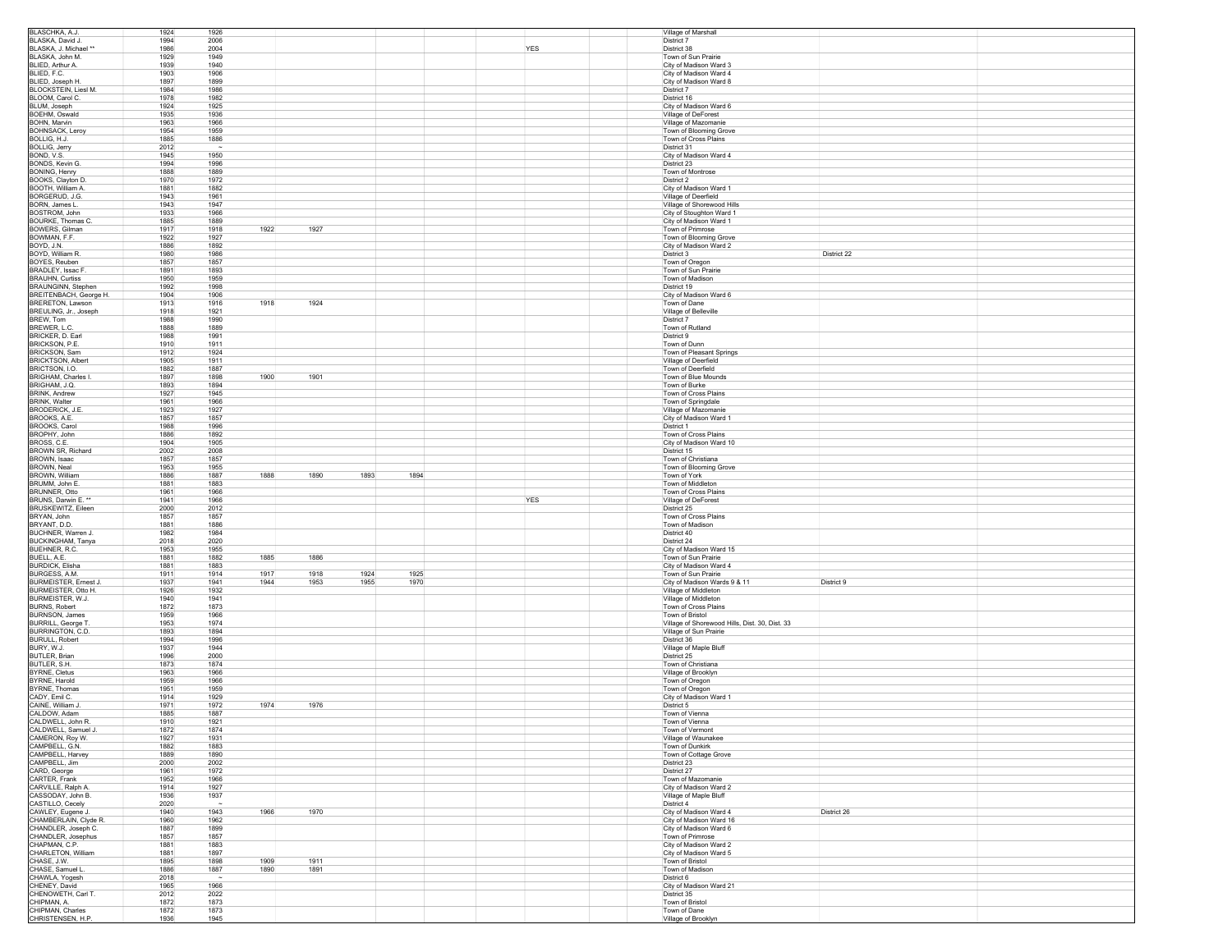| BLASCHKA, A.J.                                                                                                                                                                                                                                                                                                                                                                                                                                                                                                                                                                                              | 1924         | 1926                                  |      |              |            | Village of Marshall                              |             |
|-------------------------------------------------------------------------------------------------------------------------------------------------------------------------------------------------------------------------------------------------------------------------------------------------------------------------------------------------------------------------------------------------------------------------------------------------------------------------------------------------------------------------------------------------------------------------------------------------------------|--------------|---------------------------------------|------|--------------|------------|--------------------------------------------------|-------------|
| BLASKA, David J.                                                                                                                                                                                                                                                                                                                                                                                                                                                                                                                                                                                            | 1994         | 2006                                  |      |              |            | District 7                                       |             |
| BLASKA, J. Michael **                                                                                                                                                                                                                                                                                                                                                                                                                                                                                                                                                                                       | 1986         | 2004                                  |      |              | YES        | District 38                                      |             |
| BLASKA, John M.                                                                                                                                                                                                                                                                                                                                                                                                                                                                                                                                                                                             | 1929         | 1949                                  |      |              |            | Town of Sun Prairie                              |             |
| BLIED, Arthur A.                                                                                                                                                                                                                                                                                                                                                                                                                                                                                                                                                                                            | 1939         | 1940                                  |      |              |            | City of Madison Ward 3                           |             |
| BLIED, F.C.                                                                                                                                                                                                                                                                                                                                                                                                                                                                                                                                                                                                 | 1903         | 1906                                  |      |              |            | City of Madison Ward 4                           |             |
| BLIED, Joseph H.                                                                                                                                                                                                                                                                                                                                                                                                                                                                                                                                                                                            | 1897         | 1899                                  |      |              |            | City of Madison Ward 8                           |             |
| BLOCKSTEIN, Liesl M.                                                                                                                                                                                                                                                                                                                                                                                                                                                                                                                                                                                        | 1984         | 1986                                  |      |              |            | District 7                                       |             |
| BLOOM, Carol C.                                                                                                                                                                                                                                                                                                                                                                                                                                                                                                                                                                                             | 1978         | 1982                                  |      |              |            | District 16                                      |             |
| BLUM, Joseph                                                                                                                                                                                                                                                                                                                                                                                                                                                                                                                                                                                                | 1924         | 1925                                  |      |              |            | City of Madison Ward 6                           |             |
| BOEHM, Oswald                                                                                                                                                                                                                                                                                                                                                                                                                                                                                                                                                                                               | 1935         | 1936                                  |      |              |            | Village of DeForest                              |             |
| BOHN, Marvin                                                                                                                                                                                                                                                                                                                                                                                                                                                                                                                                                                                                | 1963         | 1966                                  |      |              |            | Village of Mazomanie                             |             |
| <b>BOHNSACK, Leroy</b>                                                                                                                                                                                                                                                                                                                                                                                                                                                                                                                                                                                      | 1954         | 1959                                  |      |              |            | Town of Blooming Grove                           |             |
| BOLLIG, H.J.<br><b>BOLLIG, Jerry</b>                                                                                                                                                                                                                                                                                                                                                                                                                                                                                                                                                                        | 1885<br>2012 | 1886<br>$\sim$                        |      |              |            | Town of Cross Plains<br>District 31              |             |
| BOND, V.S.                                                                                                                                                                                                                                                                                                                                                                                                                                                                                                                                                                                                  | 1945         | 1950                                  |      |              |            | City of Madison Ward 4                           |             |
| BONDS, Kevin G.                                                                                                                                                                                                                                                                                                                                                                                                                                                                                                                                                                                             | 1994         | 1996                                  |      |              |            | District 23                                      |             |
| BONING, Henry                                                                                                                                                                                                                                                                                                                                                                                                                                                                                                                                                                                               | 1888         | 1889                                  |      |              |            | Town of Montrose                                 |             |
| BOOKS, Clayton D.                                                                                                                                                                                                                                                                                                                                                                                                                                                                                                                                                                                           | 1970         | 1972                                  |      |              |            | District 2                                       |             |
| BOOTH, William A.                                                                                                                                                                                                                                                                                                                                                                                                                                                                                                                                                                                           | 1881         | 1882                                  |      |              |            | City of Madison Ward 1                           |             |
| BORGERUD, J.G.                                                                                                                                                                                                                                                                                                                                                                                                                                                                                                                                                                                              | 1943         | 1961                                  |      |              |            | Village of Deerfield                             |             |
| <b>BORN, James L.</b>                                                                                                                                                                                                                                                                                                                                                                                                                                                                                                                                                                                       | 1943         | 1947                                  |      |              |            | Village of Shorewood Hills                       |             |
| BOSTROM, John                                                                                                                                                                                                                                                                                                                                                                                                                                                                                                                                                                                               | 1933         | 1966                                  |      |              |            | City of Stoughton Ward 1                         |             |
| BOURKE. Thomas C.                                                                                                                                                                                                                                                                                                                                                                                                                                                                                                                                                                                           | 1885         | 1889                                  |      |              |            | City of Madison Ward 1                           |             |
| BOWERS, Gilman                                                                                                                                                                                                                                                                                                                                                                                                                                                                                                                                                                                              | 1917         | 1918<br>1922                          | 1927 |              |            | Town of Primrose                                 |             |
| BOWMAN, F.F.                                                                                                                                                                                                                                                                                                                                                                                                                                                                                                                                                                                                | 1922         | 1927                                  |      |              |            | Town of Blooming Grove                           |             |
| BOYD, J.N.                                                                                                                                                                                                                                                                                                                                                                                                                                                                                                                                                                                                  | 1886         | 1892                                  |      |              |            | City of Madison Ward 2                           |             |
| BOYD, William R.                                                                                                                                                                                                                                                                                                                                                                                                                                                                                                                                                                                            | 1980         | 1986                                  |      |              |            | District 3                                       | District 22 |
| BOYES, Reuben                                                                                                                                                                                                                                                                                                                                                                                                                                                                                                                                                                                               | 1857         | 1857                                  |      |              |            | Town of Oregon                                   |             |
| BRADLEY, Issac F.                                                                                                                                                                                                                                                                                                                                                                                                                                                                                                                                                                                           | 1891         | 1893                                  |      |              |            | Town of Sun Prairie                              |             |
| <b>BRAUHN, Curtiss</b>                                                                                                                                                                                                                                                                                                                                                                                                                                                                                                                                                                                      | 1950         | 1959                                  |      |              |            | Town of Madison                                  |             |
| BRAUNGINN, Stephen                                                                                                                                                                                                                                                                                                                                                                                                                                                                                                                                                                                          | 1992         | 1998                                  |      |              |            | District 19                                      |             |
| BREITENBACH, George H.                                                                                                                                                                                                                                                                                                                                                                                                                                                                                                                                                                                      | 1904         | 1906                                  |      |              |            | City of Madison Ward 6                           |             |
| BRERETON, Lawson                                                                                                                                                                                                                                                                                                                                                                                                                                                                                                                                                                                            | 1913<br>1918 | 1918<br>1916<br>1921                  | 1924 |              |            | Town of Dane<br>Village of Belleville            |             |
| BREULING, Jr., Joseph                                                                                                                                                                                                                                                                                                                                                                                                                                                                                                                                                                                       |              |                                       |      |              |            |                                                  |             |
| BREW, Tom<br>BREWER, L.C.                                                                                                                                                                                                                                                                                                                                                                                                                                                                                                                                                                                   | 1988<br>1888 | 1990<br>1889                          |      |              |            | District 7<br>Town of Rutland                    |             |
| BRICKER, D. Earl                                                                                                                                                                                                                                                                                                                                                                                                                                                                                                                                                                                            | 1988         | 1991                                  |      |              |            | District 9                                       |             |
| BRICKSON, P.E.                                                                                                                                                                                                                                                                                                                                                                                                                                                                                                                                                                                              | 1910         | 1911                                  |      |              |            | Town of Dunn                                     |             |
| BRICKSON, Sam                                                                                                                                                                                                                                                                                                                                                                                                                                                                                                                                                                                               | 1912         | 1924                                  |      |              |            | Town of Pleasant Springs                         |             |
| <b>BRICKTSON, Albert</b>                                                                                                                                                                                                                                                                                                                                                                                                                                                                                                                                                                                    | 1905         | 1911                                  |      |              |            | Village of Deerfield                             |             |
| BRICTSON, I.O.                                                                                                                                                                                                                                                                                                                                                                                                                                                                                                                                                                                              | 1882         | 1887                                  |      |              |            | Town of Deerfield                                |             |
| <b>BRIGHAM, Charles I</b>                                                                                                                                                                                                                                                                                                                                                                                                                                                                                                                                                                                   | 1897         | 1900<br>1898                          | 1901 |              |            | Town of Blue Mounds                              |             |
| BRIGHAM, J.Q.                                                                                                                                                                                                                                                                                                                                                                                                                                                                                                                                                                                               | 1893         | 1894                                  |      |              |            | Town of Burke                                    |             |
| <b>BRINK, Andrew</b>                                                                                                                                                                                                                                                                                                                                                                                                                                                                                                                                                                                        | 1927         | 1945                                  |      |              |            | Town of Cross Plains                             |             |
| <b>BRINK, Walter</b>                                                                                                                                                                                                                                                                                                                                                                                                                                                                                                                                                                                        | 1961         | 1966                                  |      |              |            | Town of Springdale                               |             |
| BRODERICK, J.E.                                                                                                                                                                                                                                                                                                                                                                                                                                                                                                                                                                                             | 1923         | 1927                                  |      |              |            | Village of Mazomanie                             |             |
| BROOKS, A.E.                                                                                                                                                                                                                                                                                                                                                                                                                                                                                                                                                                                                | 1857         | 1857                                  |      |              |            | City of Madison Ward 1                           |             |
| <b>BROOKS, Carol</b>                                                                                                                                                                                                                                                                                                                                                                                                                                                                                                                                                                                        | 1988         | 1996                                  |      |              |            | District 1                                       |             |
| BROPHY, John                                                                                                                                                                                                                                                                                                                                                                                                                                                                                                                                                                                                | 1886         | 1892                                  |      |              |            | Town of Cross Plains                             |             |
| BROSS, C.E.                                                                                                                                                                                                                                                                                                                                                                                                                                                                                                                                                                                                 | 1904         | 1905                                  |      |              |            | City of Madison Ward 10                          |             |
| BROWN SR, Richard<br>BROWN, Isaac                                                                                                                                                                                                                                                                                                                                                                                                                                                                                                                                                                           | 2002<br>1857 | 2008<br>1857                          |      |              |            | District 15<br>Town of Christiana                |             |
| BROWN, Neal                                                                                                                                                                                                                                                                                                                                                                                                                                                                                                                                                                                                 | 1953         | 1955                                  |      |              |            | Town of Blooming Grove                           |             |
|                                                                                                                                                                                                                                                                                                                                                                                                                                                                                                                                                                                                             |              |                                       |      |              |            |                                                  |             |
|                                                                                                                                                                                                                                                                                                                                                                                                                                                                                                                                                                                                             |              |                                       |      |              |            |                                                  |             |
|                                                                                                                                                                                                                                                                                                                                                                                                                                                                                                                                                                                                             | 1886         | 1888<br>1887                          | 1890 | 1893<br>1894 |            | Town of York                                     |             |
|                                                                                                                                                                                                                                                                                                                                                                                                                                                                                                                                                                                                             | 1881<br>1961 | 1883<br>1966                          |      |              |            | Town of Middleton<br>Town of Cross Plains        |             |
|                                                                                                                                                                                                                                                                                                                                                                                                                                                                                                                                                                                                             | 1941         | 1966                                  |      |              | <b>YES</b> | Village of DeForest                              |             |
|                                                                                                                                                                                                                                                                                                                                                                                                                                                                                                                                                                                                             | 2000         | 2012                                  |      |              |            | District 25                                      |             |
|                                                                                                                                                                                                                                                                                                                                                                                                                                                                                                                                                                                                             | 1857         | 1857                                  |      |              |            | Town of Cross Plains                             |             |
|                                                                                                                                                                                                                                                                                                                                                                                                                                                                                                                                                                                                             | 1881         | 1886                                  |      |              |            | Town of Madison                                  |             |
|                                                                                                                                                                                                                                                                                                                                                                                                                                                                                                                                                                                                             | 1982         | 1984                                  |      |              |            | District 40                                      |             |
|                                                                                                                                                                                                                                                                                                                                                                                                                                                                                                                                                                                                             | 2018         | 2020                                  |      |              |            | District 24                                      |             |
|                                                                                                                                                                                                                                                                                                                                                                                                                                                                                                                                                                                                             | 1953         | 1955                                  |      |              |            | City of Madison Ward 15                          |             |
|                                                                                                                                                                                                                                                                                                                                                                                                                                                                                                                                                                                                             | 1881         | 1882<br>1885                          | 1886 |              |            | Town of Sun Prairie                              |             |
|                                                                                                                                                                                                                                                                                                                                                                                                                                                                                                                                                                                                             | 1881         | 1883                                  |      |              |            | City of Madison Ward 4                           |             |
|                                                                                                                                                                                                                                                                                                                                                                                                                                                                                                                                                                                                             | 1911         | 1914<br>1917                          | 1918 | 1924<br>1925 |            | Town of Sun Prairie                              |             |
|                                                                                                                                                                                                                                                                                                                                                                                                                                                                                                                                                                                                             | 1937         | 1941<br>1944                          | 1953 | 1970<br>1955 |            | City of Madison Wards 9 & 11                     | District 9  |
|                                                                                                                                                                                                                                                                                                                                                                                                                                                                                                                                                                                                             | 1926<br>1940 | 1932<br>1941                          |      |              |            | Village of Middleton                             |             |
|                                                                                                                                                                                                                                                                                                                                                                                                                                                                                                                                                                                                             | 1872         | 1873                                  |      |              |            | Village of Middleton<br>Town of Cross Plains     |             |
|                                                                                                                                                                                                                                                                                                                                                                                                                                                                                                                                                                                                             | 1959         | 1966                                  |      |              |            | Town of Bristol                                  |             |
|                                                                                                                                                                                                                                                                                                                                                                                                                                                                                                                                                                                                             | 1953         | 1974                                  |      |              |            | Village of Shorewood Hills, Dist. 30, Dist. 33   |             |
|                                                                                                                                                                                                                                                                                                                                                                                                                                                                                                                                                                                                             | 1893         | 1894                                  |      |              |            | Village of Sun Prairie                           |             |
|                                                                                                                                                                                                                                                                                                                                                                                                                                                                                                                                                                                                             | 1994         | 1996                                  |      |              |            | District 36                                      |             |
|                                                                                                                                                                                                                                                                                                                                                                                                                                                                                                                                                                                                             | 1937         | 1944                                  |      |              |            | Village of Maple Bluff                           |             |
|                                                                                                                                                                                                                                                                                                                                                                                                                                                                                                                                                                                                             | 1996         | 2000                                  |      |              |            | District 25                                      |             |
|                                                                                                                                                                                                                                                                                                                                                                                                                                                                                                                                                                                                             | 1873         | 1874                                  |      |              |            | Town of Christiana                               |             |
|                                                                                                                                                                                                                                                                                                                                                                                                                                                                                                                                                                                                             | 1963         | 1966                                  |      |              |            | Village of Brooklyn                              |             |
|                                                                                                                                                                                                                                                                                                                                                                                                                                                                                                                                                                                                             | 1959         | 1966                                  |      |              |            | Town of Oregon                                   |             |
|                                                                                                                                                                                                                                                                                                                                                                                                                                                                                                                                                                                                             | 1951         | 1959                                  |      |              |            | Town of Oregon                                   |             |
| <b>BROWN, William</b><br>BRUMM, John E.<br><b>BRUNNER, Otto</b><br>BRUNS, Darwin E.<br>BRUSKEWITZ, Eileen<br>BRYAN, John<br>BRYANT, D.D.<br>BUCHNER, Warren J.<br>BUCKINGHAM, Tanya<br>BUEHNER, R.C.<br>BUELL, A.E.<br><b>BURDICK, Elisha</b><br>BURGESS, A.M.<br>BURMEISTER, Ernest J.<br>BURMEISTER, Otto H.<br>BURMEISTER, W.J.<br><b>BURNS, Robert</b><br><b>BURNSON, James</b><br><b>BURRILL, George T</b><br>BURRINGTON, C.D.<br><b>BURULL, Robert</b><br>BURY, W.J.<br>BUTLER, Brian<br>BUTLER, S.H.<br><b>BYRNE, Cletus</b><br>BYRNE, Harold<br>BYRNE, Thomas<br>CADY, Emil C.<br>CAINE, William J. | 1914<br>1971 | 1929<br>1974<br>1972                  | 1976 |              |            | City of Madison Ward 1<br>District 5             |             |
|                                                                                                                                                                                                                                                                                                                                                                                                                                                                                                                                                                                                             | 1885         | 1887                                  |      |              |            | Town of Vienna                                   |             |
|                                                                                                                                                                                                                                                                                                                                                                                                                                                                                                                                                                                                             | 1910         | 1921                                  |      |              |            | Town of Vienna                                   |             |
|                                                                                                                                                                                                                                                                                                                                                                                                                                                                                                                                                                                                             | 1872         | 1874                                  |      |              |            | Town of Vermont                                  |             |
|                                                                                                                                                                                                                                                                                                                                                                                                                                                                                                                                                                                                             | 1927         | 1931                                  |      |              |            | Village of Waunakee                              |             |
|                                                                                                                                                                                                                                                                                                                                                                                                                                                                                                                                                                                                             | 1882         | 1883                                  |      |              |            | Town of Dunkirk                                  |             |
|                                                                                                                                                                                                                                                                                                                                                                                                                                                                                                                                                                                                             | 1889         | 1890                                  |      |              |            | Town of Cottage Grove                            |             |
|                                                                                                                                                                                                                                                                                                                                                                                                                                                                                                                                                                                                             | 2000         | 2002                                  |      |              |            | District 23                                      |             |
|                                                                                                                                                                                                                                                                                                                                                                                                                                                                                                                                                                                                             | 1961         | 1972                                  |      |              |            | District 27                                      |             |
|                                                                                                                                                                                                                                                                                                                                                                                                                                                                                                                                                                                                             | 1952<br>1914 | 1966                                  |      |              |            | Town of Mazomanie                                |             |
|                                                                                                                                                                                                                                                                                                                                                                                                                                                                                                                                                                                                             | 1936         | 1927<br>1937                          |      |              |            | City of Madison Ward 2<br>Village of Maple Bluff |             |
|                                                                                                                                                                                                                                                                                                                                                                                                                                                                                                                                                                                                             | 2020         | $\sim$                                |      |              |            | District 4                                       |             |
|                                                                                                                                                                                                                                                                                                                                                                                                                                                                                                                                                                                                             | 1940         | 1943<br>1966                          | 1970 |              |            | City of Madison Ward 4                           | District 26 |
|                                                                                                                                                                                                                                                                                                                                                                                                                                                                                                                                                                                                             | 1960         | 1962                                  |      |              |            | City of Madison Ward 16                          |             |
|                                                                                                                                                                                                                                                                                                                                                                                                                                                                                                                                                                                                             | 1887         | 1899                                  |      |              |            | City of Madison Ward 6                           |             |
|                                                                                                                                                                                                                                                                                                                                                                                                                                                                                                                                                                                                             | 1857         | 1857                                  |      |              |            | Town of Primrose                                 |             |
|                                                                                                                                                                                                                                                                                                                                                                                                                                                                                                                                                                                                             | 1881         | 1883                                  |      |              |            | City of Madison Ward 2                           |             |
|                                                                                                                                                                                                                                                                                                                                                                                                                                                                                                                                                                                                             | 1881         | 1897                                  |      |              |            | City of Madison Ward 5                           |             |
|                                                                                                                                                                                                                                                                                                                                                                                                                                                                                                                                                                                                             | 1895         | 1898<br>1909                          | 1911 |              |            | Town of Bristol                                  |             |
| CALDOW, Adam<br>CALDWELL, John R.<br>CALDWELL, Samuel J.<br>CAMERON, Roy W.<br>CAMPBELL, G.N.<br>CAMPBELL, Harvey<br>CAMPBELL, Jim<br>CARD, George<br>CARTER, Frank<br>CARVILLE, Ralph A.<br>CASSODAY, John B.<br>CASTILLO, Cecely<br>CAWLEY, Eugene J.<br>CHAMBERLAIN, Clyde R.<br>CHANDLER, Joseph C.<br>CHANDLER, Josephus<br>CHAPMAN, C.P.<br>CHARLETON, William<br>CHASE, J.W.<br>CHASE, Samuel L.<br>CHAWLA, Yogesh                                                                                                                                                                                   | 1886<br>2018 | 1887<br>1890<br>$\tilde{\phantom{a}}$ | 1891 |              |            | Town of Madison<br>District 6                    |             |
| CHENEY, David                                                                                                                                                                                                                                                                                                                                                                                                                                                                                                                                                                                               | 1965         | 1966                                  |      |              |            | City of Madison Ward 21                          |             |
| CHENOWETH, Carl T.                                                                                                                                                                                                                                                                                                                                                                                                                                                                                                                                                                                          | 2012         | 2022                                  |      |              |            | District 35                                      |             |
| CHIPMAN, A.                                                                                                                                                                                                                                                                                                                                                                                                                                                                                                                                                                                                 | 1872         | 1873                                  |      |              |            | Town of Bristol                                  |             |
| CHIPMAN, Charles<br>CHRISTENSEN, H.P.                                                                                                                                                                                                                                                                                                                                                                                                                                                                                                                                                                       | 1872<br>1936 | 1873<br>1945                          |      |              |            | Town of Dane<br>Village of Brooklyn              |             |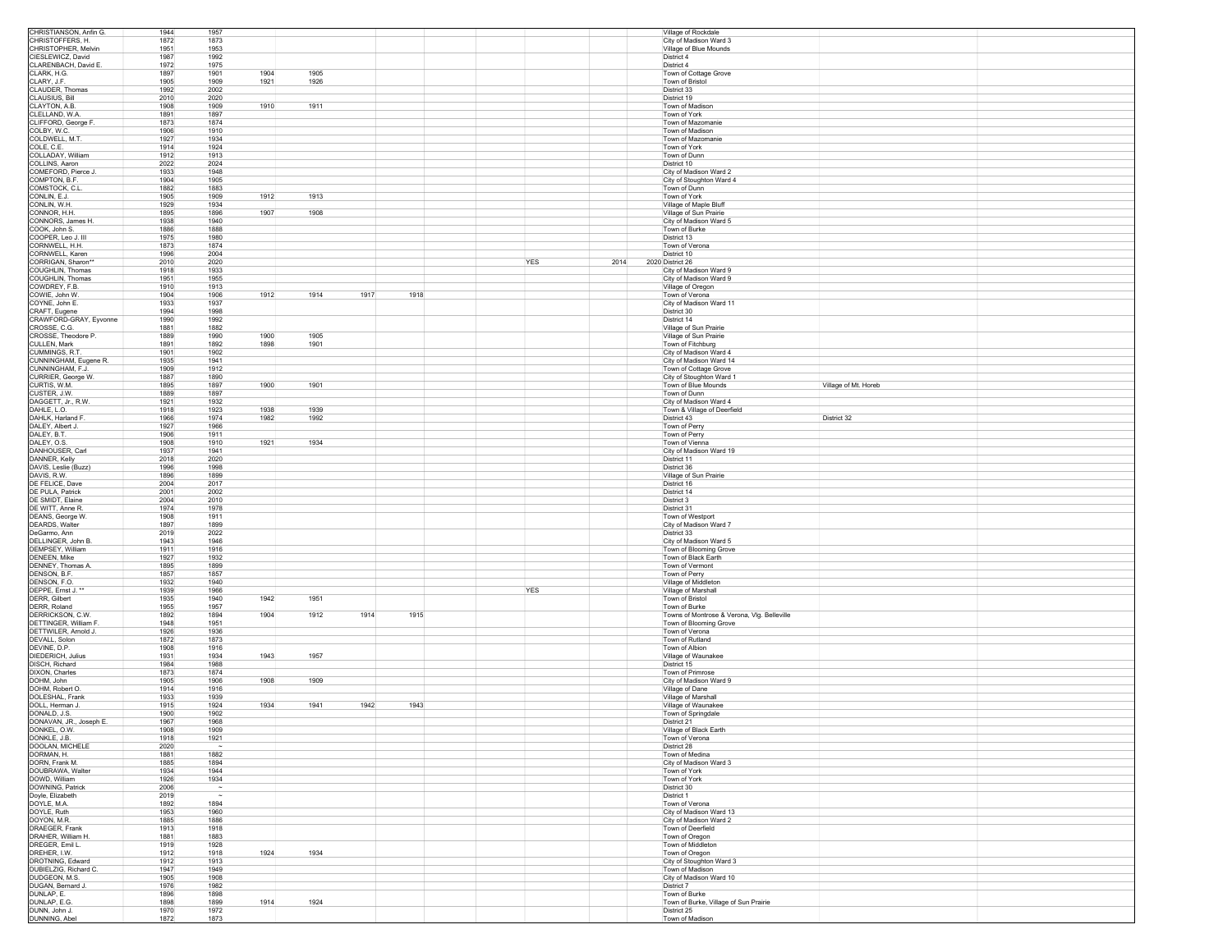| City of Madison Ward 3<br>CHRISTOPHER, Melvin<br>1951<br>1953<br>Village of Blue Mounds<br>CIESLEWICZ, David<br>1987<br>1992<br>District 4<br>CLARENBACH, David E.<br>1972<br>1975<br>District 4<br>1904<br>1905<br>CLARK, H.G.<br>1897<br>1901<br>Town of Cottage Grove<br>CLARY, J.F.<br>1905<br>1909<br>1921<br>1926<br>Town of Bristol<br>CLAUDER, Thomas<br>1992<br>2002<br>District 33<br><b>CLAUSIUS, Bill</b><br>2010<br>2020<br>District 19<br>1910<br>1911<br>CLAYTON, A.B.<br>1908<br>1909<br>Town of Madison<br>CLELLAND, W.A.<br>1891<br>1897<br>Town of York<br>CLIFFORD, George F.<br>1873<br>1874<br>Town of Mazomanie<br>1910<br>COLBY, W.C.<br>1906<br>Town of Madison<br>COLDWELL, M.T<br>1927<br>1934<br>Town of Mazomanie<br>COLE, C.E.<br>1914<br>1924<br>Town of York<br>COLLADAY, William<br>1912<br>1913<br>Town of Dunn<br>COLLINS, Aaron<br>2022<br>2024<br>District 10<br>COMEFORD, Pierce J.<br>1933<br>1948<br>City of Madison Ward 2<br>COMPTON, B.F.<br>1904<br>1905<br>City of Stoughton Ward 4<br>COMSTOCK, C.L<br>1882<br>1883<br>Town of Dunn<br>CONLIN, E.J.<br>1905<br>1912<br>1913<br>1909<br>Town of York<br>CONLIN, W.H.<br>1929<br>1934<br>Village of Maple Bluff<br>1907<br>CONNOR, H.H.<br>1895<br>1896<br>1908<br>Village of Sun Prairie<br>CONNORS, James H.<br>1938<br>1940<br>City of Madison Ward 5<br>COOK, John S.<br>1886<br>1888<br>Town of Burke<br>COOPER, Leo J. III<br>1975<br>1980<br>District 13<br>CORNWELL, H.H.<br>1874<br>1873<br>Town of Verona<br>CORNWELL, Karen<br>1996<br>2004<br>District 10<br>CORRIGAN, Sharon**<br>YES<br>2010<br>2020<br>2014<br>2020 District 26<br>COUGHLIN, Thomas<br>1918<br>1933<br>City of Madison Ward 9<br>COUGHLIN, Thomas<br>1951<br>1955<br>City of Madison Ward 9<br>COWDREY, F.B.<br>1910<br>1913<br>Village of Oregon<br>1912<br>1914<br>1917<br>1918<br>COWIE, John W<br>1904<br>1906<br>Town of Verona<br>COYNE, John E.<br>1933<br>1937<br>City of Madison Ward 11<br>CRAFT, Eugene<br>1994<br>1998<br>District 30<br>CRAWFORD-GRAY, Eyvonne<br>1990<br>1992<br>District 14<br>CROSSE, C.G.<br>1881<br>1882<br>Village of Sun Prairie<br>CROSSE, Theodore P.<br>1889<br>1990<br>1900<br>1905<br>Village of Sun Prairie<br>CULLEN, Mark<br>1891<br>1892<br>1898<br>1901<br>Town of Fitchburg<br>CUMMINGS, R.T.<br>1901<br>1902<br>City of Madison Ward 4<br>CUNNINGHAM, Eugene R.<br>1935<br>1941<br>City of Madison Ward 14<br>CUNNINGHAM, F.J.<br>Town of Cottage Grove<br>1909<br>1912<br>CURRIER, George W.<br>1887<br>1890<br>City of Stoughton Ward 1<br>CURTIS, W.M.<br>1900<br>1895<br>1897<br>1901<br>Village of Mt. Horeb<br>Town of Blue Mounds<br>CUSTER, J.W.<br>1889<br>1897<br>Town of Dunn<br>1921<br>1932<br>City of Madison Ward 4<br>DAGGETT, Jr., R.W.<br>DAHLE, L.O.<br>1918<br>1923<br>1938<br>1939<br>Town & Village of Deerfield<br>DAHLK, Harland F<br>1966<br>1974<br>1982<br>District 32<br>1992<br>District 43<br>DALEY, Albert J.<br>1927<br>1966<br>Town of Perry<br>DALEY, B.T.<br>1911<br>1906<br>Town of Perry<br>DALEY, O.S.<br>1908<br>1910<br>1921<br>1934<br>Town of Vienna<br>DANHOUSER, Carl<br>1937<br>1941<br>City of Madison Ward 19<br>DANNER, Kelly<br>2018<br>2020<br>District 11<br>DAVIS, Leslie (Buzz)<br>1996<br>1998<br>District 36<br>1896<br>1899<br>DAVIS, R.W.<br>Village of Sun Prairie<br>DE FELICE, Dave<br>2004<br>2017<br>District 16<br>DE PULA, Patrick<br>2001<br>2002<br>District 14<br>DE SMIDT, Elaine<br>2004<br>2010<br>District 3<br>DE WITT, Anne R.<br>1974<br>1978<br>District 31<br>DEANS, George W.<br>1908<br>1911<br>Town of Westport<br><b>DEARDS, Walter</b><br>1897<br>1899<br>City of Madison Ward 7<br>DeGarmo, Ann<br>2019<br>2022<br>District 33<br>DELLINGER, John B.<br>1943<br>1946<br>City of Madison Ward 5<br>DEMPSEY, William<br>1911<br>1916<br>Town of Blooming Grove<br>DENEEN, Mike<br>1927<br>Town of Black Earth<br>1932<br>DENNEY, Thomas A.<br>1895<br>1899<br>Town of Vermont<br>DENSON, B.F.<br>1857<br>1857<br>Town of Perry<br>DENSON, F.O.<br>1932<br>1940<br>Village of Middleton<br><b>YES</b><br>DEPPE, Emst J.<br>1939<br>1966<br>Village of Marshall<br>DERR, Gilbert<br>1935<br>1940<br>1942<br>1951<br>Town of Bristol<br>DERR, Roland<br>1957<br>1955<br>Town of Burke<br>DERRICKSON, C.W.<br>1892<br>1894<br>1904<br>1912<br>1914<br>1915<br>Towns of Montrose & Verona, Vig. Belleville<br>DETTINGER, William F<br>1948<br>1951<br>Town of Blooming Grove<br>DETTWILER, Arnold J.<br>1926<br>1936<br>Town of Verona<br>1872<br>1873<br>DEVALL, Solon<br>Town of Rutland<br>DEVINE, D.P.<br>1908<br>1916<br>Town of Albion<br>1943<br>1957<br>DIEDERICH, Julius<br>1931<br>1934<br>Village of Waunakee<br>DISCH, Richard<br>1984<br>1988<br>District 15<br>DIXON, Charles<br>1873<br>1874<br>Town of Primrose<br>DOHM, John<br>1905<br>1906<br>1908<br>1909<br>City of Madison Ward 9<br>DOHM, Robert O<br>1914<br>1916<br>Village of Dane<br>DOLESHAL, Frank<br>1933<br>1939<br>Village of Marshall<br>1934<br>1943<br>Village of Waunakee<br>DOLL, Herman J.<br>1915<br>1924<br>1941<br>1942<br>DONALD, J.S.<br>1900<br>1902<br>Town of Springdale<br>DONAVAN, JR., Joseph E.<br>1967<br>1968<br>District 21<br>DONKEL, O.W.<br>1908<br>1909<br>Village of Black Earth<br>DONKLE, J.B.<br>1921<br>1918<br>Town of Verona<br>DOOLAN, MICHELE<br>2020<br>District 28<br>DORMAN, H.<br>1882<br>1881<br>Town of Medina<br>DORN, Frank M.<br>City of Madison Ward 3<br>1885<br>1894<br>DOUBRAWA, Walter<br>1934<br>1944<br>Town of York<br>DOWD, William<br>Town of York<br>1926<br>1934<br>DOWNING, Patrick<br>2006<br>$\sim$<br>District 30<br>Doyle, Elizabeth<br>2019<br>$\sim$<br>District 1<br>DOYLE, M.A.<br>1892<br>1894<br>Town of Verona<br>DOYLE, Ruth<br>City of Madison Ward 13<br>1953<br>1960<br>DOYON, M.R.<br>1885<br>1886<br>City of Madison Ward 2<br>DRAEGER, Frank<br>Town of Deerfield<br>1913<br>1918<br>DRAHER, William H.<br>1881<br>1883<br>Town of Oregon<br>DREGER, Emil L.<br>1928<br>Town of Middleton<br>1919<br>1924<br>DREHER, I.W.<br>1912<br>1918<br>1934<br>Town of Oregon<br>DROTNING, Edward<br>1913<br>City of Stoughton Ward 3<br>1912<br>DUBIELZIG, Richard C.<br>Town of Madison<br>1947<br>1949<br>City of Madison Ward 10<br>DUDGEON, M.S.<br>1905<br>1908<br>DUGAN, Bernard J.<br>1976<br>1982<br>District 7<br>DUNLAP, E.<br>1896<br>1898<br>Town of Burke<br>DUNLAP, E.G.<br>1914<br>1924<br>1898<br>1899<br>Town of Burke, Village of Sun Prairie<br>DUNN, John J.<br>1970<br>1972<br>District 25 | CHRISTIANSON, Anfin G. | 1944 | 1957 |  |  |  |  | Village of Rockdale |  |
|------------------------------------------------------------------------------------------------------------------------------------------------------------------------------------------------------------------------------------------------------------------------------------------------------------------------------------------------------------------------------------------------------------------------------------------------------------------------------------------------------------------------------------------------------------------------------------------------------------------------------------------------------------------------------------------------------------------------------------------------------------------------------------------------------------------------------------------------------------------------------------------------------------------------------------------------------------------------------------------------------------------------------------------------------------------------------------------------------------------------------------------------------------------------------------------------------------------------------------------------------------------------------------------------------------------------------------------------------------------------------------------------------------------------------------------------------------------------------------------------------------------------------------------------------------------------------------------------------------------------------------------------------------------------------------------------------------------------------------------------------------------------------------------------------------------------------------------------------------------------------------------------------------------------------------------------------------------------------------------------------------------------------------------------------------------------------------------------------------------------------------------------------------------------------------------------------------------------------------------------------------------------------------------------------------------------------------------------------------------------------------------------------------------------------------------------------------------------------------------------------------------------------------------------------------------------------------------------------------------------------------------------------------------------------------------------------------------------------------------------------------------------------------------------------------------------------------------------------------------------------------------------------------------------------------------------------------------------------------------------------------------------------------------------------------------------------------------------------------------------------------------------------------------------------------------------------------------------------------------------------------------------------------------------------------------------------------------------------------------------------------------------------------------------------------------------------------------------------------------------------------------------------------------------------------------------------------------------------------------------------------------------------------------------------------------------------------------------------------------------------------------------------------------------------------------------------------------------------------------------------------------------------------------------------------------------------------------------------------------------------------------------------------------------------------------------------------------------------------------------------------------------------------------------------------------------------------------------------------------------------------------------------------------------------------------------------------------------------------------------------------------------------------------------------------------------------------------------------------------------------------------------------------------------------------------------------------------------------------------------------------------------------------------------------------------------------------------------------------------------------------------------------------------------------------------------------------------------------------------------------------------------------------------------------------------------------------------------------------------------------------------------------------------------------------------------------------------------------------------------------------------------------------------------------------------------------------------------------------------------------------------------------------------------------------------------------------------------------------------------------------------------------------------------------------------------------------------------------------------------------------------------------------------------------------------------------------------------------------------------------------------------------------------------------------------------------------------------------------------------------------------------------------------------------------------------------------------------------------------------------------------------------------------------------------------------------------------------------------------------------------------------------------------------------------------------------------------------------------------------------------------------------------------------------------------------------------------------------------------------------------------------------------------------------------------------------------------------------------------------------------------------------------------------------------------------------------------------------------------------------------------------------------------------------------------------|------------------------|------|------|--|--|--|--|---------------------|--|
|                                                                                                                                                                                                                                                                                                                                                                                                                                                                                                                                                                                                                                                                                                                                                                                                                                                                                                                                                                                                                                                                                                                                                                                                                                                                                                                                                                                                                                                                                                                                                                                                                                                                                                                                                                                                                                                                                                                                                                                                                                                                                                                                                                                                                                                                                                                                                                                                                                                                                                                                                                                                                                                                                                                                                                                                                                                                                                                                                                                                                                                                                                                                                                                                                                                                                                                                                                                                                                                                                                                                                                                                                                                                                                                                                                                                                                                                                                                                                                                                                                                                                                                                                                                                                                                                                                                                                                                                                                                                                                                                                                                                                                                                                                                                                                                                                                                                                                                                                                                                                                                                                                                                                                                                                                                                                                                                                                                                                                                                                                                                                                                                                                                                                                                                                                                                                                                                                                                                                                                                                                                                                                                                                                                                                                                                                                                                                                                                                                                                                                                                                                        | CHRISTOFFERS, H.       | 1872 | 1873 |  |  |  |  |                     |  |
|                                                                                                                                                                                                                                                                                                                                                                                                                                                                                                                                                                                                                                                                                                                                                                                                                                                                                                                                                                                                                                                                                                                                                                                                                                                                                                                                                                                                                                                                                                                                                                                                                                                                                                                                                                                                                                                                                                                                                                                                                                                                                                                                                                                                                                                                                                                                                                                                                                                                                                                                                                                                                                                                                                                                                                                                                                                                                                                                                                                                                                                                                                                                                                                                                                                                                                                                                                                                                                                                                                                                                                                                                                                                                                                                                                                                                                                                                                                                                                                                                                                                                                                                                                                                                                                                                                                                                                                                                                                                                                                                                                                                                                                                                                                                                                                                                                                                                                                                                                                                                                                                                                                                                                                                                                                                                                                                                                                                                                                                                                                                                                                                                                                                                                                                                                                                                                                                                                                                                                                                                                                                                                                                                                                                                                                                                                                                                                                                                                                                                                                                                                        |                        |      |      |  |  |  |  |                     |  |
|                                                                                                                                                                                                                                                                                                                                                                                                                                                                                                                                                                                                                                                                                                                                                                                                                                                                                                                                                                                                                                                                                                                                                                                                                                                                                                                                                                                                                                                                                                                                                                                                                                                                                                                                                                                                                                                                                                                                                                                                                                                                                                                                                                                                                                                                                                                                                                                                                                                                                                                                                                                                                                                                                                                                                                                                                                                                                                                                                                                                                                                                                                                                                                                                                                                                                                                                                                                                                                                                                                                                                                                                                                                                                                                                                                                                                                                                                                                                                                                                                                                                                                                                                                                                                                                                                                                                                                                                                                                                                                                                                                                                                                                                                                                                                                                                                                                                                                                                                                                                                                                                                                                                                                                                                                                                                                                                                                                                                                                                                                                                                                                                                                                                                                                                                                                                                                                                                                                                                                                                                                                                                                                                                                                                                                                                                                                                                                                                                                                                                                                                                                        |                        |      |      |  |  |  |  |                     |  |
|                                                                                                                                                                                                                                                                                                                                                                                                                                                                                                                                                                                                                                                                                                                                                                                                                                                                                                                                                                                                                                                                                                                                                                                                                                                                                                                                                                                                                                                                                                                                                                                                                                                                                                                                                                                                                                                                                                                                                                                                                                                                                                                                                                                                                                                                                                                                                                                                                                                                                                                                                                                                                                                                                                                                                                                                                                                                                                                                                                                                                                                                                                                                                                                                                                                                                                                                                                                                                                                                                                                                                                                                                                                                                                                                                                                                                                                                                                                                                                                                                                                                                                                                                                                                                                                                                                                                                                                                                                                                                                                                                                                                                                                                                                                                                                                                                                                                                                                                                                                                                                                                                                                                                                                                                                                                                                                                                                                                                                                                                                                                                                                                                                                                                                                                                                                                                                                                                                                                                                                                                                                                                                                                                                                                                                                                                                                                                                                                                                                                                                                                                                        |                        |      |      |  |  |  |  |                     |  |
|                                                                                                                                                                                                                                                                                                                                                                                                                                                                                                                                                                                                                                                                                                                                                                                                                                                                                                                                                                                                                                                                                                                                                                                                                                                                                                                                                                                                                                                                                                                                                                                                                                                                                                                                                                                                                                                                                                                                                                                                                                                                                                                                                                                                                                                                                                                                                                                                                                                                                                                                                                                                                                                                                                                                                                                                                                                                                                                                                                                                                                                                                                                                                                                                                                                                                                                                                                                                                                                                                                                                                                                                                                                                                                                                                                                                                                                                                                                                                                                                                                                                                                                                                                                                                                                                                                                                                                                                                                                                                                                                                                                                                                                                                                                                                                                                                                                                                                                                                                                                                                                                                                                                                                                                                                                                                                                                                                                                                                                                                                                                                                                                                                                                                                                                                                                                                                                                                                                                                                                                                                                                                                                                                                                                                                                                                                                                                                                                                                                                                                                                                                        |                        |      |      |  |  |  |  |                     |  |
|                                                                                                                                                                                                                                                                                                                                                                                                                                                                                                                                                                                                                                                                                                                                                                                                                                                                                                                                                                                                                                                                                                                                                                                                                                                                                                                                                                                                                                                                                                                                                                                                                                                                                                                                                                                                                                                                                                                                                                                                                                                                                                                                                                                                                                                                                                                                                                                                                                                                                                                                                                                                                                                                                                                                                                                                                                                                                                                                                                                                                                                                                                                                                                                                                                                                                                                                                                                                                                                                                                                                                                                                                                                                                                                                                                                                                                                                                                                                                                                                                                                                                                                                                                                                                                                                                                                                                                                                                                                                                                                                                                                                                                                                                                                                                                                                                                                                                                                                                                                                                                                                                                                                                                                                                                                                                                                                                                                                                                                                                                                                                                                                                                                                                                                                                                                                                                                                                                                                                                                                                                                                                                                                                                                                                                                                                                                                                                                                                                                                                                                                                                        |                        |      |      |  |  |  |  |                     |  |
|                                                                                                                                                                                                                                                                                                                                                                                                                                                                                                                                                                                                                                                                                                                                                                                                                                                                                                                                                                                                                                                                                                                                                                                                                                                                                                                                                                                                                                                                                                                                                                                                                                                                                                                                                                                                                                                                                                                                                                                                                                                                                                                                                                                                                                                                                                                                                                                                                                                                                                                                                                                                                                                                                                                                                                                                                                                                                                                                                                                                                                                                                                                                                                                                                                                                                                                                                                                                                                                                                                                                                                                                                                                                                                                                                                                                                                                                                                                                                                                                                                                                                                                                                                                                                                                                                                                                                                                                                                                                                                                                                                                                                                                                                                                                                                                                                                                                                                                                                                                                                                                                                                                                                                                                                                                                                                                                                                                                                                                                                                                                                                                                                                                                                                                                                                                                                                                                                                                                                                                                                                                                                                                                                                                                                                                                                                                                                                                                                                                                                                                                                                        |                        |      |      |  |  |  |  |                     |  |
|                                                                                                                                                                                                                                                                                                                                                                                                                                                                                                                                                                                                                                                                                                                                                                                                                                                                                                                                                                                                                                                                                                                                                                                                                                                                                                                                                                                                                                                                                                                                                                                                                                                                                                                                                                                                                                                                                                                                                                                                                                                                                                                                                                                                                                                                                                                                                                                                                                                                                                                                                                                                                                                                                                                                                                                                                                                                                                                                                                                                                                                                                                                                                                                                                                                                                                                                                                                                                                                                                                                                                                                                                                                                                                                                                                                                                                                                                                                                                                                                                                                                                                                                                                                                                                                                                                                                                                                                                                                                                                                                                                                                                                                                                                                                                                                                                                                                                                                                                                                                                                                                                                                                                                                                                                                                                                                                                                                                                                                                                                                                                                                                                                                                                                                                                                                                                                                                                                                                                                                                                                                                                                                                                                                                                                                                                                                                                                                                                                                                                                                                                                        |                        |      |      |  |  |  |  |                     |  |
|                                                                                                                                                                                                                                                                                                                                                                                                                                                                                                                                                                                                                                                                                                                                                                                                                                                                                                                                                                                                                                                                                                                                                                                                                                                                                                                                                                                                                                                                                                                                                                                                                                                                                                                                                                                                                                                                                                                                                                                                                                                                                                                                                                                                                                                                                                                                                                                                                                                                                                                                                                                                                                                                                                                                                                                                                                                                                                                                                                                                                                                                                                                                                                                                                                                                                                                                                                                                                                                                                                                                                                                                                                                                                                                                                                                                                                                                                                                                                                                                                                                                                                                                                                                                                                                                                                                                                                                                                                                                                                                                                                                                                                                                                                                                                                                                                                                                                                                                                                                                                                                                                                                                                                                                                                                                                                                                                                                                                                                                                                                                                                                                                                                                                                                                                                                                                                                                                                                                                                                                                                                                                                                                                                                                                                                                                                                                                                                                                                                                                                                                                                        |                        |      |      |  |  |  |  |                     |  |
|                                                                                                                                                                                                                                                                                                                                                                                                                                                                                                                                                                                                                                                                                                                                                                                                                                                                                                                                                                                                                                                                                                                                                                                                                                                                                                                                                                                                                                                                                                                                                                                                                                                                                                                                                                                                                                                                                                                                                                                                                                                                                                                                                                                                                                                                                                                                                                                                                                                                                                                                                                                                                                                                                                                                                                                                                                                                                                                                                                                                                                                                                                                                                                                                                                                                                                                                                                                                                                                                                                                                                                                                                                                                                                                                                                                                                                                                                                                                                                                                                                                                                                                                                                                                                                                                                                                                                                                                                                                                                                                                                                                                                                                                                                                                                                                                                                                                                                                                                                                                                                                                                                                                                                                                                                                                                                                                                                                                                                                                                                                                                                                                                                                                                                                                                                                                                                                                                                                                                                                                                                                                                                                                                                                                                                                                                                                                                                                                                                                                                                                                                                        |                        |      |      |  |  |  |  |                     |  |
|                                                                                                                                                                                                                                                                                                                                                                                                                                                                                                                                                                                                                                                                                                                                                                                                                                                                                                                                                                                                                                                                                                                                                                                                                                                                                                                                                                                                                                                                                                                                                                                                                                                                                                                                                                                                                                                                                                                                                                                                                                                                                                                                                                                                                                                                                                                                                                                                                                                                                                                                                                                                                                                                                                                                                                                                                                                                                                                                                                                                                                                                                                                                                                                                                                                                                                                                                                                                                                                                                                                                                                                                                                                                                                                                                                                                                                                                                                                                                                                                                                                                                                                                                                                                                                                                                                                                                                                                                                                                                                                                                                                                                                                                                                                                                                                                                                                                                                                                                                                                                                                                                                                                                                                                                                                                                                                                                                                                                                                                                                                                                                                                                                                                                                                                                                                                                                                                                                                                                                                                                                                                                                                                                                                                                                                                                                                                                                                                                                                                                                                                                                        |                        |      |      |  |  |  |  |                     |  |
|                                                                                                                                                                                                                                                                                                                                                                                                                                                                                                                                                                                                                                                                                                                                                                                                                                                                                                                                                                                                                                                                                                                                                                                                                                                                                                                                                                                                                                                                                                                                                                                                                                                                                                                                                                                                                                                                                                                                                                                                                                                                                                                                                                                                                                                                                                                                                                                                                                                                                                                                                                                                                                                                                                                                                                                                                                                                                                                                                                                                                                                                                                                                                                                                                                                                                                                                                                                                                                                                                                                                                                                                                                                                                                                                                                                                                                                                                                                                                                                                                                                                                                                                                                                                                                                                                                                                                                                                                                                                                                                                                                                                                                                                                                                                                                                                                                                                                                                                                                                                                                                                                                                                                                                                                                                                                                                                                                                                                                                                                                                                                                                                                                                                                                                                                                                                                                                                                                                                                                                                                                                                                                                                                                                                                                                                                                                                                                                                                                                                                                                                                                        |                        |      |      |  |  |  |  |                     |  |
|                                                                                                                                                                                                                                                                                                                                                                                                                                                                                                                                                                                                                                                                                                                                                                                                                                                                                                                                                                                                                                                                                                                                                                                                                                                                                                                                                                                                                                                                                                                                                                                                                                                                                                                                                                                                                                                                                                                                                                                                                                                                                                                                                                                                                                                                                                                                                                                                                                                                                                                                                                                                                                                                                                                                                                                                                                                                                                                                                                                                                                                                                                                                                                                                                                                                                                                                                                                                                                                                                                                                                                                                                                                                                                                                                                                                                                                                                                                                                                                                                                                                                                                                                                                                                                                                                                                                                                                                                                                                                                                                                                                                                                                                                                                                                                                                                                                                                                                                                                                                                                                                                                                                                                                                                                                                                                                                                                                                                                                                                                                                                                                                                                                                                                                                                                                                                                                                                                                                                                                                                                                                                                                                                                                                                                                                                                                                                                                                                                                                                                                                                                        |                        |      |      |  |  |  |  |                     |  |
|                                                                                                                                                                                                                                                                                                                                                                                                                                                                                                                                                                                                                                                                                                                                                                                                                                                                                                                                                                                                                                                                                                                                                                                                                                                                                                                                                                                                                                                                                                                                                                                                                                                                                                                                                                                                                                                                                                                                                                                                                                                                                                                                                                                                                                                                                                                                                                                                                                                                                                                                                                                                                                                                                                                                                                                                                                                                                                                                                                                                                                                                                                                                                                                                                                                                                                                                                                                                                                                                                                                                                                                                                                                                                                                                                                                                                                                                                                                                                                                                                                                                                                                                                                                                                                                                                                                                                                                                                                                                                                                                                                                                                                                                                                                                                                                                                                                                                                                                                                                                                                                                                                                                                                                                                                                                                                                                                                                                                                                                                                                                                                                                                                                                                                                                                                                                                                                                                                                                                                                                                                                                                                                                                                                                                                                                                                                                                                                                                                                                                                                                                                        |                        |      |      |  |  |  |  |                     |  |
|                                                                                                                                                                                                                                                                                                                                                                                                                                                                                                                                                                                                                                                                                                                                                                                                                                                                                                                                                                                                                                                                                                                                                                                                                                                                                                                                                                                                                                                                                                                                                                                                                                                                                                                                                                                                                                                                                                                                                                                                                                                                                                                                                                                                                                                                                                                                                                                                                                                                                                                                                                                                                                                                                                                                                                                                                                                                                                                                                                                                                                                                                                                                                                                                                                                                                                                                                                                                                                                                                                                                                                                                                                                                                                                                                                                                                                                                                                                                                                                                                                                                                                                                                                                                                                                                                                                                                                                                                                                                                                                                                                                                                                                                                                                                                                                                                                                                                                                                                                                                                                                                                                                                                                                                                                                                                                                                                                                                                                                                                                                                                                                                                                                                                                                                                                                                                                                                                                                                                                                                                                                                                                                                                                                                                                                                                                                                                                                                                                                                                                                                                                        |                        |      |      |  |  |  |  |                     |  |
|                                                                                                                                                                                                                                                                                                                                                                                                                                                                                                                                                                                                                                                                                                                                                                                                                                                                                                                                                                                                                                                                                                                                                                                                                                                                                                                                                                                                                                                                                                                                                                                                                                                                                                                                                                                                                                                                                                                                                                                                                                                                                                                                                                                                                                                                                                                                                                                                                                                                                                                                                                                                                                                                                                                                                                                                                                                                                                                                                                                                                                                                                                                                                                                                                                                                                                                                                                                                                                                                                                                                                                                                                                                                                                                                                                                                                                                                                                                                                                                                                                                                                                                                                                                                                                                                                                                                                                                                                                                                                                                                                                                                                                                                                                                                                                                                                                                                                                                                                                                                                                                                                                                                                                                                                                                                                                                                                                                                                                                                                                                                                                                                                                                                                                                                                                                                                                                                                                                                                                                                                                                                                                                                                                                                                                                                                                                                                                                                                                                                                                                                                                        |                        |      |      |  |  |  |  |                     |  |
|                                                                                                                                                                                                                                                                                                                                                                                                                                                                                                                                                                                                                                                                                                                                                                                                                                                                                                                                                                                                                                                                                                                                                                                                                                                                                                                                                                                                                                                                                                                                                                                                                                                                                                                                                                                                                                                                                                                                                                                                                                                                                                                                                                                                                                                                                                                                                                                                                                                                                                                                                                                                                                                                                                                                                                                                                                                                                                                                                                                                                                                                                                                                                                                                                                                                                                                                                                                                                                                                                                                                                                                                                                                                                                                                                                                                                                                                                                                                                                                                                                                                                                                                                                                                                                                                                                                                                                                                                                                                                                                                                                                                                                                                                                                                                                                                                                                                                                                                                                                                                                                                                                                                                                                                                                                                                                                                                                                                                                                                                                                                                                                                                                                                                                                                                                                                                                                                                                                                                                                                                                                                                                                                                                                                                                                                                                                                                                                                                                                                                                                                                                        |                        |      |      |  |  |  |  |                     |  |
|                                                                                                                                                                                                                                                                                                                                                                                                                                                                                                                                                                                                                                                                                                                                                                                                                                                                                                                                                                                                                                                                                                                                                                                                                                                                                                                                                                                                                                                                                                                                                                                                                                                                                                                                                                                                                                                                                                                                                                                                                                                                                                                                                                                                                                                                                                                                                                                                                                                                                                                                                                                                                                                                                                                                                                                                                                                                                                                                                                                                                                                                                                                                                                                                                                                                                                                                                                                                                                                                                                                                                                                                                                                                                                                                                                                                                                                                                                                                                                                                                                                                                                                                                                                                                                                                                                                                                                                                                                                                                                                                                                                                                                                                                                                                                                                                                                                                                                                                                                                                                                                                                                                                                                                                                                                                                                                                                                                                                                                                                                                                                                                                                                                                                                                                                                                                                                                                                                                                                                                                                                                                                                                                                                                                                                                                                                                                                                                                                                                                                                                                                                        |                        |      |      |  |  |  |  |                     |  |
|                                                                                                                                                                                                                                                                                                                                                                                                                                                                                                                                                                                                                                                                                                                                                                                                                                                                                                                                                                                                                                                                                                                                                                                                                                                                                                                                                                                                                                                                                                                                                                                                                                                                                                                                                                                                                                                                                                                                                                                                                                                                                                                                                                                                                                                                                                                                                                                                                                                                                                                                                                                                                                                                                                                                                                                                                                                                                                                                                                                                                                                                                                                                                                                                                                                                                                                                                                                                                                                                                                                                                                                                                                                                                                                                                                                                                                                                                                                                                                                                                                                                                                                                                                                                                                                                                                                                                                                                                                                                                                                                                                                                                                                                                                                                                                                                                                                                                                                                                                                                                                                                                                                                                                                                                                                                                                                                                                                                                                                                                                                                                                                                                                                                                                                                                                                                                                                                                                                                                                                                                                                                                                                                                                                                                                                                                                                                                                                                                                                                                                                                                                        |                        |      |      |  |  |  |  |                     |  |
|                                                                                                                                                                                                                                                                                                                                                                                                                                                                                                                                                                                                                                                                                                                                                                                                                                                                                                                                                                                                                                                                                                                                                                                                                                                                                                                                                                                                                                                                                                                                                                                                                                                                                                                                                                                                                                                                                                                                                                                                                                                                                                                                                                                                                                                                                                                                                                                                                                                                                                                                                                                                                                                                                                                                                                                                                                                                                                                                                                                                                                                                                                                                                                                                                                                                                                                                                                                                                                                                                                                                                                                                                                                                                                                                                                                                                                                                                                                                                                                                                                                                                                                                                                                                                                                                                                                                                                                                                                                                                                                                                                                                                                                                                                                                                                                                                                                                                                                                                                                                                                                                                                                                                                                                                                                                                                                                                                                                                                                                                                                                                                                                                                                                                                                                                                                                                                                                                                                                                                                                                                                                                                                                                                                                                                                                                                                                                                                                                                                                                                                                                                        |                        |      |      |  |  |  |  |                     |  |
|                                                                                                                                                                                                                                                                                                                                                                                                                                                                                                                                                                                                                                                                                                                                                                                                                                                                                                                                                                                                                                                                                                                                                                                                                                                                                                                                                                                                                                                                                                                                                                                                                                                                                                                                                                                                                                                                                                                                                                                                                                                                                                                                                                                                                                                                                                                                                                                                                                                                                                                                                                                                                                                                                                                                                                                                                                                                                                                                                                                                                                                                                                                                                                                                                                                                                                                                                                                                                                                                                                                                                                                                                                                                                                                                                                                                                                                                                                                                                                                                                                                                                                                                                                                                                                                                                                                                                                                                                                                                                                                                                                                                                                                                                                                                                                                                                                                                                                                                                                                                                                                                                                                                                                                                                                                                                                                                                                                                                                                                                                                                                                                                                                                                                                                                                                                                                                                                                                                                                                                                                                                                                                                                                                                                                                                                                                                                                                                                                                                                                                                                                                        |                        |      |      |  |  |  |  |                     |  |
|                                                                                                                                                                                                                                                                                                                                                                                                                                                                                                                                                                                                                                                                                                                                                                                                                                                                                                                                                                                                                                                                                                                                                                                                                                                                                                                                                                                                                                                                                                                                                                                                                                                                                                                                                                                                                                                                                                                                                                                                                                                                                                                                                                                                                                                                                                                                                                                                                                                                                                                                                                                                                                                                                                                                                                                                                                                                                                                                                                                                                                                                                                                                                                                                                                                                                                                                                                                                                                                                                                                                                                                                                                                                                                                                                                                                                                                                                                                                                                                                                                                                                                                                                                                                                                                                                                                                                                                                                                                                                                                                                                                                                                                                                                                                                                                                                                                                                                                                                                                                                                                                                                                                                                                                                                                                                                                                                                                                                                                                                                                                                                                                                                                                                                                                                                                                                                                                                                                                                                                                                                                                                                                                                                                                                                                                                                                                                                                                                                                                                                                                                                        |                        |      |      |  |  |  |  |                     |  |
|                                                                                                                                                                                                                                                                                                                                                                                                                                                                                                                                                                                                                                                                                                                                                                                                                                                                                                                                                                                                                                                                                                                                                                                                                                                                                                                                                                                                                                                                                                                                                                                                                                                                                                                                                                                                                                                                                                                                                                                                                                                                                                                                                                                                                                                                                                                                                                                                                                                                                                                                                                                                                                                                                                                                                                                                                                                                                                                                                                                                                                                                                                                                                                                                                                                                                                                                                                                                                                                                                                                                                                                                                                                                                                                                                                                                                                                                                                                                                                                                                                                                                                                                                                                                                                                                                                                                                                                                                                                                                                                                                                                                                                                                                                                                                                                                                                                                                                                                                                                                                                                                                                                                                                                                                                                                                                                                                                                                                                                                                                                                                                                                                                                                                                                                                                                                                                                                                                                                                                                                                                                                                                                                                                                                                                                                                                                                                                                                                                                                                                                                                                        |                        |      |      |  |  |  |  |                     |  |
|                                                                                                                                                                                                                                                                                                                                                                                                                                                                                                                                                                                                                                                                                                                                                                                                                                                                                                                                                                                                                                                                                                                                                                                                                                                                                                                                                                                                                                                                                                                                                                                                                                                                                                                                                                                                                                                                                                                                                                                                                                                                                                                                                                                                                                                                                                                                                                                                                                                                                                                                                                                                                                                                                                                                                                                                                                                                                                                                                                                                                                                                                                                                                                                                                                                                                                                                                                                                                                                                                                                                                                                                                                                                                                                                                                                                                                                                                                                                                                                                                                                                                                                                                                                                                                                                                                                                                                                                                                                                                                                                                                                                                                                                                                                                                                                                                                                                                                                                                                                                                                                                                                                                                                                                                                                                                                                                                                                                                                                                                                                                                                                                                                                                                                                                                                                                                                                                                                                                                                                                                                                                                                                                                                                                                                                                                                                                                                                                                                                                                                                                                                        |                        |      |      |  |  |  |  |                     |  |
|                                                                                                                                                                                                                                                                                                                                                                                                                                                                                                                                                                                                                                                                                                                                                                                                                                                                                                                                                                                                                                                                                                                                                                                                                                                                                                                                                                                                                                                                                                                                                                                                                                                                                                                                                                                                                                                                                                                                                                                                                                                                                                                                                                                                                                                                                                                                                                                                                                                                                                                                                                                                                                                                                                                                                                                                                                                                                                                                                                                                                                                                                                                                                                                                                                                                                                                                                                                                                                                                                                                                                                                                                                                                                                                                                                                                                                                                                                                                                                                                                                                                                                                                                                                                                                                                                                                                                                                                                                                                                                                                                                                                                                                                                                                                                                                                                                                                                                                                                                                                                                                                                                                                                                                                                                                                                                                                                                                                                                                                                                                                                                                                                                                                                                                                                                                                                                                                                                                                                                                                                                                                                                                                                                                                                                                                                                                                                                                                                                                                                                                                                                        |                        |      |      |  |  |  |  |                     |  |
|                                                                                                                                                                                                                                                                                                                                                                                                                                                                                                                                                                                                                                                                                                                                                                                                                                                                                                                                                                                                                                                                                                                                                                                                                                                                                                                                                                                                                                                                                                                                                                                                                                                                                                                                                                                                                                                                                                                                                                                                                                                                                                                                                                                                                                                                                                                                                                                                                                                                                                                                                                                                                                                                                                                                                                                                                                                                                                                                                                                                                                                                                                                                                                                                                                                                                                                                                                                                                                                                                                                                                                                                                                                                                                                                                                                                                                                                                                                                                                                                                                                                                                                                                                                                                                                                                                                                                                                                                                                                                                                                                                                                                                                                                                                                                                                                                                                                                                                                                                                                                                                                                                                                                                                                                                                                                                                                                                                                                                                                                                                                                                                                                                                                                                                                                                                                                                                                                                                                                                                                                                                                                                                                                                                                                                                                                                                                                                                                                                                                                                                                                                        |                        |      |      |  |  |  |  |                     |  |
|                                                                                                                                                                                                                                                                                                                                                                                                                                                                                                                                                                                                                                                                                                                                                                                                                                                                                                                                                                                                                                                                                                                                                                                                                                                                                                                                                                                                                                                                                                                                                                                                                                                                                                                                                                                                                                                                                                                                                                                                                                                                                                                                                                                                                                                                                                                                                                                                                                                                                                                                                                                                                                                                                                                                                                                                                                                                                                                                                                                                                                                                                                                                                                                                                                                                                                                                                                                                                                                                                                                                                                                                                                                                                                                                                                                                                                                                                                                                                                                                                                                                                                                                                                                                                                                                                                                                                                                                                                                                                                                                                                                                                                                                                                                                                                                                                                                                                                                                                                                                                                                                                                                                                                                                                                                                                                                                                                                                                                                                                                                                                                                                                                                                                                                                                                                                                                                                                                                                                                                                                                                                                                                                                                                                                                                                                                                                                                                                                                                                                                                                                                        |                        |      |      |  |  |  |  |                     |  |
|                                                                                                                                                                                                                                                                                                                                                                                                                                                                                                                                                                                                                                                                                                                                                                                                                                                                                                                                                                                                                                                                                                                                                                                                                                                                                                                                                                                                                                                                                                                                                                                                                                                                                                                                                                                                                                                                                                                                                                                                                                                                                                                                                                                                                                                                                                                                                                                                                                                                                                                                                                                                                                                                                                                                                                                                                                                                                                                                                                                                                                                                                                                                                                                                                                                                                                                                                                                                                                                                                                                                                                                                                                                                                                                                                                                                                                                                                                                                                                                                                                                                                                                                                                                                                                                                                                                                                                                                                                                                                                                                                                                                                                                                                                                                                                                                                                                                                                                                                                                                                                                                                                                                                                                                                                                                                                                                                                                                                                                                                                                                                                                                                                                                                                                                                                                                                                                                                                                                                                                                                                                                                                                                                                                                                                                                                                                                                                                                                                                                                                                                                                        |                        |      |      |  |  |  |  |                     |  |
|                                                                                                                                                                                                                                                                                                                                                                                                                                                                                                                                                                                                                                                                                                                                                                                                                                                                                                                                                                                                                                                                                                                                                                                                                                                                                                                                                                                                                                                                                                                                                                                                                                                                                                                                                                                                                                                                                                                                                                                                                                                                                                                                                                                                                                                                                                                                                                                                                                                                                                                                                                                                                                                                                                                                                                                                                                                                                                                                                                                                                                                                                                                                                                                                                                                                                                                                                                                                                                                                                                                                                                                                                                                                                                                                                                                                                                                                                                                                                                                                                                                                                                                                                                                                                                                                                                                                                                                                                                                                                                                                                                                                                                                                                                                                                                                                                                                                                                                                                                                                                                                                                                                                                                                                                                                                                                                                                                                                                                                                                                                                                                                                                                                                                                                                                                                                                                                                                                                                                                                                                                                                                                                                                                                                                                                                                                                                                                                                                                                                                                                                                                        |                        |      |      |  |  |  |  |                     |  |
|                                                                                                                                                                                                                                                                                                                                                                                                                                                                                                                                                                                                                                                                                                                                                                                                                                                                                                                                                                                                                                                                                                                                                                                                                                                                                                                                                                                                                                                                                                                                                                                                                                                                                                                                                                                                                                                                                                                                                                                                                                                                                                                                                                                                                                                                                                                                                                                                                                                                                                                                                                                                                                                                                                                                                                                                                                                                                                                                                                                                                                                                                                                                                                                                                                                                                                                                                                                                                                                                                                                                                                                                                                                                                                                                                                                                                                                                                                                                                                                                                                                                                                                                                                                                                                                                                                                                                                                                                                                                                                                                                                                                                                                                                                                                                                                                                                                                                                                                                                                                                                                                                                                                                                                                                                                                                                                                                                                                                                                                                                                                                                                                                                                                                                                                                                                                                                                                                                                                                                                                                                                                                                                                                                                                                                                                                                                                                                                                                                                                                                                                                                        |                        |      |      |  |  |  |  |                     |  |
|                                                                                                                                                                                                                                                                                                                                                                                                                                                                                                                                                                                                                                                                                                                                                                                                                                                                                                                                                                                                                                                                                                                                                                                                                                                                                                                                                                                                                                                                                                                                                                                                                                                                                                                                                                                                                                                                                                                                                                                                                                                                                                                                                                                                                                                                                                                                                                                                                                                                                                                                                                                                                                                                                                                                                                                                                                                                                                                                                                                                                                                                                                                                                                                                                                                                                                                                                                                                                                                                                                                                                                                                                                                                                                                                                                                                                                                                                                                                                                                                                                                                                                                                                                                                                                                                                                                                                                                                                                                                                                                                                                                                                                                                                                                                                                                                                                                                                                                                                                                                                                                                                                                                                                                                                                                                                                                                                                                                                                                                                                                                                                                                                                                                                                                                                                                                                                                                                                                                                                                                                                                                                                                                                                                                                                                                                                                                                                                                                                                                                                                                                                        |                        |      |      |  |  |  |  |                     |  |
|                                                                                                                                                                                                                                                                                                                                                                                                                                                                                                                                                                                                                                                                                                                                                                                                                                                                                                                                                                                                                                                                                                                                                                                                                                                                                                                                                                                                                                                                                                                                                                                                                                                                                                                                                                                                                                                                                                                                                                                                                                                                                                                                                                                                                                                                                                                                                                                                                                                                                                                                                                                                                                                                                                                                                                                                                                                                                                                                                                                                                                                                                                                                                                                                                                                                                                                                                                                                                                                                                                                                                                                                                                                                                                                                                                                                                                                                                                                                                                                                                                                                                                                                                                                                                                                                                                                                                                                                                                                                                                                                                                                                                                                                                                                                                                                                                                                                                                                                                                                                                                                                                                                                                                                                                                                                                                                                                                                                                                                                                                                                                                                                                                                                                                                                                                                                                                                                                                                                                                                                                                                                                                                                                                                                                                                                                                                                                                                                                                                                                                                                                                        |                        |      |      |  |  |  |  |                     |  |
|                                                                                                                                                                                                                                                                                                                                                                                                                                                                                                                                                                                                                                                                                                                                                                                                                                                                                                                                                                                                                                                                                                                                                                                                                                                                                                                                                                                                                                                                                                                                                                                                                                                                                                                                                                                                                                                                                                                                                                                                                                                                                                                                                                                                                                                                                                                                                                                                                                                                                                                                                                                                                                                                                                                                                                                                                                                                                                                                                                                                                                                                                                                                                                                                                                                                                                                                                                                                                                                                                                                                                                                                                                                                                                                                                                                                                                                                                                                                                                                                                                                                                                                                                                                                                                                                                                                                                                                                                                                                                                                                                                                                                                                                                                                                                                                                                                                                                                                                                                                                                                                                                                                                                                                                                                                                                                                                                                                                                                                                                                                                                                                                                                                                                                                                                                                                                                                                                                                                                                                                                                                                                                                                                                                                                                                                                                                                                                                                                                                                                                                                                                        |                        |      |      |  |  |  |  |                     |  |
|                                                                                                                                                                                                                                                                                                                                                                                                                                                                                                                                                                                                                                                                                                                                                                                                                                                                                                                                                                                                                                                                                                                                                                                                                                                                                                                                                                                                                                                                                                                                                                                                                                                                                                                                                                                                                                                                                                                                                                                                                                                                                                                                                                                                                                                                                                                                                                                                                                                                                                                                                                                                                                                                                                                                                                                                                                                                                                                                                                                                                                                                                                                                                                                                                                                                                                                                                                                                                                                                                                                                                                                                                                                                                                                                                                                                                                                                                                                                                                                                                                                                                                                                                                                                                                                                                                                                                                                                                                                                                                                                                                                                                                                                                                                                                                                                                                                                                                                                                                                                                                                                                                                                                                                                                                                                                                                                                                                                                                                                                                                                                                                                                                                                                                                                                                                                                                                                                                                                                                                                                                                                                                                                                                                                                                                                                                                                                                                                                                                                                                                                                                        |                        |      |      |  |  |  |  |                     |  |
|                                                                                                                                                                                                                                                                                                                                                                                                                                                                                                                                                                                                                                                                                                                                                                                                                                                                                                                                                                                                                                                                                                                                                                                                                                                                                                                                                                                                                                                                                                                                                                                                                                                                                                                                                                                                                                                                                                                                                                                                                                                                                                                                                                                                                                                                                                                                                                                                                                                                                                                                                                                                                                                                                                                                                                                                                                                                                                                                                                                                                                                                                                                                                                                                                                                                                                                                                                                                                                                                                                                                                                                                                                                                                                                                                                                                                                                                                                                                                                                                                                                                                                                                                                                                                                                                                                                                                                                                                                                                                                                                                                                                                                                                                                                                                                                                                                                                                                                                                                                                                                                                                                                                                                                                                                                                                                                                                                                                                                                                                                                                                                                                                                                                                                                                                                                                                                                                                                                                                                                                                                                                                                                                                                                                                                                                                                                                                                                                                                                                                                                                                                        |                        |      |      |  |  |  |  |                     |  |
|                                                                                                                                                                                                                                                                                                                                                                                                                                                                                                                                                                                                                                                                                                                                                                                                                                                                                                                                                                                                                                                                                                                                                                                                                                                                                                                                                                                                                                                                                                                                                                                                                                                                                                                                                                                                                                                                                                                                                                                                                                                                                                                                                                                                                                                                                                                                                                                                                                                                                                                                                                                                                                                                                                                                                                                                                                                                                                                                                                                                                                                                                                                                                                                                                                                                                                                                                                                                                                                                                                                                                                                                                                                                                                                                                                                                                                                                                                                                                                                                                                                                                                                                                                                                                                                                                                                                                                                                                                                                                                                                                                                                                                                                                                                                                                                                                                                                                                                                                                                                                                                                                                                                                                                                                                                                                                                                                                                                                                                                                                                                                                                                                                                                                                                                                                                                                                                                                                                                                                                                                                                                                                                                                                                                                                                                                                                                                                                                                                                                                                                                                                        |                        |      |      |  |  |  |  |                     |  |
|                                                                                                                                                                                                                                                                                                                                                                                                                                                                                                                                                                                                                                                                                                                                                                                                                                                                                                                                                                                                                                                                                                                                                                                                                                                                                                                                                                                                                                                                                                                                                                                                                                                                                                                                                                                                                                                                                                                                                                                                                                                                                                                                                                                                                                                                                                                                                                                                                                                                                                                                                                                                                                                                                                                                                                                                                                                                                                                                                                                                                                                                                                                                                                                                                                                                                                                                                                                                                                                                                                                                                                                                                                                                                                                                                                                                                                                                                                                                                                                                                                                                                                                                                                                                                                                                                                                                                                                                                                                                                                                                                                                                                                                                                                                                                                                                                                                                                                                                                                                                                                                                                                                                                                                                                                                                                                                                                                                                                                                                                                                                                                                                                                                                                                                                                                                                                                                                                                                                                                                                                                                                                                                                                                                                                                                                                                                                                                                                                                                                                                                                                                        |                        |      |      |  |  |  |  |                     |  |
|                                                                                                                                                                                                                                                                                                                                                                                                                                                                                                                                                                                                                                                                                                                                                                                                                                                                                                                                                                                                                                                                                                                                                                                                                                                                                                                                                                                                                                                                                                                                                                                                                                                                                                                                                                                                                                                                                                                                                                                                                                                                                                                                                                                                                                                                                                                                                                                                                                                                                                                                                                                                                                                                                                                                                                                                                                                                                                                                                                                                                                                                                                                                                                                                                                                                                                                                                                                                                                                                                                                                                                                                                                                                                                                                                                                                                                                                                                                                                                                                                                                                                                                                                                                                                                                                                                                                                                                                                                                                                                                                                                                                                                                                                                                                                                                                                                                                                                                                                                                                                                                                                                                                                                                                                                                                                                                                                                                                                                                                                                                                                                                                                                                                                                                                                                                                                                                                                                                                                                                                                                                                                                                                                                                                                                                                                                                                                                                                                                                                                                                                                                        |                        |      |      |  |  |  |  |                     |  |
|                                                                                                                                                                                                                                                                                                                                                                                                                                                                                                                                                                                                                                                                                                                                                                                                                                                                                                                                                                                                                                                                                                                                                                                                                                                                                                                                                                                                                                                                                                                                                                                                                                                                                                                                                                                                                                                                                                                                                                                                                                                                                                                                                                                                                                                                                                                                                                                                                                                                                                                                                                                                                                                                                                                                                                                                                                                                                                                                                                                                                                                                                                                                                                                                                                                                                                                                                                                                                                                                                                                                                                                                                                                                                                                                                                                                                                                                                                                                                                                                                                                                                                                                                                                                                                                                                                                                                                                                                                                                                                                                                                                                                                                                                                                                                                                                                                                                                                                                                                                                                                                                                                                                                                                                                                                                                                                                                                                                                                                                                                                                                                                                                                                                                                                                                                                                                                                                                                                                                                                                                                                                                                                                                                                                                                                                                                                                                                                                                                                                                                                                                                        |                        |      |      |  |  |  |  |                     |  |
|                                                                                                                                                                                                                                                                                                                                                                                                                                                                                                                                                                                                                                                                                                                                                                                                                                                                                                                                                                                                                                                                                                                                                                                                                                                                                                                                                                                                                                                                                                                                                                                                                                                                                                                                                                                                                                                                                                                                                                                                                                                                                                                                                                                                                                                                                                                                                                                                                                                                                                                                                                                                                                                                                                                                                                                                                                                                                                                                                                                                                                                                                                                                                                                                                                                                                                                                                                                                                                                                                                                                                                                                                                                                                                                                                                                                                                                                                                                                                                                                                                                                                                                                                                                                                                                                                                                                                                                                                                                                                                                                                                                                                                                                                                                                                                                                                                                                                                                                                                                                                                                                                                                                                                                                                                                                                                                                                                                                                                                                                                                                                                                                                                                                                                                                                                                                                                                                                                                                                                                                                                                                                                                                                                                                                                                                                                                                                                                                                                                                                                                                                                        |                        |      |      |  |  |  |  |                     |  |
|                                                                                                                                                                                                                                                                                                                                                                                                                                                                                                                                                                                                                                                                                                                                                                                                                                                                                                                                                                                                                                                                                                                                                                                                                                                                                                                                                                                                                                                                                                                                                                                                                                                                                                                                                                                                                                                                                                                                                                                                                                                                                                                                                                                                                                                                                                                                                                                                                                                                                                                                                                                                                                                                                                                                                                                                                                                                                                                                                                                                                                                                                                                                                                                                                                                                                                                                                                                                                                                                                                                                                                                                                                                                                                                                                                                                                                                                                                                                                                                                                                                                                                                                                                                                                                                                                                                                                                                                                                                                                                                                                                                                                                                                                                                                                                                                                                                                                                                                                                                                                                                                                                                                                                                                                                                                                                                                                                                                                                                                                                                                                                                                                                                                                                                                                                                                                                                                                                                                                                                                                                                                                                                                                                                                                                                                                                                                                                                                                                                                                                                                                                        |                        |      |      |  |  |  |  |                     |  |
|                                                                                                                                                                                                                                                                                                                                                                                                                                                                                                                                                                                                                                                                                                                                                                                                                                                                                                                                                                                                                                                                                                                                                                                                                                                                                                                                                                                                                                                                                                                                                                                                                                                                                                                                                                                                                                                                                                                                                                                                                                                                                                                                                                                                                                                                                                                                                                                                                                                                                                                                                                                                                                                                                                                                                                                                                                                                                                                                                                                                                                                                                                                                                                                                                                                                                                                                                                                                                                                                                                                                                                                                                                                                                                                                                                                                                                                                                                                                                                                                                                                                                                                                                                                                                                                                                                                                                                                                                                                                                                                                                                                                                                                                                                                                                                                                                                                                                                                                                                                                                                                                                                                                                                                                                                                                                                                                                                                                                                                                                                                                                                                                                                                                                                                                                                                                                                                                                                                                                                                                                                                                                                                                                                                                                                                                                                                                                                                                                                                                                                                                                                        |                        |      |      |  |  |  |  |                     |  |
|                                                                                                                                                                                                                                                                                                                                                                                                                                                                                                                                                                                                                                                                                                                                                                                                                                                                                                                                                                                                                                                                                                                                                                                                                                                                                                                                                                                                                                                                                                                                                                                                                                                                                                                                                                                                                                                                                                                                                                                                                                                                                                                                                                                                                                                                                                                                                                                                                                                                                                                                                                                                                                                                                                                                                                                                                                                                                                                                                                                                                                                                                                                                                                                                                                                                                                                                                                                                                                                                                                                                                                                                                                                                                                                                                                                                                                                                                                                                                                                                                                                                                                                                                                                                                                                                                                                                                                                                                                                                                                                                                                                                                                                                                                                                                                                                                                                                                                                                                                                                                                                                                                                                                                                                                                                                                                                                                                                                                                                                                                                                                                                                                                                                                                                                                                                                                                                                                                                                                                                                                                                                                                                                                                                                                                                                                                                                                                                                                                                                                                                                                                        |                        |      |      |  |  |  |  |                     |  |
|                                                                                                                                                                                                                                                                                                                                                                                                                                                                                                                                                                                                                                                                                                                                                                                                                                                                                                                                                                                                                                                                                                                                                                                                                                                                                                                                                                                                                                                                                                                                                                                                                                                                                                                                                                                                                                                                                                                                                                                                                                                                                                                                                                                                                                                                                                                                                                                                                                                                                                                                                                                                                                                                                                                                                                                                                                                                                                                                                                                                                                                                                                                                                                                                                                                                                                                                                                                                                                                                                                                                                                                                                                                                                                                                                                                                                                                                                                                                                                                                                                                                                                                                                                                                                                                                                                                                                                                                                                                                                                                                                                                                                                                                                                                                                                                                                                                                                                                                                                                                                                                                                                                                                                                                                                                                                                                                                                                                                                                                                                                                                                                                                                                                                                                                                                                                                                                                                                                                                                                                                                                                                                                                                                                                                                                                                                                                                                                                                                                                                                                                                                        |                        |      |      |  |  |  |  |                     |  |
|                                                                                                                                                                                                                                                                                                                                                                                                                                                                                                                                                                                                                                                                                                                                                                                                                                                                                                                                                                                                                                                                                                                                                                                                                                                                                                                                                                                                                                                                                                                                                                                                                                                                                                                                                                                                                                                                                                                                                                                                                                                                                                                                                                                                                                                                                                                                                                                                                                                                                                                                                                                                                                                                                                                                                                                                                                                                                                                                                                                                                                                                                                                                                                                                                                                                                                                                                                                                                                                                                                                                                                                                                                                                                                                                                                                                                                                                                                                                                                                                                                                                                                                                                                                                                                                                                                                                                                                                                                                                                                                                                                                                                                                                                                                                                                                                                                                                                                                                                                                                                                                                                                                                                                                                                                                                                                                                                                                                                                                                                                                                                                                                                                                                                                                                                                                                                                                                                                                                                                                                                                                                                                                                                                                                                                                                                                                                                                                                                                                                                                                                                                        |                        |      |      |  |  |  |  |                     |  |
|                                                                                                                                                                                                                                                                                                                                                                                                                                                                                                                                                                                                                                                                                                                                                                                                                                                                                                                                                                                                                                                                                                                                                                                                                                                                                                                                                                                                                                                                                                                                                                                                                                                                                                                                                                                                                                                                                                                                                                                                                                                                                                                                                                                                                                                                                                                                                                                                                                                                                                                                                                                                                                                                                                                                                                                                                                                                                                                                                                                                                                                                                                                                                                                                                                                                                                                                                                                                                                                                                                                                                                                                                                                                                                                                                                                                                                                                                                                                                                                                                                                                                                                                                                                                                                                                                                                                                                                                                                                                                                                                                                                                                                                                                                                                                                                                                                                                                                                                                                                                                                                                                                                                                                                                                                                                                                                                                                                                                                                                                                                                                                                                                                                                                                                                                                                                                                                                                                                                                                                                                                                                                                                                                                                                                                                                                                                                                                                                                                                                                                                                                                        |                        |      |      |  |  |  |  |                     |  |
|                                                                                                                                                                                                                                                                                                                                                                                                                                                                                                                                                                                                                                                                                                                                                                                                                                                                                                                                                                                                                                                                                                                                                                                                                                                                                                                                                                                                                                                                                                                                                                                                                                                                                                                                                                                                                                                                                                                                                                                                                                                                                                                                                                                                                                                                                                                                                                                                                                                                                                                                                                                                                                                                                                                                                                                                                                                                                                                                                                                                                                                                                                                                                                                                                                                                                                                                                                                                                                                                                                                                                                                                                                                                                                                                                                                                                                                                                                                                                                                                                                                                                                                                                                                                                                                                                                                                                                                                                                                                                                                                                                                                                                                                                                                                                                                                                                                                                                                                                                                                                                                                                                                                                                                                                                                                                                                                                                                                                                                                                                                                                                                                                                                                                                                                                                                                                                                                                                                                                                                                                                                                                                                                                                                                                                                                                                                                                                                                                                                                                                                                                                        |                        |      |      |  |  |  |  |                     |  |
|                                                                                                                                                                                                                                                                                                                                                                                                                                                                                                                                                                                                                                                                                                                                                                                                                                                                                                                                                                                                                                                                                                                                                                                                                                                                                                                                                                                                                                                                                                                                                                                                                                                                                                                                                                                                                                                                                                                                                                                                                                                                                                                                                                                                                                                                                                                                                                                                                                                                                                                                                                                                                                                                                                                                                                                                                                                                                                                                                                                                                                                                                                                                                                                                                                                                                                                                                                                                                                                                                                                                                                                                                                                                                                                                                                                                                                                                                                                                                                                                                                                                                                                                                                                                                                                                                                                                                                                                                                                                                                                                                                                                                                                                                                                                                                                                                                                                                                                                                                                                                                                                                                                                                                                                                                                                                                                                                                                                                                                                                                                                                                                                                                                                                                                                                                                                                                                                                                                                                                                                                                                                                                                                                                                                                                                                                                                                                                                                                                                                                                                                                                        |                        |      |      |  |  |  |  |                     |  |
|                                                                                                                                                                                                                                                                                                                                                                                                                                                                                                                                                                                                                                                                                                                                                                                                                                                                                                                                                                                                                                                                                                                                                                                                                                                                                                                                                                                                                                                                                                                                                                                                                                                                                                                                                                                                                                                                                                                                                                                                                                                                                                                                                                                                                                                                                                                                                                                                                                                                                                                                                                                                                                                                                                                                                                                                                                                                                                                                                                                                                                                                                                                                                                                                                                                                                                                                                                                                                                                                                                                                                                                                                                                                                                                                                                                                                                                                                                                                                                                                                                                                                                                                                                                                                                                                                                                                                                                                                                                                                                                                                                                                                                                                                                                                                                                                                                                                                                                                                                                                                                                                                                                                                                                                                                                                                                                                                                                                                                                                                                                                                                                                                                                                                                                                                                                                                                                                                                                                                                                                                                                                                                                                                                                                                                                                                                                                                                                                                                                                                                                                                                        |                        |      |      |  |  |  |  |                     |  |
|                                                                                                                                                                                                                                                                                                                                                                                                                                                                                                                                                                                                                                                                                                                                                                                                                                                                                                                                                                                                                                                                                                                                                                                                                                                                                                                                                                                                                                                                                                                                                                                                                                                                                                                                                                                                                                                                                                                                                                                                                                                                                                                                                                                                                                                                                                                                                                                                                                                                                                                                                                                                                                                                                                                                                                                                                                                                                                                                                                                                                                                                                                                                                                                                                                                                                                                                                                                                                                                                                                                                                                                                                                                                                                                                                                                                                                                                                                                                                                                                                                                                                                                                                                                                                                                                                                                                                                                                                                                                                                                                                                                                                                                                                                                                                                                                                                                                                                                                                                                                                                                                                                                                                                                                                                                                                                                                                                                                                                                                                                                                                                                                                                                                                                                                                                                                                                                                                                                                                                                                                                                                                                                                                                                                                                                                                                                                                                                                                                                                                                                                                                        |                        |      |      |  |  |  |  |                     |  |
|                                                                                                                                                                                                                                                                                                                                                                                                                                                                                                                                                                                                                                                                                                                                                                                                                                                                                                                                                                                                                                                                                                                                                                                                                                                                                                                                                                                                                                                                                                                                                                                                                                                                                                                                                                                                                                                                                                                                                                                                                                                                                                                                                                                                                                                                                                                                                                                                                                                                                                                                                                                                                                                                                                                                                                                                                                                                                                                                                                                                                                                                                                                                                                                                                                                                                                                                                                                                                                                                                                                                                                                                                                                                                                                                                                                                                                                                                                                                                                                                                                                                                                                                                                                                                                                                                                                                                                                                                                                                                                                                                                                                                                                                                                                                                                                                                                                                                                                                                                                                                                                                                                                                                                                                                                                                                                                                                                                                                                                                                                                                                                                                                                                                                                                                                                                                                                                                                                                                                                                                                                                                                                                                                                                                                                                                                                                                                                                                                                                                                                                                                                        |                        |      |      |  |  |  |  |                     |  |
|                                                                                                                                                                                                                                                                                                                                                                                                                                                                                                                                                                                                                                                                                                                                                                                                                                                                                                                                                                                                                                                                                                                                                                                                                                                                                                                                                                                                                                                                                                                                                                                                                                                                                                                                                                                                                                                                                                                                                                                                                                                                                                                                                                                                                                                                                                                                                                                                                                                                                                                                                                                                                                                                                                                                                                                                                                                                                                                                                                                                                                                                                                                                                                                                                                                                                                                                                                                                                                                                                                                                                                                                                                                                                                                                                                                                                                                                                                                                                                                                                                                                                                                                                                                                                                                                                                                                                                                                                                                                                                                                                                                                                                                                                                                                                                                                                                                                                                                                                                                                                                                                                                                                                                                                                                                                                                                                                                                                                                                                                                                                                                                                                                                                                                                                                                                                                                                                                                                                                                                                                                                                                                                                                                                                                                                                                                                                                                                                                                                                                                                                                                        |                        |      |      |  |  |  |  |                     |  |
|                                                                                                                                                                                                                                                                                                                                                                                                                                                                                                                                                                                                                                                                                                                                                                                                                                                                                                                                                                                                                                                                                                                                                                                                                                                                                                                                                                                                                                                                                                                                                                                                                                                                                                                                                                                                                                                                                                                                                                                                                                                                                                                                                                                                                                                                                                                                                                                                                                                                                                                                                                                                                                                                                                                                                                                                                                                                                                                                                                                                                                                                                                                                                                                                                                                                                                                                                                                                                                                                                                                                                                                                                                                                                                                                                                                                                                                                                                                                                                                                                                                                                                                                                                                                                                                                                                                                                                                                                                                                                                                                                                                                                                                                                                                                                                                                                                                                                                                                                                                                                                                                                                                                                                                                                                                                                                                                                                                                                                                                                                                                                                                                                                                                                                                                                                                                                                                                                                                                                                                                                                                                                                                                                                                                                                                                                                                                                                                                                                                                                                                                                                        |                        |      |      |  |  |  |  |                     |  |
|                                                                                                                                                                                                                                                                                                                                                                                                                                                                                                                                                                                                                                                                                                                                                                                                                                                                                                                                                                                                                                                                                                                                                                                                                                                                                                                                                                                                                                                                                                                                                                                                                                                                                                                                                                                                                                                                                                                                                                                                                                                                                                                                                                                                                                                                                                                                                                                                                                                                                                                                                                                                                                                                                                                                                                                                                                                                                                                                                                                                                                                                                                                                                                                                                                                                                                                                                                                                                                                                                                                                                                                                                                                                                                                                                                                                                                                                                                                                                                                                                                                                                                                                                                                                                                                                                                                                                                                                                                                                                                                                                                                                                                                                                                                                                                                                                                                                                                                                                                                                                                                                                                                                                                                                                                                                                                                                                                                                                                                                                                                                                                                                                                                                                                                                                                                                                                                                                                                                                                                                                                                                                                                                                                                                                                                                                                                                                                                                                                                                                                                                                                        |                        |      |      |  |  |  |  |                     |  |
|                                                                                                                                                                                                                                                                                                                                                                                                                                                                                                                                                                                                                                                                                                                                                                                                                                                                                                                                                                                                                                                                                                                                                                                                                                                                                                                                                                                                                                                                                                                                                                                                                                                                                                                                                                                                                                                                                                                                                                                                                                                                                                                                                                                                                                                                                                                                                                                                                                                                                                                                                                                                                                                                                                                                                                                                                                                                                                                                                                                                                                                                                                                                                                                                                                                                                                                                                                                                                                                                                                                                                                                                                                                                                                                                                                                                                                                                                                                                                                                                                                                                                                                                                                                                                                                                                                                                                                                                                                                                                                                                                                                                                                                                                                                                                                                                                                                                                                                                                                                                                                                                                                                                                                                                                                                                                                                                                                                                                                                                                                                                                                                                                                                                                                                                                                                                                                                                                                                                                                                                                                                                                                                                                                                                                                                                                                                                                                                                                                                                                                                                                                        |                        |      |      |  |  |  |  |                     |  |
|                                                                                                                                                                                                                                                                                                                                                                                                                                                                                                                                                                                                                                                                                                                                                                                                                                                                                                                                                                                                                                                                                                                                                                                                                                                                                                                                                                                                                                                                                                                                                                                                                                                                                                                                                                                                                                                                                                                                                                                                                                                                                                                                                                                                                                                                                                                                                                                                                                                                                                                                                                                                                                                                                                                                                                                                                                                                                                                                                                                                                                                                                                                                                                                                                                                                                                                                                                                                                                                                                                                                                                                                                                                                                                                                                                                                                                                                                                                                                                                                                                                                                                                                                                                                                                                                                                                                                                                                                                                                                                                                                                                                                                                                                                                                                                                                                                                                                                                                                                                                                                                                                                                                                                                                                                                                                                                                                                                                                                                                                                                                                                                                                                                                                                                                                                                                                                                                                                                                                                                                                                                                                                                                                                                                                                                                                                                                                                                                                                                                                                                                                                        |                        |      |      |  |  |  |  |                     |  |
|                                                                                                                                                                                                                                                                                                                                                                                                                                                                                                                                                                                                                                                                                                                                                                                                                                                                                                                                                                                                                                                                                                                                                                                                                                                                                                                                                                                                                                                                                                                                                                                                                                                                                                                                                                                                                                                                                                                                                                                                                                                                                                                                                                                                                                                                                                                                                                                                                                                                                                                                                                                                                                                                                                                                                                                                                                                                                                                                                                                                                                                                                                                                                                                                                                                                                                                                                                                                                                                                                                                                                                                                                                                                                                                                                                                                                                                                                                                                                                                                                                                                                                                                                                                                                                                                                                                                                                                                                                                                                                                                                                                                                                                                                                                                                                                                                                                                                                                                                                                                                                                                                                                                                                                                                                                                                                                                                                                                                                                                                                                                                                                                                                                                                                                                                                                                                                                                                                                                                                                                                                                                                                                                                                                                                                                                                                                                                                                                                                                                                                                                                                        |                        |      |      |  |  |  |  |                     |  |
|                                                                                                                                                                                                                                                                                                                                                                                                                                                                                                                                                                                                                                                                                                                                                                                                                                                                                                                                                                                                                                                                                                                                                                                                                                                                                                                                                                                                                                                                                                                                                                                                                                                                                                                                                                                                                                                                                                                                                                                                                                                                                                                                                                                                                                                                                                                                                                                                                                                                                                                                                                                                                                                                                                                                                                                                                                                                                                                                                                                                                                                                                                                                                                                                                                                                                                                                                                                                                                                                                                                                                                                                                                                                                                                                                                                                                                                                                                                                                                                                                                                                                                                                                                                                                                                                                                                                                                                                                                                                                                                                                                                                                                                                                                                                                                                                                                                                                                                                                                                                                                                                                                                                                                                                                                                                                                                                                                                                                                                                                                                                                                                                                                                                                                                                                                                                                                                                                                                                                                                                                                                                                                                                                                                                                                                                                                                                                                                                                                                                                                                                                                        |                        |      |      |  |  |  |  |                     |  |
|                                                                                                                                                                                                                                                                                                                                                                                                                                                                                                                                                                                                                                                                                                                                                                                                                                                                                                                                                                                                                                                                                                                                                                                                                                                                                                                                                                                                                                                                                                                                                                                                                                                                                                                                                                                                                                                                                                                                                                                                                                                                                                                                                                                                                                                                                                                                                                                                                                                                                                                                                                                                                                                                                                                                                                                                                                                                                                                                                                                                                                                                                                                                                                                                                                                                                                                                                                                                                                                                                                                                                                                                                                                                                                                                                                                                                                                                                                                                                                                                                                                                                                                                                                                                                                                                                                                                                                                                                                                                                                                                                                                                                                                                                                                                                                                                                                                                                                                                                                                                                                                                                                                                                                                                                                                                                                                                                                                                                                                                                                                                                                                                                                                                                                                                                                                                                                                                                                                                                                                                                                                                                                                                                                                                                                                                                                                                                                                                                                                                                                                                                                        |                        |      |      |  |  |  |  |                     |  |
|                                                                                                                                                                                                                                                                                                                                                                                                                                                                                                                                                                                                                                                                                                                                                                                                                                                                                                                                                                                                                                                                                                                                                                                                                                                                                                                                                                                                                                                                                                                                                                                                                                                                                                                                                                                                                                                                                                                                                                                                                                                                                                                                                                                                                                                                                                                                                                                                                                                                                                                                                                                                                                                                                                                                                                                                                                                                                                                                                                                                                                                                                                                                                                                                                                                                                                                                                                                                                                                                                                                                                                                                                                                                                                                                                                                                                                                                                                                                                                                                                                                                                                                                                                                                                                                                                                                                                                                                                                                                                                                                                                                                                                                                                                                                                                                                                                                                                                                                                                                                                                                                                                                                                                                                                                                                                                                                                                                                                                                                                                                                                                                                                                                                                                                                                                                                                                                                                                                                                                                                                                                                                                                                                                                                                                                                                                                                                                                                                                                                                                                                                                        |                        |      |      |  |  |  |  |                     |  |
|                                                                                                                                                                                                                                                                                                                                                                                                                                                                                                                                                                                                                                                                                                                                                                                                                                                                                                                                                                                                                                                                                                                                                                                                                                                                                                                                                                                                                                                                                                                                                                                                                                                                                                                                                                                                                                                                                                                                                                                                                                                                                                                                                                                                                                                                                                                                                                                                                                                                                                                                                                                                                                                                                                                                                                                                                                                                                                                                                                                                                                                                                                                                                                                                                                                                                                                                                                                                                                                                                                                                                                                                                                                                                                                                                                                                                                                                                                                                                                                                                                                                                                                                                                                                                                                                                                                                                                                                                                                                                                                                                                                                                                                                                                                                                                                                                                                                                                                                                                                                                                                                                                                                                                                                                                                                                                                                                                                                                                                                                                                                                                                                                                                                                                                                                                                                                                                                                                                                                                                                                                                                                                                                                                                                                                                                                                                                                                                                                                                                                                                                                                        |                        |      |      |  |  |  |  |                     |  |
|                                                                                                                                                                                                                                                                                                                                                                                                                                                                                                                                                                                                                                                                                                                                                                                                                                                                                                                                                                                                                                                                                                                                                                                                                                                                                                                                                                                                                                                                                                                                                                                                                                                                                                                                                                                                                                                                                                                                                                                                                                                                                                                                                                                                                                                                                                                                                                                                                                                                                                                                                                                                                                                                                                                                                                                                                                                                                                                                                                                                                                                                                                                                                                                                                                                                                                                                                                                                                                                                                                                                                                                                                                                                                                                                                                                                                                                                                                                                                                                                                                                                                                                                                                                                                                                                                                                                                                                                                                                                                                                                                                                                                                                                                                                                                                                                                                                                                                                                                                                                                                                                                                                                                                                                                                                                                                                                                                                                                                                                                                                                                                                                                                                                                                                                                                                                                                                                                                                                                                                                                                                                                                                                                                                                                                                                                                                                                                                                                                                                                                                                                                        |                        |      |      |  |  |  |  |                     |  |
|                                                                                                                                                                                                                                                                                                                                                                                                                                                                                                                                                                                                                                                                                                                                                                                                                                                                                                                                                                                                                                                                                                                                                                                                                                                                                                                                                                                                                                                                                                                                                                                                                                                                                                                                                                                                                                                                                                                                                                                                                                                                                                                                                                                                                                                                                                                                                                                                                                                                                                                                                                                                                                                                                                                                                                                                                                                                                                                                                                                                                                                                                                                                                                                                                                                                                                                                                                                                                                                                                                                                                                                                                                                                                                                                                                                                                                                                                                                                                                                                                                                                                                                                                                                                                                                                                                                                                                                                                                                                                                                                                                                                                                                                                                                                                                                                                                                                                                                                                                                                                                                                                                                                                                                                                                                                                                                                                                                                                                                                                                                                                                                                                                                                                                                                                                                                                                                                                                                                                                                                                                                                                                                                                                                                                                                                                                                                                                                                                                                                                                                                                                        |                        |      |      |  |  |  |  |                     |  |
|                                                                                                                                                                                                                                                                                                                                                                                                                                                                                                                                                                                                                                                                                                                                                                                                                                                                                                                                                                                                                                                                                                                                                                                                                                                                                                                                                                                                                                                                                                                                                                                                                                                                                                                                                                                                                                                                                                                                                                                                                                                                                                                                                                                                                                                                                                                                                                                                                                                                                                                                                                                                                                                                                                                                                                                                                                                                                                                                                                                                                                                                                                                                                                                                                                                                                                                                                                                                                                                                                                                                                                                                                                                                                                                                                                                                                                                                                                                                                                                                                                                                                                                                                                                                                                                                                                                                                                                                                                                                                                                                                                                                                                                                                                                                                                                                                                                                                                                                                                                                                                                                                                                                                                                                                                                                                                                                                                                                                                                                                                                                                                                                                                                                                                                                                                                                                                                                                                                                                                                                                                                                                                                                                                                                                                                                                                                                                                                                                                                                                                                                                                        |                        |      |      |  |  |  |  |                     |  |
|                                                                                                                                                                                                                                                                                                                                                                                                                                                                                                                                                                                                                                                                                                                                                                                                                                                                                                                                                                                                                                                                                                                                                                                                                                                                                                                                                                                                                                                                                                                                                                                                                                                                                                                                                                                                                                                                                                                                                                                                                                                                                                                                                                                                                                                                                                                                                                                                                                                                                                                                                                                                                                                                                                                                                                                                                                                                                                                                                                                                                                                                                                                                                                                                                                                                                                                                                                                                                                                                                                                                                                                                                                                                                                                                                                                                                                                                                                                                                                                                                                                                                                                                                                                                                                                                                                                                                                                                                                                                                                                                                                                                                                                                                                                                                                                                                                                                                                                                                                                                                                                                                                                                                                                                                                                                                                                                                                                                                                                                                                                                                                                                                                                                                                                                                                                                                                                                                                                                                                                                                                                                                                                                                                                                                                                                                                                                                                                                                                                                                                                                                                        |                        |      |      |  |  |  |  |                     |  |
|                                                                                                                                                                                                                                                                                                                                                                                                                                                                                                                                                                                                                                                                                                                                                                                                                                                                                                                                                                                                                                                                                                                                                                                                                                                                                                                                                                                                                                                                                                                                                                                                                                                                                                                                                                                                                                                                                                                                                                                                                                                                                                                                                                                                                                                                                                                                                                                                                                                                                                                                                                                                                                                                                                                                                                                                                                                                                                                                                                                                                                                                                                                                                                                                                                                                                                                                                                                                                                                                                                                                                                                                                                                                                                                                                                                                                                                                                                                                                                                                                                                                                                                                                                                                                                                                                                                                                                                                                                                                                                                                                                                                                                                                                                                                                                                                                                                                                                                                                                                                                                                                                                                                                                                                                                                                                                                                                                                                                                                                                                                                                                                                                                                                                                                                                                                                                                                                                                                                                                                                                                                                                                                                                                                                                                                                                                                                                                                                                                                                                                                                                                        |                        |      |      |  |  |  |  |                     |  |
|                                                                                                                                                                                                                                                                                                                                                                                                                                                                                                                                                                                                                                                                                                                                                                                                                                                                                                                                                                                                                                                                                                                                                                                                                                                                                                                                                                                                                                                                                                                                                                                                                                                                                                                                                                                                                                                                                                                                                                                                                                                                                                                                                                                                                                                                                                                                                                                                                                                                                                                                                                                                                                                                                                                                                                                                                                                                                                                                                                                                                                                                                                                                                                                                                                                                                                                                                                                                                                                                                                                                                                                                                                                                                                                                                                                                                                                                                                                                                                                                                                                                                                                                                                                                                                                                                                                                                                                                                                                                                                                                                                                                                                                                                                                                                                                                                                                                                                                                                                                                                                                                                                                                                                                                                                                                                                                                                                                                                                                                                                                                                                                                                                                                                                                                                                                                                                                                                                                                                                                                                                                                                                                                                                                                                                                                                                                                                                                                                                                                                                                                                                        |                        |      |      |  |  |  |  |                     |  |
|                                                                                                                                                                                                                                                                                                                                                                                                                                                                                                                                                                                                                                                                                                                                                                                                                                                                                                                                                                                                                                                                                                                                                                                                                                                                                                                                                                                                                                                                                                                                                                                                                                                                                                                                                                                                                                                                                                                                                                                                                                                                                                                                                                                                                                                                                                                                                                                                                                                                                                                                                                                                                                                                                                                                                                                                                                                                                                                                                                                                                                                                                                                                                                                                                                                                                                                                                                                                                                                                                                                                                                                                                                                                                                                                                                                                                                                                                                                                                                                                                                                                                                                                                                                                                                                                                                                                                                                                                                                                                                                                                                                                                                                                                                                                                                                                                                                                                                                                                                                                                                                                                                                                                                                                                                                                                                                                                                                                                                                                                                                                                                                                                                                                                                                                                                                                                                                                                                                                                                                                                                                                                                                                                                                                                                                                                                                                                                                                                                                                                                                                                                        |                        |      |      |  |  |  |  |                     |  |
|                                                                                                                                                                                                                                                                                                                                                                                                                                                                                                                                                                                                                                                                                                                                                                                                                                                                                                                                                                                                                                                                                                                                                                                                                                                                                                                                                                                                                                                                                                                                                                                                                                                                                                                                                                                                                                                                                                                                                                                                                                                                                                                                                                                                                                                                                                                                                                                                                                                                                                                                                                                                                                                                                                                                                                                                                                                                                                                                                                                                                                                                                                                                                                                                                                                                                                                                                                                                                                                                                                                                                                                                                                                                                                                                                                                                                                                                                                                                                                                                                                                                                                                                                                                                                                                                                                                                                                                                                                                                                                                                                                                                                                                                                                                                                                                                                                                                                                                                                                                                                                                                                                                                                                                                                                                                                                                                                                                                                                                                                                                                                                                                                                                                                                                                                                                                                                                                                                                                                                                                                                                                                                                                                                                                                                                                                                                                                                                                                                                                                                                                                                        |                        |      |      |  |  |  |  |                     |  |
|                                                                                                                                                                                                                                                                                                                                                                                                                                                                                                                                                                                                                                                                                                                                                                                                                                                                                                                                                                                                                                                                                                                                                                                                                                                                                                                                                                                                                                                                                                                                                                                                                                                                                                                                                                                                                                                                                                                                                                                                                                                                                                                                                                                                                                                                                                                                                                                                                                                                                                                                                                                                                                                                                                                                                                                                                                                                                                                                                                                                                                                                                                                                                                                                                                                                                                                                                                                                                                                                                                                                                                                                                                                                                                                                                                                                                                                                                                                                                                                                                                                                                                                                                                                                                                                                                                                                                                                                                                                                                                                                                                                                                                                                                                                                                                                                                                                                                                                                                                                                                                                                                                                                                                                                                                                                                                                                                                                                                                                                                                                                                                                                                                                                                                                                                                                                                                                                                                                                                                                                                                                                                                                                                                                                                                                                                                                                                                                                                                                                                                                                                                        |                        |      |      |  |  |  |  |                     |  |
|                                                                                                                                                                                                                                                                                                                                                                                                                                                                                                                                                                                                                                                                                                                                                                                                                                                                                                                                                                                                                                                                                                                                                                                                                                                                                                                                                                                                                                                                                                                                                                                                                                                                                                                                                                                                                                                                                                                                                                                                                                                                                                                                                                                                                                                                                                                                                                                                                                                                                                                                                                                                                                                                                                                                                                                                                                                                                                                                                                                                                                                                                                                                                                                                                                                                                                                                                                                                                                                                                                                                                                                                                                                                                                                                                                                                                                                                                                                                                                                                                                                                                                                                                                                                                                                                                                                                                                                                                                                                                                                                                                                                                                                                                                                                                                                                                                                                                                                                                                                                                                                                                                                                                                                                                                                                                                                                                                                                                                                                                                                                                                                                                                                                                                                                                                                                                                                                                                                                                                                                                                                                                                                                                                                                                                                                                                                                                                                                                                                                                                                                                                        |                        |      |      |  |  |  |  |                     |  |
|                                                                                                                                                                                                                                                                                                                                                                                                                                                                                                                                                                                                                                                                                                                                                                                                                                                                                                                                                                                                                                                                                                                                                                                                                                                                                                                                                                                                                                                                                                                                                                                                                                                                                                                                                                                                                                                                                                                                                                                                                                                                                                                                                                                                                                                                                                                                                                                                                                                                                                                                                                                                                                                                                                                                                                                                                                                                                                                                                                                                                                                                                                                                                                                                                                                                                                                                                                                                                                                                                                                                                                                                                                                                                                                                                                                                                                                                                                                                                                                                                                                                                                                                                                                                                                                                                                                                                                                                                                                                                                                                                                                                                                                                                                                                                                                                                                                                                                                                                                                                                                                                                                                                                                                                                                                                                                                                                                                                                                                                                                                                                                                                                                                                                                                                                                                                                                                                                                                                                                                                                                                                                                                                                                                                                                                                                                                                                                                                                                                                                                                                                                        |                        |      |      |  |  |  |  |                     |  |
|                                                                                                                                                                                                                                                                                                                                                                                                                                                                                                                                                                                                                                                                                                                                                                                                                                                                                                                                                                                                                                                                                                                                                                                                                                                                                                                                                                                                                                                                                                                                                                                                                                                                                                                                                                                                                                                                                                                                                                                                                                                                                                                                                                                                                                                                                                                                                                                                                                                                                                                                                                                                                                                                                                                                                                                                                                                                                                                                                                                                                                                                                                                                                                                                                                                                                                                                                                                                                                                                                                                                                                                                                                                                                                                                                                                                                                                                                                                                                                                                                                                                                                                                                                                                                                                                                                                                                                                                                                                                                                                                                                                                                                                                                                                                                                                                                                                                                                                                                                                                                                                                                                                                                                                                                                                                                                                                                                                                                                                                                                                                                                                                                                                                                                                                                                                                                                                                                                                                                                                                                                                                                                                                                                                                                                                                                                                                                                                                                                                                                                                                                                        |                        |      |      |  |  |  |  |                     |  |
|                                                                                                                                                                                                                                                                                                                                                                                                                                                                                                                                                                                                                                                                                                                                                                                                                                                                                                                                                                                                                                                                                                                                                                                                                                                                                                                                                                                                                                                                                                                                                                                                                                                                                                                                                                                                                                                                                                                                                                                                                                                                                                                                                                                                                                                                                                                                                                                                                                                                                                                                                                                                                                                                                                                                                                                                                                                                                                                                                                                                                                                                                                                                                                                                                                                                                                                                                                                                                                                                                                                                                                                                                                                                                                                                                                                                                                                                                                                                                                                                                                                                                                                                                                                                                                                                                                                                                                                                                                                                                                                                                                                                                                                                                                                                                                                                                                                                                                                                                                                                                                                                                                                                                                                                                                                                                                                                                                                                                                                                                                                                                                                                                                                                                                                                                                                                                                                                                                                                                                                                                                                                                                                                                                                                                                                                                                                                                                                                                                                                                                                                                                        |                        |      |      |  |  |  |  |                     |  |
|                                                                                                                                                                                                                                                                                                                                                                                                                                                                                                                                                                                                                                                                                                                                                                                                                                                                                                                                                                                                                                                                                                                                                                                                                                                                                                                                                                                                                                                                                                                                                                                                                                                                                                                                                                                                                                                                                                                                                                                                                                                                                                                                                                                                                                                                                                                                                                                                                                                                                                                                                                                                                                                                                                                                                                                                                                                                                                                                                                                                                                                                                                                                                                                                                                                                                                                                                                                                                                                                                                                                                                                                                                                                                                                                                                                                                                                                                                                                                                                                                                                                                                                                                                                                                                                                                                                                                                                                                                                                                                                                                                                                                                                                                                                                                                                                                                                                                                                                                                                                                                                                                                                                                                                                                                                                                                                                                                                                                                                                                                                                                                                                                                                                                                                                                                                                                                                                                                                                                                                                                                                                                                                                                                                                                                                                                                                                                                                                                                                                                                                                                                        |                        |      |      |  |  |  |  |                     |  |
|                                                                                                                                                                                                                                                                                                                                                                                                                                                                                                                                                                                                                                                                                                                                                                                                                                                                                                                                                                                                                                                                                                                                                                                                                                                                                                                                                                                                                                                                                                                                                                                                                                                                                                                                                                                                                                                                                                                                                                                                                                                                                                                                                                                                                                                                                                                                                                                                                                                                                                                                                                                                                                                                                                                                                                                                                                                                                                                                                                                                                                                                                                                                                                                                                                                                                                                                                                                                                                                                                                                                                                                                                                                                                                                                                                                                                                                                                                                                                                                                                                                                                                                                                                                                                                                                                                                                                                                                                                                                                                                                                                                                                                                                                                                                                                                                                                                                                                                                                                                                                                                                                                                                                                                                                                                                                                                                                                                                                                                                                                                                                                                                                                                                                                                                                                                                                                                                                                                                                                                                                                                                                                                                                                                                                                                                                                                                                                                                                                                                                                                                                                        |                        |      |      |  |  |  |  |                     |  |
|                                                                                                                                                                                                                                                                                                                                                                                                                                                                                                                                                                                                                                                                                                                                                                                                                                                                                                                                                                                                                                                                                                                                                                                                                                                                                                                                                                                                                                                                                                                                                                                                                                                                                                                                                                                                                                                                                                                                                                                                                                                                                                                                                                                                                                                                                                                                                                                                                                                                                                                                                                                                                                                                                                                                                                                                                                                                                                                                                                                                                                                                                                                                                                                                                                                                                                                                                                                                                                                                                                                                                                                                                                                                                                                                                                                                                                                                                                                                                                                                                                                                                                                                                                                                                                                                                                                                                                                                                                                                                                                                                                                                                                                                                                                                                                                                                                                                                                                                                                                                                                                                                                                                                                                                                                                                                                                                                                                                                                                                                                                                                                                                                                                                                                                                                                                                                                                                                                                                                                                                                                                                                                                                                                                                                                                                                                                                                                                                                                                                                                                                                                        |                        |      |      |  |  |  |  |                     |  |
|                                                                                                                                                                                                                                                                                                                                                                                                                                                                                                                                                                                                                                                                                                                                                                                                                                                                                                                                                                                                                                                                                                                                                                                                                                                                                                                                                                                                                                                                                                                                                                                                                                                                                                                                                                                                                                                                                                                                                                                                                                                                                                                                                                                                                                                                                                                                                                                                                                                                                                                                                                                                                                                                                                                                                                                                                                                                                                                                                                                                                                                                                                                                                                                                                                                                                                                                                                                                                                                                                                                                                                                                                                                                                                                                                                                                                                                                                                                                                                                                                                                                                                                                                                                                                                                                                                                                                                                                                                                                                                                                                                                                                                                                                                                                                                                                                                                                                                                                                                                                                                                                                                                                                                                                                                                                                                                                                                                                                                                                                                                                                                                                                                                                                                                                                                                                                                                                                                                                                                                                                                                                                                                                                                                                                                                                                                                                                                                                                                                                                                                                                                        |                        |      |      |  |  |  |  |                     |  |
|                                                                                                                                                                                                                                                                                                                                                                                                                                                                                                                                                                                                                                                                                                                                                                                                                                                                                                                                                                                                                                                                                                                                                                                                                                                                                                                                                                                                                                                                                                                                                                                                                                                                                                                                                                                                                                                                                                                                                                                                                                                                                                                                                                                                                                                                                                                                                                                                                                                                                                                                                                                                                                                                                                                                                                                                                                                                                                                                                                                                                                                                                                                                                                                                                                                                                                                                                                                                                                                                                                                                                                                                                                                                                                                                                                                                                                                                                                                                                                                                                                                                                                                                                                                                                                                                                                                                                                                                                                                                                                                                                                                                                                                                                                                                                                                                                                                                                                                                                                                                                                                                                                                                                                                                                                                                                                                                                                                                                                                                                                                                                                                                                                                                                                                                                                                                                                                                                                                                                                                                                                                                                                                                                                                                                                                                                                                                                                                                                                                                                                                                                                        |                        |      |      |  |  |  |  |                     |  |
|                                                                                                                                                                                                                                                                                                                                                                                                                                                                                                                                                                                                                                                                                                                                                                                                                                                                                                                                                                                                                                                                                                                                                                                                                                                                                                                                                                                                                                                                                                                                                                                                                                                                                                                                                                                                                                                                                                                                                                                                                                                                                                                                                                                                                                                                                                                                                                                                                                                                                                                                                                                                                                                                                                                                                                                                                                                                                                                                                                                                                                                                                                                                                                                                                                                                                                                                                                                                                                                                                                                                                                                                                                                                                                                                                                                                                                                                                                                                                                                                                                                                                                                                                                                                                                                                                                                                                                                                                                                                                                                                                                                                                                                                                                                                                                                                                                                                                                                                                                                                                                                                                                                                                                                                                                                                                                                                                                                                                                                                                                                                                                                                                                                                                                                                                                                                                                                                                                                                                                                                                                                                                                                                                                                                                                                                                                                                                                                                                                                                                                                                                                        |                        |      |      |  |  |  |  |                     |  |
|                                                                                                                                                                                                                                                                                                                                                                                                                                                                                                                                                                                                                                                                                                                                                                                                                                                                                                                                                                                                                                                                                                                                                                                                                                                                                                                                                                                                                                                                                                                                                                                                                                                                                                                                                                                                                                                                                                                                                                                                                                                                                                                                                                                                                                                                                                                                                                                                                                                                                                                                                                                                                                                                                                                                                                                                                                                                                                                                                                                                                                                                                                                                                                                                                                                                                                                                                                                                                                                                                                                                                                                                                                                                                                                                                                                                                                                                                                                                                                                                                                                                                                                                                                                                                                                                                                                                                                                                                                                                                                                                                                                                                                                                                                                                                                                                                                                                                                                                                                                                                                                                                                                                                                                                                                                                                                                                                                                                                                                                                                                                                                                                                                                                                                                                                                                                                                                                                                                                                                                                                                                                                                                                                                                                                                                                                                                                                                                                                                                                                                                                                                        |                        |      |      |  |  |  |  |                     |  |
|                                                                                                                                                                                                                                                                                                                                                                                                                                                                                                                                                                                                                                                                                                                                                                                                                                                                                                                                                                                                                                                                                                                                                                                                                                                                                                                                                                                                                                                                                                                                                                                                                                                                                                                                                                                                                                                                                                                                                                                                                                                                                                                                                                                                                                                                                                                                                                                                                                                                                                                                                                                                                                                                                                                                                                                                                                                                                                                                                                                                                                                                                                                                                                                                                                                                                                                                                                                                                                                                                                                                                                                                                                                                                                                                                                                                                                                                                                                                                                                                                                                                                                                                                                                                                                                                                                                                                                                                                                                                                                                                                                                                                                                                                                                                                                                                                                                                                                                                                                                                                                                                                                                                                                                                                                                                                                                                                                                                                                                                                                                                                                                                                                                                                                                                                                                                                                                                                                                                                                                                                                                                                                                                                                                                                                                                                                                                                                                                                                                                                                                                                                        |                        |      |      |  |  |  |  |                     |  |
|                                                                                                                                                                                                                                                                                                                                                                                                                                                                                                                                                                                                                                                                                                                                                                                                                                                                                                                                                                                                                                                                                                                                                                                                                                                                                                                                                                                                                                                                                                                                                                                                                                                                                                                                                                                                                                                                                                                                                                                                                                                                                                                                                                                                                                                                                                                                                                                                                                                                                                                                                                                                                                                                                                                                                                                                                                                                                                                                                                                                                                                                                                                                                                                                                                                                                                                                                                                                                                                                                                                                                                                                                                                                                                                                                                                                                                                                                                                                                                                                                                                                                                                                                                                                                                                                                                                                                                                                                                                                                                                                                                                                                                                                                                                                                                                                                                                                                                                                                                                                                                                                                                                                                                                                                                                                                                                                                                                                                                                                                                                                                                                                                                                                                                                                                                                                                                                                                                                                                                                                                                                                                                                                                                                                                                                                                                                                                                                                                                                                                                                                                                        |                        |      |      |  |  |  |  |                     |  |
|                                                                                                                                                                                                                                                                                                                                                                                                                                                                                                                                                                                                                                                                                                                                                                                                                                                                                                                                                                                                                                                                                                                                                                                                                                                                                                                                                                                                                                                                                                                                                                                                                                                                                                                                                                                                                                                                                                                                                                                                                                                                                                                                                                                                                                                                                                                                                                                                                                                                                                                                                                                                                                                                                                                                                                                                                                                                                                                                                                                                                                                                                                                                                                                                                                                                                                                                                                                                                                                                                                                                                                                                                                                                                                                                                                                                                                                                                                                                                                                                                                                                                                                                                                                                                                                                                                                                                                                                                                                                                                                                                                                                                                                                                                                                                                                                                                                                                                                                                                                                                                                                                                                                                                                                                                                                                                                                                                                                                                                                                                                                                                                                                                                                                                                                                                                                                                                                                                                                                                                                                                                                                                                                                                                                                                                                                                                                                                                                                                                                                                                                                                        |                        |      |      |  |  |  |  |                     |  |
|                                                                                                                                                                                                                                                                                                                                                                                                                                                                                                                                                                                                                                                                                                                                                                                                                                                                                                                                                                                                                                                                                                                                                                                                                                                                                                                                                                                                                                                                                                                                                                                                                                                                                                                                                                                                                                                                                                                                                                                                                                                                                                                                                                                                                                                                                                                                                                                                                                                                                                                                                                                                                                                                                                                                                                                                                                                                                                                                                                                                                                                                                                                                                                                                                                                                                                                                                                                                                                                                                                                                                                                                                                                                                                                                                                                                                                                                                                                                                                                                                                                                                                                                                                                                                                                                                                                                                                                                                                                                                                                                                                                                                                                                                                                                                                                                                                                                                                                                                                                                                                                                                                                                                                                                                                                                                                                                                                                                                                                                                                                                                                                                                                                                                                                                                                                                                                                                                                                                                                                                                                                                                                                                                                                                                                                                                                                                                                                                                                                                                                                                                                        |                        |      |      |  |  |  |  |                     |  |
|                                                                                                                                                                                                                                                                                                                                                                                                                                                                                                                                                                                                                                                                                                                                                                                                                                                                                                                                                                                                                                                                                                                                                                                                                                                                                                                                                                                                                                                                                                                                                                                                                                                                                                                                                                                                                                                                                                                                                                                                                                                                                                                                                                                                                                                                                                                                                                                                                                                                                                                                                                                                                                                                                                                                                                                                                                                                                                                                                                                                                                                                                                                                                                                                                                                                                                                                                                                                                                                                                                                                                                                                                                                                                                                                                                                                                                                                                                                                                                                                                                                                                                                                                                                                                                                                                                                                                                                                                                                                                                                                                                                                                                                                                                                                                                                                                                                                                                                                                                                                                                                                                                                                                                                                                                                                                                                                                                                                                                                                                                                                                                                                                                                                                                                                                                                                                                                                                                                                                                                                                                                                                                                                                                                                                                                                                                                                                                                                                                                                                                                                                                        |                        |      |      |  |  |  |  |                     |  |
|                                                                                                                                                                                                                                                                                                                                                                                                                                                                                                                                                                                                                                                                                                                                                                                                                                                                                                                                                                                                                                                                                                                                                                                                                                                                                                                                                                                                                                                                                                                                                                                                                                                                                                                                                                                                                                                                                                                                                                                                                                                                                                                                                                                                                                                                                                                                                                                                                                                                                                                                                                                                                                                                                                                                                                                                                                                                                                                                                                                                                                                                                                                                                                                                                                                                                                                                                                                                                                                                                                                                                                                                                                                                                                                                                                                                                                                                                                                                                                                                                                                                                                                                                                                                                                                                                                                                                                                                                                                                                                                                                                                                                                                                                                                                                                                                                                                                                                                                                                                                                                                                                                                                                                                                                                                                                                                                                                                                                                                                                                                                                                                                                                                                                                                                                                                                                                                                                                                                                                                                                                                                                                                                                                                                                                                                                                                                                                                                                                                                                                                                                                        |                        |      |      |  |  |  |  |                     |  |
|                                                                                                                                                                                                                                                                                                                                                                                                                                                                                                                                                                                                                                                                                                                                                                                                                                                                                                                                                                                                                                                                                                                                                                                                                                                                                                                                                                                                                                                                                                                                                                                                                                                                                                                                                                                                                                                                                                                                                                                                                                                                                                                                                                                                                                                                                                                                                                                                                                                                                                                                                                                                                                                                                                                                                                                                                                                                                                                                                                                                                                                                                                                                                                                                                                                                                                                                                                                                                                                                                                                                                                                                                                                                                                                                                                                                                                                                                                                                                                                                                                                                                                                                                                                                                                                                                                                                                                                                                                                                                                                                                                                                                                                                                                                                                                                                                                                                                                                                                                                                                                                                                                                                                                                                                                                                                                                                                                                                                                                                                                                                                                                                                                                                                                                                                                                                                                                                                                                                                                                                                                                                                                                                                                                                                                                                                                                                                                                                                                                                                                                                                                        |                        |      |      |  |  |  |  |                     |  |
|                                                                                                                                                                                                                                                                                                                                                                                                                                                                                                                                                                                                                                                                                                                                                                                                                                                                                                                                                                                                                                                                                                                                                                                                                                                                                                                                                                                                                                                                                                                                                                                                                                                                                                                                                                                                                                                                                                                                                                                                                                                                                                                                                                                                                                                                                                                                                                                                                                                                                                                                                                                                                                                                                                                                                                                                                                                                                                                                                                                                                                                                                                                                                                                                                                                                                                                                                                                                                                                                                                                                                                                                                                                                                                                                                                                                                                                                                                                                                                                                                                                                                                                                                                                                                                                                                                                                                                                                                                                                                                                                                                                                                                                                                                                                                                                                                                                                                                                                                                                                                                                                                                                                                                                                                                                                                                                                                                                                                                                                                                                                                                                                                                                                                                                                                                                                                                                                                                                                                                                                                                                                                                                                                                                                                                                                                                                                                                                                                                                                                                                                                                        |                        |      |      |  |  |  |  |                     |  |
|                                                                                                                                                                                                                                                                                                                                                                                                                                                                                                                                                                                                                                                                                                                                                                                                                                                                                                                                                                                                                                                                                                                                                                                                                                                                                                                                                                                                                                                                                                                                                                                                                                                                                                                                                                                                                                                                                                                                                                                                                                                                                                                                                                                                                                                                                                                                                                                                                                                                                                                                                                                                                                                                                                                                                                                                                                                                                                                                                                                                                                                                                                                                                                                                                                                                                                                                                                                                                                                                                                                                                                                                                                                                                                                                                                                                                                                                                                                                                                                                                                                                                                                                                                                                                                                                                                                                                                                                                                                                                                                                                                                                                                                                                                                                                                                                                                                                                                                                                                                                                                                                                                                                                                                                                                                                                                                                                                                                                                                                                                                                                                                                                                                                                                                                                                                                                                                                                                                                                                                                                                                                                                                                                                                                                                                                                                                                                                                                                                                                                                                                                                        |                        |      |      |  |  |  |  |                     |  |
|                                                                                                                                                                                                                                                                                                                                                                                                                                                                                                                                                                                                                                                                                                                                                                                                                                                                                                                                                                                                                                                                                                                                                                                                                                                                                                                                                                                                                                                                                                                                                                                                                                                                                                                                                                                                                                                                                                                                                                                                                                                                                                                                                                                                                                                                                                                                                                                                                                                                                                                                                                                                                                                                                                                                                                                                                                                                                                                                                                                                                                                                                                                                                                                                                                                                                                                                                                                                                                                                                                                                                                                                                                                                                                                                                                                                                                                                                                                                                                                                                                                                                                                                                                                                                                                                                                                                                                                                                                                                                                                                                                                                                                                                                                                                                                                                                                                                                                                                                                                                                                                                                                                                                                                                                                                                                                                                                                                                                                                                                                                                                                                                                                                                                                                                                                                                                                                                                                                                                                                                                                                                                                                                                                                                                                                                                                                                                                                                                                                                                                                                                                        |                        |      |      |  |  |  |  |                     |  |
|                                                                                                                                                                                                                                                                                                                                                                                                                                                                                                                                                                                                                                                                                                                                                                                                                                                                                                                                                                                                                                                                                                                                                                                                                                                                                                                                                                                                                                                                                                                                                                                                                                                                                                                                                                                                                                                                                                                                                                                                                                                                                                                                                                                                                                                                                                                                                                                                                                                                                                                                                                                                                                                                                                                                                                                                                                                                                                                                                                                                                                                                                                                                                                                                                                                                                                                                                                                                                                                                                                                                                                                                                                                                                                                                                                                                                                                                                                                                                                                                                                                                                                                                                                                                                                                                                                                                                                                                                                                                                                                                                                                                                                                                                                                                                                                                                                                                                                                                                                                                                                                                                                                                                                                                                                                                                                                                                                                                                                                                                                                                                                                                                                                                                                                                                                                                                                                                                                                                                                                                                                                                                                                                                                                                                                                                                                                                                                                                                                                                                                                                                                        |                        |      |      |  |  |  |  |                     |  |
|                                                                                                                                                                                                                                                                                                                                                                                                                                                                                                                                                                                                                                                                                                                                                                                                                                                                                                                                                                                                                                                                                                                                                                                                                                                                                                                                                                                                                                                                                                                                                                                                                                                                                                                                                                                                                                                                                                                                                                                                                                                                                                                                                                                                                                                                                                                                                                                                                                                                                                                                                                                                                                                                                                                                                                                                                                                                                                                                                                                                                                                                                                                                                                                                                                                                                                                                                                                                                                                                                                                                                                                                                                                                                                                                                                                                                                                                                                                                                                                                                                                                                                                                                                                                                                                                                                                                                                                                                                                                                                                                                                                                                                                                                                                                                                                                                                                                                                                                                                                                                                                                                                                                                                                                                                                                                                                                                                                                                                                                                                                                                                                                                                                                                                                                                                                                                                                                                                                                                                                                                                                                                                                                                                                                                                                                                                                                                                                                                                                                                                                                                                        |                        |      |      |  |  |  |  |                     |  |
|                                                                                                                                                                                                                                                                                                                                                                                                                                                                                                                                                                                                                                                                                                                                                                                                                                                                                                                                                                                                                                                                                                                                                                                                                                                                                                                                                                                                                                                                                                                                                                                                                                                                                                                                                                                                                                                                                                                                                                                                                                                                                                                                                                                                                                                                                                                                                                                                                                                                                                                                                                                                                                                                                                                                                                                                                                                                                                                                                                                                                                                                                                                                                                                                                                                                                                                                                                                                                                                                                                                                                                                                                                                                                                                                                                                                                                                                                                                                                                                                                                                                                                                                                                                                                                                                                                                                                                                                                                                                                                                                                                                                                                                                                                                                                                                                                                                                                                                                                                                                                                                                                                                                                                                                                                                                                                                                                                                                                                                                                                                                                                                                                                                                                                                                                                                                                                                                                                                                                                                                                                                                                                                                                                                                                                                                                                                                                                                                                                                                                                                                                                        |                        |      |      |  |  |  |  |                     |  |
|                                                                                                                                                                                                                                                                                                                                                                                                                                                                                                                                                                                                                                                                                                                                                                                                                                                                                                                                                                                                                                                                                                                                                                                                                                                                                                                                                                                                                                                                                                                                                                                                                                                                                                                                                                                                                                                                                                                                                                                                                                                                                                                                                                                                                                                                                                                                                                                                                                                                                                                                                                                                                                                                                                                                                                                                                                                                                                                                                                                                                                                                                                                                                                                                                                                                                                                                                                                                                                                                                                                                                                                                                                                                                                                                                                                                                                                                                                                                                                                                                                                                                                                                                                                                                                                                                                                                                                                                                                                                                                                                                                                                                                                                                                                                                                                                                                                                                                                                                                                                                                                                                                                                                                                                                                                                                                                                                                                                                                                                                                                                                                                                                                                                                                                                                                                                                                                                                                                                                                                                                                                                                                                                                                                                                                                                                                                                                                                                                                                                                                                                                                        |                        |      |      |  |  |  |  |                     |  |
|                                                                                                                                                                                                                                                                                                                                                                                                                                                                                                                                                                                                                                                                                                                                                                                                                                                                                                                                                                                                                                                                                                                                                                                                                                                                                                                                                                                                                                                                                                                                                                                                                                                                                                                                                                                                                                                                                                                                                                                                                                                                                                                                                                                                                                                                                                                                                                                                                                                                                                                                                                                                                                                                                                                                                                                                                                                                                                                                                                                                                                                                                                                                                                                                                                                                                                                                                                                                                                                                                                                                                                                                                                                                                                                                                                                                                                                                                                                                                                                                                                                                                                                                                                                                                                                                                                                                                                                                                                                                                                                                                                                                                                                                                                                                                                                                                                                                                                                                                                                                                                                                                                                                                                                                                                                                                                                                                                                                                                                                                                                                                                                                                                                                                                                                                                                                                                                                                                                                                                                                                                                                                                                                                                                                                                                                                                                                                                                                                                                                                                                                                                        |                        |      |      |  |  |  |  |                     |  |
|                                                                                                                                                                                                                                                                                                                                                                                                                                                                                                                                                                                                                                                                                                                                                                                                                                                                                                                                                                                                                                                                                                                                                                                                                                                                                                                                                                                                                                                                                                                                                                                                                                                                                                                                                                                                                                                                                                                                                                                                                                                                                                                                                                                                                                                                                                                                                                                                                                                                                                                                                                                                                                                                                                                                                                                                                                                                                                                                                                                                                                                                                                                                                                                                                                                                                                                                                                                                                                                                                                                                                                                                                                                                                                                                                                                                                                                                                                                                                                                                                                                                                                                                                                                                                                                                                                                                                                                                                                                                                                                                                                                                                                                                                                                                                                                                                                                                                                                                                                                                                                                                                                                                                                                                                                                                                                                                                                                                                                                                                                                                                                                                                                                                                                                                                                                                                                                                                                                                                                                                                                                                                                                                                                                                                                                                                                                                                                                                                                                                                                                                                                        |                        |      |      |  |  |  |  |                     |  |
|                                                                                                                                                                                                                                                                                                                                                                                                                                                                                                                                                                                                                                                                                                                                                                                                                                                                                                                                                                                                                                                                                                                                                                                                                                                                                                                                                                                                                                                                                                                                                                                                                                                                                                                                                                                                                                                                                                                                                                                                                                                                                                                                                                                                                                                                                                                                                                                                                                                                                                                                                                                                                                                                                                                                                                                                                                                                                                                                                                                                                                                                                                                                                                                                                                                                                                                                                                                                                                                                                                                                                                                                                                                                                                                                                                                                                                                                                                                                                                                                                                                                                                                                                                                                                                                                                                                                                                                                                                                                                                                                                                                                                                                                                                                                                                                                                                                                                                                                                                                                                                                                                                                                                                                                                                                                                                                                                                                                                                                                                                                                                                                                                                                                                                                                                                                                                                                                                                                                                                                                                                                                                                                                                                                                                                                                                                                                                                                                                                                                                                                                                                        |                        |      |      |  |  |  |  |                     |  |
|                                                                                                                                                                                                                                                                                                                                                                                                                                                                                                                                                                                                                                                                                                                                                                                                                                                                                                                                                                                                                                                                                                                                                                                                                                                                                                                                                                                                                                                                                                                                                                                                                                                                                                                                                                                                                                                                                                                                                                                                                                                                                                                                                                                                                                                                                                                                                                                                                                                                                                                                                                                                                                                                                                                                                                                                                                                                                                                                                                                                                                                                                                                                                                                                                                                                                                                                                                                                                                                                                                                                                                                                                                                                                                                                                                                                                                                                                                                                                                                                                                                                                                                                                                                                                                                                                                                                                                                                                                                                                                                                                                                                                                                                                                                                                                                                                                                                                                                                                                                                                                                                                                                                                                                                                                                                                                                                                                                                                                                                                                                                                                                                                                                                                                                                                                                                                                                                                                                                                                                                                                                                                                                                                                                                                                                                                                                                                                                                                                                                                                                                                                        |                        |      |      |  |  |  |  |                     |  |
| DUNNING, Abel<br>Town of Madison<br>1872<br>1873                                                                                                                                                                                                                                                                                                                                                                                                                                                                                                                                                                                                                                                                                                                                                                                                                                                                                                                                                                                                                                                                                                                                                                                                                                                                                                                                                                                                                                                                                                                                                                                                                                                                                                                                                                                                                                                                                                                                                                                                                                                                                                                                                                                                                                                                                                                                                                                                                                                                                                                                                                                                                                                                                                                                                                                                                                                                                                                                                                                                                                                                                                                                                                                                                                                                                                                                                                                                                                                                                                                                                                                                                                                                                                                                                                                                                                                                                                                                                                                                                                                                                                                                                                                                                                                                                                                                                                                                                                                                                                                                                                                                                                                                                                                                                                                                                                                                                                                                                                                                                                                                                                                                                                                                                                                                                                                                                                                                                                                                                                                                                                                                                                                                                                                                                                                                                                                                                                                                                                                                                                                                                                                                                                                                                                                                                                                                                                                                                                                                                                                       |                        |      |      |  |  |  |  |                     |  |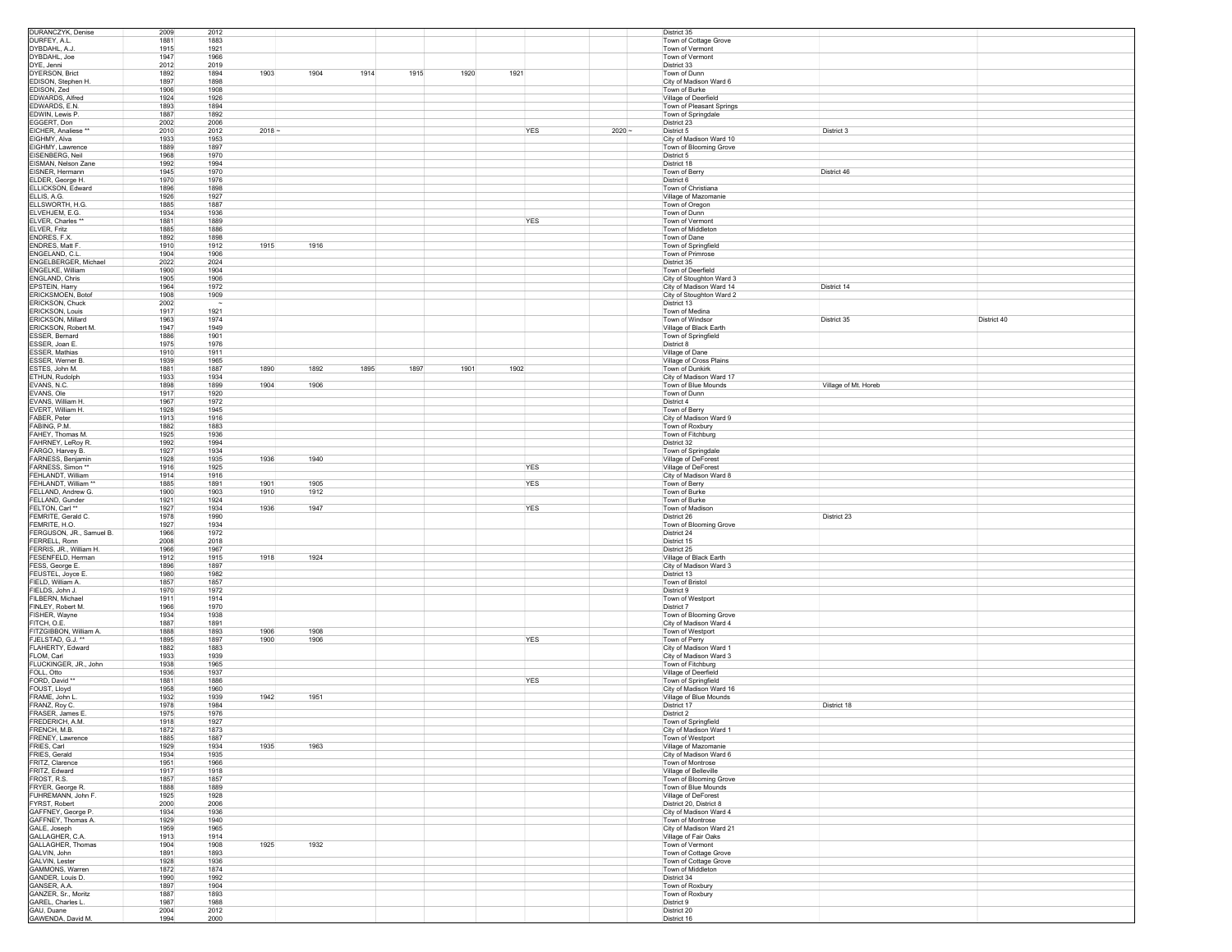| DURANCZYK, Denise                     | 2009         | 2012         |          |                      |            |          | District 35                                         |
|---------------------------------------|--------------|--------------|----------|----------------------|------------|----------|-----------------------------------------------------|
| DURFEY, A.L.                          | 1881         | 1883         |          |                      |            |          | Town of Cottage Grove                               |
| DYBDAHL, A.J.                         | 1915         | 1921         |          |                      |            |          | Town of Vermont                                     |
| DYBDAHL, Joe                          | 1947         | 1966         |          |                      |            |          | Town of Vermont                                     |
| DYE, Jenni                            | 2012         | 2019         |          |                      |            |          | District 33                                         |
| DYERSON, Brict                        | 1892         | 1903<br>1894 | 1904     | 1915<br>1914<br>1920 | 1921       |          | Town of Dunn                                        |
| EDISON, Stephen H.                    | 1897         | 1898         |          |                      |            |          | City of Madison Ward 6                              |
| EDISON, Zed                           | 1906         | 1908         |          |                      |            |          | Town of Burke                                       |
| EDWARDS, Alfred<br>EDWARDS, E.N.      | 1924<br>1893 | 1926<br>1894 |          |                      |            |          | Village of Deerfield                                |
|                                       | 1887         |              |          |                      |            |          | Town of Pleasant Springs                            |
| EDWIN, Lewis P.<br>EGGERT, Don        | 2002         | 1892<br>2006 |          |                      |            |          | Town of Springdale<br>District 23                   |
| EICHER, Analiese **                   | 2010         | 2012         | $2018 -$ |                      | YES        | $2020 -$ | District 3<br>District 5                            |
| EIGHMY, Alva                          | 1933         | 1953         |          |                      |            |          | City of Madison Ward 10                             |
| EIGHMY, Lawrence                      | 1889         | 1897         |          |                      |            |          | Town of Blooming Grove                              |
| EISENBERG, Neil                       | 1968         | 1970         |          |                      |            |          | District 5                                          |
| EISMAN, Nelson Zane                   | 1992         | 1994         |          |                      |            |          | District 18                                         |
| EISNER, Hermann                       | 1945         | 1970         |          |                      |            |          | Town of Berry<br>District 46                        |
| ELDER, George H.                      | 1970         | 1976         |          |                      |            |          | District 6                                          |
| ELLICKSON, Edward                     | 1896         | 1898         |          |                      |            |          | Town of Christiana                                  |
| ELLIS, A.G.                           | 1926         | 1927         |          |                      |            |          | Village of Mazomanie                                |
| ELLSWORTH, H.G                        | 1885         | 1887         |          |                      |            |          | Town of Oregon                                      |
| ELVEHJEM, E.G.                        | 1934         | 1936         |          |                      |            |          | Town of Dunn                                        |
| ELVER, Charles *                      | 1881         | 1889         |          |                      | YES        |          | Town of Vermont                                     |
| ELVER, Fritz                          | 1885         | 1886         |          |                      |            |          | Town of Middleton                                   |
| ENDRES, F.X.                          | 1892         | 1898         |          |                      |            |          | Town of Dane                                        |
| ENDRES, Matt F.                       | 1910         | 1915<br>1912 | 1916     |                      |            |          | Town of Springfield                                 |
| ENGELAND, C.L.                        | 1904         | 1906         |          |                      |            |          | Town of Primrose                                    |
| ENGELBERGER, Michael                  | 2022         | 2024         |          |                      |            |          | District 35                                         |
| ENGELKE, William<br>ENGLAND, Chris    | 1900<br>1905 | 1904<br>1906 |          |                      |            |          | Town of Deerfield<br>City of Stoughton Ward 3       |
|                                       |              |              |          |                      |            |          | District 14                                         |
| EPSTEIN, Harry<br>ERICKSMOEN, Botof   | 1964<br>1908 | 1972<br>1909 |          |                      |            |          | City of Madison Ward 14<br>City of Stoughton Ward 2 |
| ERICKSON, Chuck                       | 2002         | $\sim$       |          |                      |            |          | District 13                                         |
| ERICKSON, Louis                       | 1917         | 1921         |          |                      |            |          | Town of Medina                                      |
| ERICKSON, Millard                     | 1963         | 1974         |          |                      |            |          | District 40<br>Town of Windsor<br>District 35       |
| ERICKSON, Robert M.                   | 1947         | 1949         |          |                      |            |          | Village of Black Earth                              |
| ESSER, Bernard                        | 1886         | 1901         |          |                      |            |          | Town of Springfield                                 |
| ESSER, Joan E.                        | 1975         | 1976         |          |                      |            |          | District 8                                          |
| ESSER, Mathias                        | 1910         | 1911         |          |                      |            |          | Village of Dane                                     |
| ESSER, Werner B.                      | 1939         | 1965         |          |                      |            |          | Village of Cross Plains                             |
| ESTES, John M.                        | 1881         | 1887<br>1890 | 1892     | 1895<br>1897<br>1901 | 1902       |          | Town of Dunkirk                                     |
| ETHUN, Rudolph                        | 1933         | 1934         |          |                      |            |          | City of Madison Ward 17                             |
| EVANS, N.C.                           | 1898         | 1904<br>1899 | 1906     |                      |            |          | Town of Blue Mounds<br>Village of Mt. Horeb         |
| EVANS, Ole                            | 1917         | 1920         |          |                      |            |          | Town of Dunn                                        |
| EVANS, William H.                     | 1967         | 1972         |          |                      |            |          | District 4                                          |
| EVERT. William H                      | 1928         | 1945         |          |                      |            |          | Town of Berry                                       |
| FABER, Peter                          | 1913         | 1916<br>1883 |          |                      |            |          | City of Madison Ward 9                              |
| FABING, P.M.<br>FAHEY, Thomas M.      | 1882<br>1925 | 1936         |          |                      |            |          | Town of Roxbury<br>Town of Fitchburg                |
| FAHRNEY, LeRoy R                      | 1992         | 1994         |          |                      |            |          | District 32                                         |
| FARGO, Harvey B.                      | 1927         | 1934         |          |                      |            |          | Town of Springdale                                  |
| FARNESS, Benjamin                     | 1928         | 1936<br>1935 | 1940     |                      |            |          | Village of DeForest                                 |
| FARNESS, Simon *                      | 1916         | 1925         |          |                      | YES        |          | Village of DeForest                                 |
| FEHLANDT, William                     | 1914         | 1916         |          |                      |            |          | City of Madison Ward 8                              |
| FEHLANDT, William                     | 1885         | 1901<br>1891 | 1905     |                      | <b>YES</b> |          | Town of Berry                                       |
| FELLAND, Andrew G.                    | 1900         | 1903<br>1910 | 1912     |                      |            |          | Town of Burke                                       |
| FELLAND, Gunder                       | 1921         | 1924         |          |                      |            |          | Town of Burke                                       |
| FELTON, Carl **                       | 1927         | 1936<br>1934 | 1947     |                      | YES        |          | Town of Madison                                     |
| FEMRITE, Gerald C.                    | 1978         | 1990         |          |                      |            |          | District 26<br>District 23                          |
| FEMRITE, H.O.                         | 1927         | 1934         |          |                      |            |          | Town of Blooming Grove                              |
| FERGUSON, JR., Samuel B.              | 1966         | 1972         |          |                      |            |          | District 24                                         |
| FERRELL, Ronn                         | 2008         | 2018<br>1967 |          |                      |            |          | District 15                                         |
|                                       |              |              |          |                      |            |          |                                                     |
| FERRIS, JR., William H.               | 1966         |              |          |                      |            |          | District 25                                         |
| FESENFELD, Herman                     | 1912         | 1915<br>1918 | 1924     |                      |            |          | Village of Black Earth                              |
| FESS, George E.                       | 1896         | 1897         |          |                      |            |          | City of Madison Ward 3                              |
| FEUSTEL, Joyce E.                     | 1980         | 1982         |          |                      |            |          | District 13                                         |
| FIELD, William A.                     | 1857         | 1857         |          |                      |            |          | Town of Bristol                                     |
| FIELDS, John J.                       | 1970<br>1911 | 1972<br>1914 |          |                      |            |          | District 9<br>Town of Westport                      |
| FILBERN, Michael<br>FINLEY, Robert M. | 1966         | 1970         |          |                      |            |          | District 7                                          |
| FISHER, Wayne                         | 1934         | 1938         |          |                      |            |          | Town of Blooming Grove                              |
| FITCH, O.E.                           | 1887         | 1891         |          |                      |            |          | City of Madison Ward 4                              |
| FITZGIBBON, William A.                | 1888         | 1906<br>1893 | 1908     |                      |            |          | Town of Westport                                    |
| FJELSTAD, G.J. **                     | 1895         | 1897<br>1900 | 1906     |                      | YES        |          | Town of Perry                                       |
| FLAHERTY, Edward                      | 1882         | 1883         |          |                      |            |          | City of Madison Ward 1                              |
| FLOM, Carl                            | 1933         | 1939         |          |                      |            |          | City of Madison Ward 3                              |
| FLUCKINGER, JR., John                 | 1938         | 1965         |          |                      |            |          | Town of Fitchburg                                   |
| FOLL, Otto                            | 1936         | 1937         |          |                      |            |          | Village of Deerfield                                |
| FORD, David *                         | 1881         | 1886         |          |                      | YES        |          | Town of Springfield                                 |
| FOUST, Lloyd                          | 1958         | 1960<br>1939 |          |                      |            |          | City of Madison Ward 16                             |
| FRAME, John L<br>FRANZ, Roy C.        | 1932         | 1942         | 1951     |                      |            |          | Village of Blue Mounds                              |
| FRASER, James E                       | 1978<br>1975 | 1984<br>1976 |          |                      |            |          | District 17<br>District 18<br>District 2            |
| FREDERICH, A.M.                       | 1918         | 1927         |          |                      |            |          | Town of Springfield                                 |
| FRENCH, M.B.                          | 1872         | 1873         |          |                      |            |          | City of Madison Ward 1                              |
| FRENEY, Lawrence                      | 1885         | 1887         |          |                      |            |          | Town of Westport                                    |
| FRIES, Carl                           | 1929         | 1935<br>1934 | 1963     |                      |            |          | Village of Mazomanie                                |
| FRIES, Gerald                         | 1934         | 1935         |          |                      |            |          | City of Madison Ward 6                              |
| FRITZ, Clarence                       | 1951         | 1966         |          |                      |            |          | Town of Montrose                                    |
| FRITZ, Edward                         | 1917         | 1918         |          |                      |            |          | Village of Belleville                               |
| FROST, R.S.                           | 1857<br>1888 | 1857<br>1889 |          |                      |            |          | Town of Blooming Grove                              |
| FRYER, George R.                      |              |              |          |                      |            |          | Town of Blue Mounds<br>Village of DeForest          |
| FUHREMANN, John F.                    | 1925         | 1928         |          |                      |            |          |                                                     |
| FYRST, Robert<br>GAFFNEY, George P.   | 2000<br>1934 | 2006<br>1936 |          |                      |            |          | District 20, District 8<br>City of Madison Ward 4   |
| GAFFNEY, Thomas A.                    | 1929         | 1940         |          |                      |            |          | Town of Montrose                                    |
| GALE, Joseph                          | 1959         | 1965         |          |                      |            |          | City of Madison Ward 21                             |
| GALLAGHER, C.A.                       | 1913         | 1914         |          |                      |            |          | Village of Fair Oaks                                |
| GALLAGHER, Thomas                     | 1904         | 1908<br>1925 | 1932     |                      |            |          | Town of Vermont                                     |
| GALVIN, John                          | 1891         | 1893         |          |                      |            |          | Town of Cottage Grove                               |
| GALVIN, Lester                        | 1928         | 1936         |          |                      |            |          | Town of Cottage Grove                               |
| GAMMONS, Warren                       | 1872         | 1874         |          |                      |            |          | Town of Middleton                                   |
| GANDER, Louis D.                      | 1990         | 1992         |          |                      |            |          | District 34                                         |
| GANSER, A.A.                          | 1897         | 1904         |          |                      |            |          | Town of Roxbury                                     |
| GANZER, Sr., Moritz                   | 1887         | 1893<br>1988 |          |                      |            |          | Town of Roxbury<br>District 9                       |
| GAREL, Charles L.<br>GAU, Duane       | 1987<br>2004 | 2012         |          |                      |            |          | District 20                                         |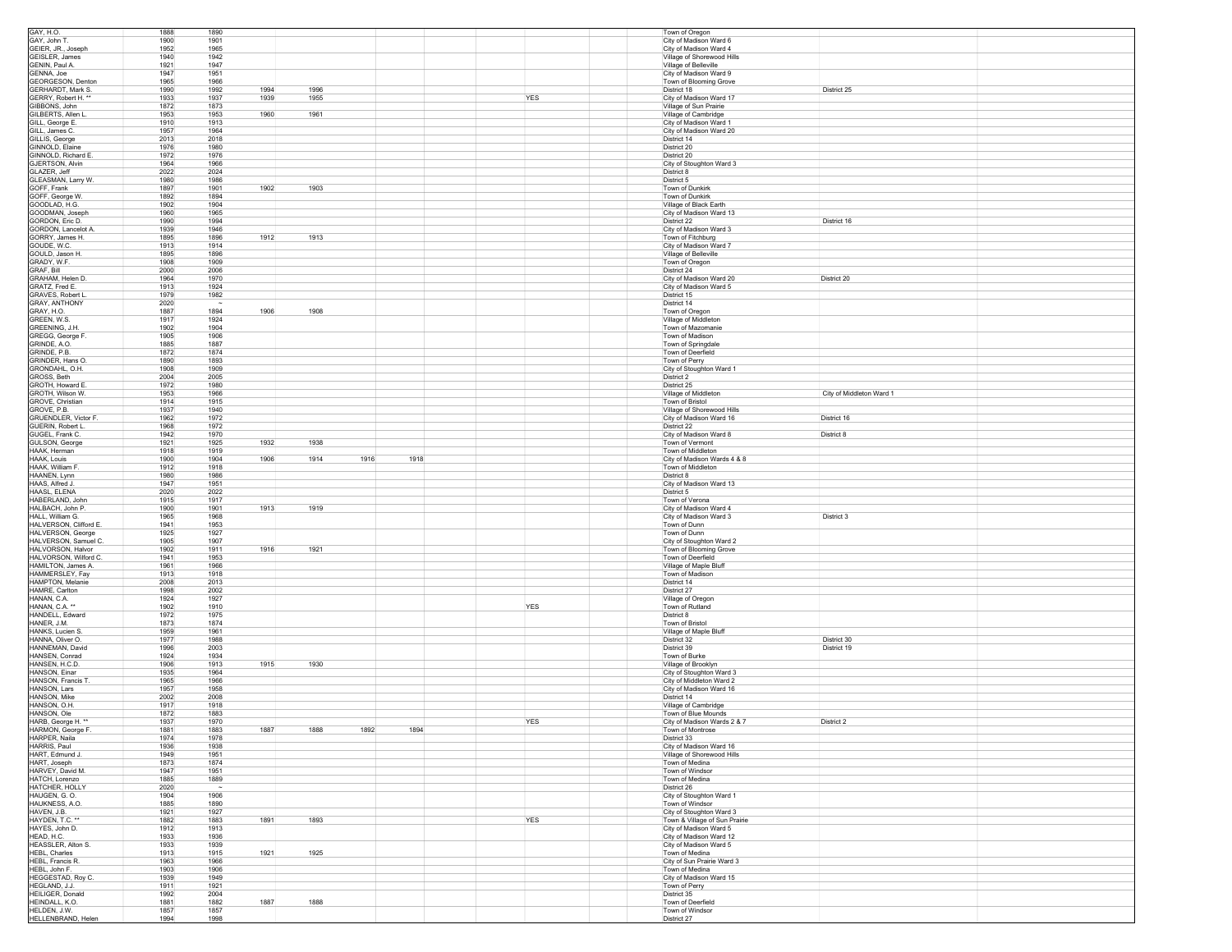| GAY, H.O.                                        | 1888         | 1890         |      |              |            | Town of Oregon                                   |
|--------------------------------------------------|--------------|--------------|------|--------------|------------|--------------------------------------------------|
| GAY, John T.                                     | 1900         | 1901         |      |              |            | City of Madison Ward 6                           |
| GEIER, JR., Joseph                               | 1952         | 1965         |      |              |            | City of Madison Ward 4                           |
| GEISLER, James                                   | 1940         | 1942         |      |              |            | Village of Shorewood Hills                       |
| GENIN, Paul A.                                   | 1921         | 1947         |      |              |            | Village of Belleville                            |
| GENNA, Joe                                       | 1947         | 1951         |      |              |            | City of Madison Ward 9                           |
| GEORGESON, Denton                                | 1965         | 1966         |      |              |            | Town of Blooming Grove                           |
| GERHARDT, Mark S.                                | 1990         | 1992<br>1994 | 1996 |              |            | District 25<br>District 18                       |
| GERRY, Robert H. *                               | 1933         | 1939<br>1937 | 1955 |              | <b>YES</b> | City of Madison Ward 17                          |
| GIBBONS, John                                    | 1872         | 1873         |      |              |            | Village of Sun Prairie                           |
| GILBERTS, Allen L                                | 1953         | 1960<br>1953 | 1961 |              |            | Village of Cambridge                             |
| GILL, George E.                                  | 1910         | 1913         |      |              |            | City of Madison Ward 1                           |
| GILL, James C.                                   | 1957         | 1964         |      |              |            | City of Madison Ward 20                          |
| GILLIS, George                                   | 2013         | 2018         |      |              |            | District 14                                      |
| GINNOLD, Elaine                                  | 1976         | 1980         |      |              |            | District 20                                      |
| GINNOLD, Richard E.                              | 1972         | 1976         |      |              |            | District 20                                      |
| GJERTSON, Alvin                                  | 1964         | 1966         |      |              |            | City of Stoughton Ward 3                         |
| GLAZER, Jeff                                     | 2022         | 2024         |      |              |            | District 8                                       |
|                                                  | 1980         | 1986         |      |              |            | District 5                                       |
| GLEASMAN, Larry W.<br>GOFF, Frank                | 1897         | 1901<br>1902 | 1903 |              |            | Town of Dunkirk                                  |
|                                                  |              |              |      |              |            |                                                  |
| GOFF, George W.                                  | 1892         | 1894         |      |              |            | Town of Dunkirk                                  |
| GOODLAD, H.G.                                    | 1902         | 1904         |      |              |            | Village of Black Earth                           |
| GOODMAN, Joseph<br>GORDON, Eric D.               | 1960         | 1965         |      |              |            | City of Madison Ward 13                          |
|                                                  | 1990         | 1994         |      |              |            | District 16<br>District 22                       |
| GORDON, Lancelot A                               | 1939         | 1946         |      |              |            | City of Madison Ward 3                           |
| GORRY, James H.                                  | 1895         | 1912<br>1896 | 1913 |              |            | Town of Fitchburg                                |
| GOUDE, W.C.                                      | 1913         | 1914         |      |              |            | City of Madison Ward 7                           |
| GOULD, Jason H.                                  | 1895         | 1896         |      |              |            | Village of Belleville                            |
| GRADY, W.F.                                      | 1908         | 1909         |      |              |            | Town of Oregon                                   |
| GRAF, Bill                                       | 2000         | 2006         |      |              |            | District 24                                      |
| GRAHAM, Helen D.                                 | 1964         | 1970         |      |              |            | City of Madison Ward 20<br>District 20           |
| GRATZ, Fred E.                                   | 1913         | 1924         |      |              |            | City of Madison Ward 5                           |
| <b>GRAVES, Robert L</b>                          | 1979         | 1982         |      |              |            | District 15                                      |
| GRAY, ANTHONY                                    | 2020         | $\sim$       |      |              |            | District 14                                      |
| GRAY, H.O.                                       | 1887         | 1894<br>1906 | 1908 |              |            | Town of Oregon                                   |
| GREEN, W.S.                                      | 1917         | 1924         |      |              |            | Village of Middleton                             |
| GREENING, J.H.                                   | 1902         | 1904         |      |              |            | Town of Mazomanie                                |
| GREGG, George F                                  | 1905         | 1906         |      |              |            | Town of Madison                                  |
| GRINDE, A.O.                                     | 1885         | 1887         |      |              |            | Town of Springdale                               |
| GRINDE, P.B.                                     | 1872         | 1874         |      |              |            | Town of Deerfield                                |
| GRINDER, Hans O.                                 | 1890         | 1893         |      |              |            | Town of Perry                                    |
| GRONDAHL, O.H.                                   | 1908         | 1909         |      |              |            | City of Stoughton Ward 1                         |
| GROSS, Beth                                      | 2004         | 2005         |      |              |            | District 2                                       |
| GROTH, Howard E                                  | 1972         | 1980         |      |              |            | District 25                                      |
| GROTH, Wilson W.                                 | 1953         | 1966         |      |              |            | City of Middleton Ward 1<br>Village of Middleton |
|                                                  |              |              |      |              |            |                                                  |
| GROVE, Christian<br>GROVE, P.B.                  | 1914<br>1937 | 1915<br>1940 |      |              |            | Town of Bristol                                  |
|                                                  |              |              |      |              |            | Village of Shorewood Hills                       |
| GRUENDLER, Victor F.                             | 1962         | 1972         |      |              |            | City of Madison Ward 16<br>District 16           |
| GUERIN, Robert L.                                | 1968         | 1972         |      |              |            | District 22                                      |
| GUGEL, Frank C.                                  | 1942         | 1970         |      |              |            | City of Madison Ward 8<br>District 8             |
| GULSON, George                                   | 1921         | 1925<br>1932 | 1938 |              |            | Town of Vermont                                  |
| HAAK, Herman                                     | 1918         | 1919         |      |              |            | Town of Middleton                                |
| HAAK, Louis                                      | 1900         | 1904<br>1906 | 1914 | 1918<br>1916 |            | City of Madison Wards 4 & 8                      |
| HAAK, William F.                                 | 1912         | 1918         |      |              |            | Town of Middleton                                |
|                                                  |              |              |      |              |            |                                                  |
| HAANEN, Lynn                                     | 1980         | 1986         |      |              |            | District 8                                       |
| HAAS, Alfred J.                                  | 1947         | 1951         |      |              |            | City of Madison Ward 13                          |
| HAASL, ELENA                                     | 2020         | 2022         |      |              |            | District 5                                       |
|                                                  |              |              |      |              |            |                                                  |
| HABERLAND, John<br>HALBACH, John P.              | 1915         | 1917         |      |              |            | Town of Verona                                   |
|                                                  | 1900         | 1913<br>1901 | 1919 |              |            | City of Madison Ward 4                           |
| HALL, William G.                                 | 1965         | 1968         |      |              |            | City of Madison Ward 3<br>District 3             |
| HALVERSON, Clifford E.                           | 1941         | 1953         |      |              |            | Town of Dunn                                     |
| HALVERSON, George                                | 1925         | 1927         |      |              |            | Town of Dunn                                     |
| HALVERSON, Samuel C.                             | 1905         | 1907         |      |              |            | City of Stoughton Ward 2                         |
| HALVORSON, Halvor                                | 1902         | 1911<br>1916 | 1921 |              |            | Town of Blooming Grove                           |
| HALVORSON, Wilford C.                            | 1941         | 1953         |      |              |            | Town of Deerfield                                |
| HAMILTON, James A.                               | 1961         | 1966         |      |              |            | Village of Maple Bluff                           |
| HAMMERSLEY, Fay                                  | 1913         | 1918         |      |              |            | Town of Madison                                  |
| HAMPTON, Melanie                                 | 2008         | 2013         |      |              |            | District 14                                      |
| HAMRE, Carlton                                   | 1998         | 2002         |      |              |            | District 27                                      |
| HANAN, C.A.                                      | 1924         | 1927         |      |              |            | Village of Oregon                                |
| HANAN, C.A. *                                    | 1902         | 1910         |      |              | YES        | Town of Rutland                                  |
| HANDELL, Edward                                  | 1972         | 1975         |      |              |            | District 8                                       |
| HANER, J.M.                                      | 1873         | 1874         |      |              |            | Town of Bristol                                  |
| HANKS, Lucien S.                                 | 1959         | 1961         |      |              |            | Village of Maple Bluff                           |
| HANNA, Oliver O.                                 | 1977         | 1988         |      |              |            | District 30<br>District 32                       |
| HANNEMAN, David                                  | 1996         | 2003         |      |              |            | District 39<br>District 19                       |
| HANSEN, Conrad                                   | 1924         | 1934         |      |              |            | Town of Burke                                    |
| HANSEN, H.C.D.                                   | 1906         | 1913<br>1915 | 1930 |              |            | Village of Brooklyn                              |
| HANSON, Einar                                    | 1935         | 1964         |      |              |            | City of Stoughton Ward 3                         |
| HANSON, Francis T                                | 1965         | 1966         |      |              |            | City of Middleton Ward 2                         |
| HANSON, Lars                                     | 1957         | 1958         |      |              |            | City of Madison Ward 16                          |
| HANSON, Mike                                     | 2002         | 2008         |      |              |            | District 14                                      |
| HANSON, O.H.                                     | 1917         | 1918         |      |              |            | Village of Cambridge                             |
| HANSON, Ole                                      | 1872         | 1883         |      |              |            | Town of Blue Mounds                              |
| HARB, George H. **                               | 1937         | 1970         |      |              | <b>YES</b> | District 2<br>City of Madison Wards 2 & 7        |
| HARMON. George F                                 | 1881         | 1883<br>1887 | 1888 | 1892<br>1894 |            | Town of Montrose                                 |
| HARPER, Naila                                    | 1974         | 1978         |      |              |            | District 33                                      |
| HARRIS, Paul                                     |              | 1938         |      |              |            |                                                  |
|                                                  | 1936         |              |      |              |            | City of Madison Ward 16                          |
| HART, Edmund J.                                  | 1949         | 1951         |      |              |            | Village of Shorewood Hills                       |
| HART, Joseph                                     | 1873         | 1874         |      |              |            | Town of Medina                                   |
| HARVEY, David M.                                 | 1947         | 1951         |      |              |            | Town of Windsor                                  |
| HATCH, Lorenzo                                   | 1885         | 1889         |      |              |            | Town of Medina                                   |
| HATCHER, HOLLY                                   | 2020         | $\sim$       |      |              |            | District 26                                      |
| HAUGEN, G. O.                                    | 1904         | 1906         |      |              |            | City of Stoughton Ward 1                         |
|                                                  | 1885         | 1890         |      |              |            | Town of Windsor                                  |
|                                                  | 1921         | 1927         |      |              |            | City of Stoughton Ward 3                         |
| HAUKNESS, A.O.<br>HAVEN, J.B.<br>HAYDEN, T.C. ** | 1882         | 1891<br>1883 | 1893 |              | <b>YES</b> | Town & Village of Sun Prairie                    |
| HAYES, John D.                                   | 1912         | 1913         |      |              |            | City of Madison Ward 5                           |
| HEAD, H.C.                                       | 1933         | 1936         |      |              |            | City of Madison Ward 12                          |
| HEASSLER, Alton S.                               | 1933         | 1939         |      |              |            | City of Madison Ward 5                           |
| HEBL, Charles                                    | 1913         | 1915<br>1921 | 1925 |              |            | Town of Medina                                   |
| HEBL, Francis R.                                 | 1963         | 1966         |      |              |            | City of Sun Prairie Ward 3                       |
| HEBL, John F.                                    | 1903         | 1906         |      |              |            | Town of Medina                                   |
| HEGGESTAD, Roy C.                                | 1939         | 1949         |      |              |            | City of Madison Ward 15                          |
| HEGLAND, J.J.                                    | 1911         | 1921         |      |              |            | Town of Perry                                    |
| HEILIGER, Donald                                 | 1992         | 2004         |      |              |            | District 35                                      |
| HEINDALL, K.O.                                   | 1881         | 1887<br>1882 | 1888 |              |            | Town of Deerfield                                |
| HELDEN, J.W.<br>HELLENBRAND, Helen               | 1857<br>1994 | 1857         |      |              |            | Town of Windsor<br>District 27                   |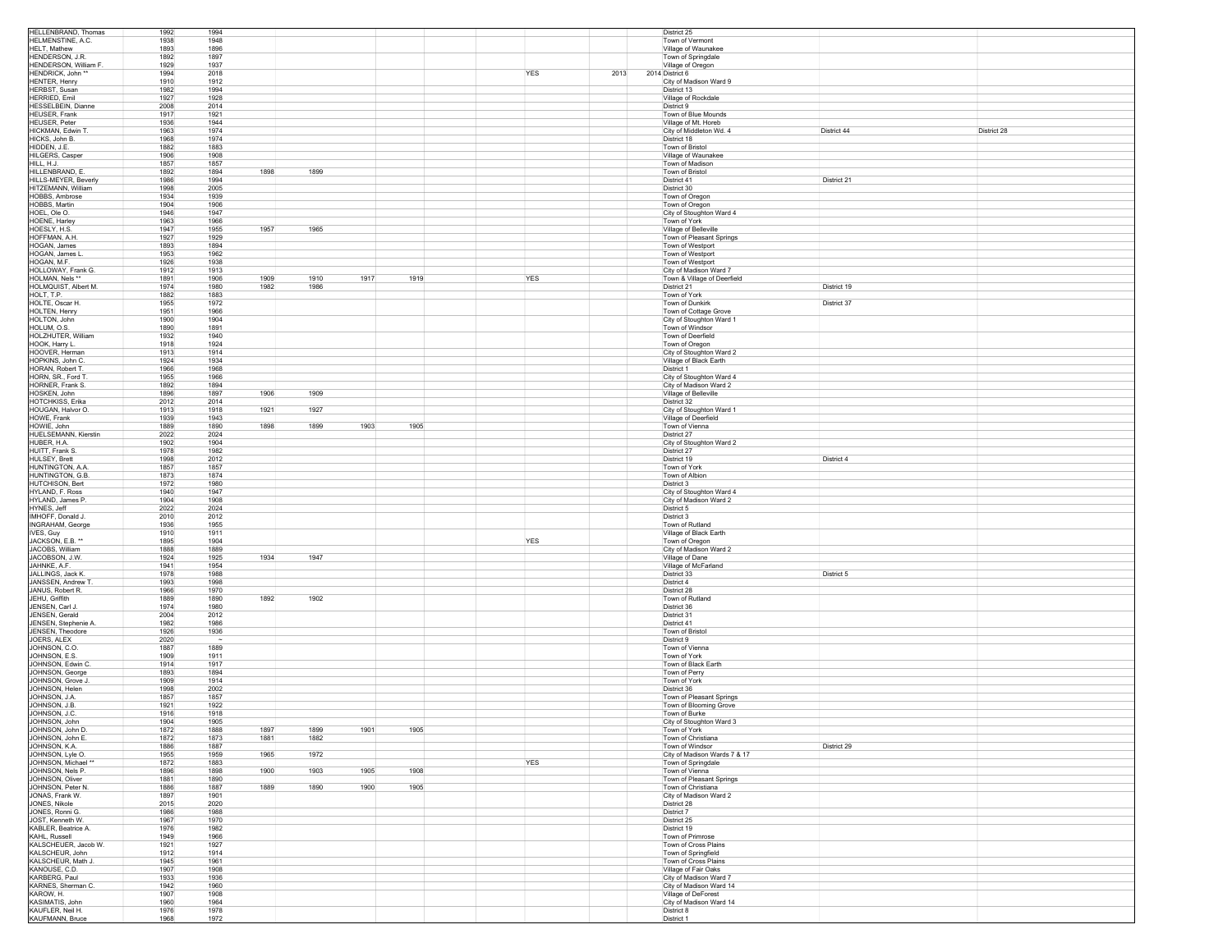| HELLENBRAND, Thomas                              | 1992         | 1994         |              |              |      |      |            |      | District 25                                           |
|--------------------------------------------------|--------------|--------------|--------------|--------------|------|------|------------|------|-------------------------------------------------------|
| HELMENSTINE, A.C.                                | 1938         | 1948         |              |              |      |      |            |      | Town of Vermont                                       |
| HELT, Mathew<br>HENDERSON JR                     | 1893<br>1892 | 1896<br>1897 |              |              |      |      |            |      | Village of Waunakee<br>Town of Springdale             |
| HENDERSON, William F.                            | 1929         | 1937         |              |              |      |      |            |      | Village of Oregon                                     |
| HENDRICK, John **                                | 1994         | 2018         |              |              |      |      | YES        | 2013 | 2014 District 6                                       |
| HENTER, Henry                                    | 1910         | 1912         |              |              |      |      |            |      | City of Madison Ward 9                                |
| <b>HERBST, Susan</b>                             | 1982         | 1994         |              |              |      |      |            |      | District 13                                           |
| <b>HERRIED, Emil</b><br><b>HESSELBEIN Dianne</b> | 1927<br>2008 | 1928<br>2014 |              |              |      |      |            |      | Village of Rockdale<br>District 9                     |
| HEUSER, Frank                                    | 1917         | 1921         |              |              |      |      |            |      | Town of Blue Mounds                                   |
| <b>HEUSER, Peter</b>                             | 1936         | 1944         |              |              |      |      |            |      | Village of Mt. Horeb                                  |
| HICKMAN, Edwin T                                 | 1963         | 1974         |              |              |      |      |            |      | City of Middleton Wd. 4<br>District 44<br>District 28 |
| HICKS, John B.                                   | 1968         | 1974         |              |              |      |      |            |      | District 18                                           |
| HIDDEN, J.E.                                     | 1882         | 1883         |              |              |      |      |            |      | Town of Bristol                                       |
| HILGERS, Casper<br>HILL, H.J.                    | 1906<br>1857 | 1908<br>1857 |              |              |      |      |            |      | Village of Waunakee<br>Town of Madison                |
| HILLENBRAND, E.                                  | 1892         | 1894         | 1898         | 1899         |      |      |            |      | Town of Bristol                                       |
| HILLS-MEYER, Beverly                             | 1986         | 1994         |              |              |      |      |            |      | District 41<br>District 21                            |
| HITZEMANN, William                               | 1998         | 2005         |              |              |      |      |            |      | District 30                                           |
| <b>HOBBS, Ambrose</b>                            | 1934         | 1939         |              |              |      |      |            |      | Town of Oregon                                        |
| HOBBS, Martin<br>HOEL, Ole O.                    | 1904<br>1946 | 1906<br>1947 |              |              |      |      |            |      | Town of Oregon                                        |
| HOENE, Harley                                    | 1963         | 1966         |              |              |      |      |            |      | City of Stoughton Ward 4<br>Town of York              |
| HOESLY, H.S.                                     | 1947         | 1955         | 1957         | 1965         |      |      |            |      | Village of Belleville                                 |
| HOFFMAN, A.H.                                    | 1927         | 1929         |              |              |      |      |            |      | Town of Pleasant Springs                              |
| HOGAN, James                                     | 1893         | 1894         |              |              |      |      |            |      | Town of Westport                                      |
| HOGAN, James L.                                  | 1953         | 1962         |              |              |      |      |            |      | Town of Westport                                      |
| HOGAN, M.F.                                      | 1926         | 1938         |              |              |      |      |            |      | Town of Westport                                      |
| HOLLOWAY, Frank G.<br>HOLMAN, Nels **            | 1912<br>1891 | 1913<br>1906 | 1909         | 1910         | 1917 | 1919 | <b>YES</b> |      | City of Madison Ward 7<br>Town & Village of Deerfield |
| HOLMQUIST, Albert M.                             | 1974         | 1980         | 1982         | 1986         |      |      |            |      | District 19<br>District 21                            |
| HOLT. T.P.                                       | 1882         | 1883         |              |              |      |      |            |      | Town of York                                          |
| HOLTE, Oscar H.                                  | 1955         | 1972         |              |              |      |      |            |      | District 37<br>Town of Dunkirk                        |
| HOLTEN, Henry                                    | 1951         | 1966         |              |              |      |      |            |      | Town of Cottage Grove                                 |
| HOLTON, John                                     | 1900         | 1904         |              |              |      |      |            |      | City of Stoughton Ward 1                              |
| HOLUM, O.S.<br>HOLZHUTER, William                | 1890<br>1932 | 1891<br>1940 |              |              |      |      |            |      | Town of Windsor<br>Town of Deerfield                  |
| HOOK, Harry L.                                   | 1918         | 1924         |              |              |      |      |            |      | Town of Oregon                                        |
| <b>HOOVER, Herman</b>                            | 1913         | 1914         |              |              |      |      |            |      | City of Stoughton Ward 2                              |
| HOPKINS, John C.                                 | 1924         | 1934         |              |              |      |      |            |      | Village of Black Earth                                |
| HORAN, Robert T.                                 | 1966         | 1968         |              |              |      |      |            |      | District 1                                            |
| HORN, SR., Ford T                                | 1955         | 1966         |              |              |      |      |            |      | City of Stoughton Ward 4                              |
| HORNER, Frank S.                                 | 1892         | 1894         |              |              |      |      |            |      | City of Madison Ward 2                                |
| HOSKEN, John                                     | 1896         | 1897         | 1906         | 1909         |      |      |            |      | Village of Belleville                                 |
| HOTCHKISS, Erika<br>HOUGAN, Halvor O.            | 2012<br>1913 | 2014<br>1918 | 1921         | 1927         |      |      |            |      | District 32                                           |
| HOWE, Frank                                      | 1939         | 1943         |              |              |      |      |            |      | City of Stoughton Ward 1<br>Village of Deerfield      |
| HOWIE, John                                      | 1889         | 1890         | 1898         | 1899         | 1903 | 1905 |            |      | Town of Vienna                                        |
| HUELSEMANN, Kierstin                             | 2022         | 2024         |              |              |      |      |            |      | District 27                                           |
| HUBER, H.A.                                      | 1902         | 1904         |              |              |      |      |            |      | City of Stoughton Ward 2                              |
| HUITT, Frank S.                                  | 1978         | 1982         |              |              |      |      |            |      | District 27                                           |
| HULSEY, Brett                                    | 1998         | 2012         |              |              |      |      |            |      | District 19<br>District 4                             |
| HUNTINGTON, A.A.                                 | 1857         | 1857         |              |              |      |      |            |      | Town of York                                          |
| HUNTINGTON, G.B.<br>HUTCHISON, Bert              | 1873<br>1972 | 1874<br>1980 |              |              |      |      |            |      | Town of Albion<br>District 3                          |
| HYLAND, F. Ross                                  | 1940         | 1947         |              |              |      |      |            |      | City of Stoughton Ward 4                              |
| HYLAND, James P.                                 | 1904         | 1908         |              |              |      |      |            |      | City of Madison Ward 2                                |
| HYNES, Jeff                                      | 2022         | 2024         |              |              |      |      |            |      | District 5                                            |
| IMHOFF. Donald J                                 | 2010         | 2012         |              |              |      |      |            |      | District 3                                            |
| INGRAHAM, George                                 | 1936         | 1955         |              |              |      |      |            |      | Town of Rutland                                       |
| IVES, Guy                                        | 1910         | 1911         |              |              |      |      |            |      | Village of Black Earth                                |
| JACKSON, E.B. *<br>JACOBS, William               | 1895<br>1888 | 1904<br>1889 |              |              |      |      | YES        |      | Town of Oregon<br>City of Madison Ward 2              |
| JACOBSON, J.W.                                   | 1924         | 1925         | 1934         | 1947         |      |      |            |      | Village of Dane                                       |
| JAHNKE, A.F.                                     | 1941         | 1954         |              |              |      |      |            |      | Village of McFarland                                  |
| JALLINGS, Jack K.                                | 1978         | 1988         |              |              |      |      |            |      | District 33<br>District 5                             |
| JANSSEN, Andrew T                                | 1993         | 1998         |              |              |      |      |            |      | District 4                                            |
| JANUS, Robert R.                                 | 1966         | 1970         |              |              |      |      |            |      | District 28                                           |
| JEHU, Griffith                                   | 1889         | 1890         | 1892         | 1902         |      |      |            |      | Town of Rutland                                       |
| JENSEN, Carl J.<br>JENSEN, Gerald                | 1974<br>2004 | 1980<br>2012 |              |              |      |      |            |      | District 36<br>District 31                            |
| JENSEN, Stephenie A.                             | 1982         | 1986         |              |              |      |      |            |      | District 41                                           |
| JENSEN, Theodore                                 | 1926         | 1936         |              |              |      |      |            |      | Town of Bristol                                       |
| JOERS, ALEX                                      | 2020         |              |              |              |      |      |            |      | District 9                                            |
| JOHNSON, C.O.                                    | 1887         | 1889         |              |              |      |      |            |      | Town of Vienna                                        |
| JOHNSON F.S.                                     | 1909         | 1911         |              |              |      |      |            |      | Town of York                                          |
| JOHNSON, Edwin C.                                | 1914         | 1917<br>1894 |              |              |      |      |            |      | Town of Black Earth                                   |
| JOHNSON, George<br>JOHNSON, Grove J.             | 1893<br>1909 | 1914         |              |              |      |      |            |      | Town of Perry<br>Town of York                         |
| JOHNSON, Helen                                   | 1998         | 2002         |              |              |      |      |            |      | District 36                                           |
| JOHNSON, J.A.                                    | 1857         | 1857         |              |              |      |      |            |      | Town of Pleasant Springs                              |
| JOHNSON, J.B.                                    | 1921         | 1922         |              |              |      |      |            |      | Town of Blooming Grove                                |
| JOHNSON, J.C.                                    | 1916         | 1918         |              |              |      |      |            |      | Town of Burke                                         |
| JOHNSON, John                                    | 1904         | 1905         |              |              |      |      |            |      | City of Stoughton Ward 3                              |
| JOHNSON, John D.<br>JOHNSON, John E.             | 1872<br>1872 | 1888<br>1873 | 1897<br>1881 | 1899<br>1882 | 1901 | 1905 |            |      | Town of York<br>Town of Christiana                    |
| JOHNSON, K.A.                                    | 1886         | 1887         |              |              |      |      |            |      | Town of Windsor<br>District 29                        |
| JOHNSON, Lyle O.                                 | 1955         | 1959         | 1965         | 1972         |      |      |            |      | City of Madison Wards 7 & 17                          |
| JOHNSON, Michael **                              | 1872         | 1883         |              |              |      |      | <b>YES</b> |      | Town of Springdale                                    |
| JOHNSON, Nels P.                                 | 1896         | 1898         | 1900         | 1903         | 1905 | 1908 |            |      | Town of Vienna                                        |
| JOHNSON, Oliver                                  | 1881         | 1890         |              |              |      |      |            |      | Town of Pleasant Springs                              |
| JOHNSON, Peter N.<br>JONAS, Frank W.             | 1886<br>1897 | 1887<br>1901 | 1889         | 1890         | 1900 | 1905 |            |      | Town of Christiana<br>City of Madison Ward 2          |
| JONES, Nikole                                    | 2015         | 2020         |              |              |      |      |            |      | District 28                                           |
| JONES, Ronni G.                                  | 1986         | 1988         |              |              |      |      |            |      | District 7                                            |
| JOST, Kenneth W.                                 | 1967         | 1970         |              |              |      |      |            |      | District 25                                           |
| KABLER, Beatrice A.                              | 1976         | 1982         |              |              |      |      |            |      | District 19                                           |
| KAHL, Russell                                    | 1949         | 1966         |              |              |      |      |            |      | Town of Primrose                                      |
| KALSCHEUER, Jacob W.                             | 1921         | 1927         |              |              |      |      |            |      | Town of Cross Plains                                  |
| KALSCHEUR, John                                  | 1912         | 1914         |              |              |      |      |            |      | Town of Springfield                                   |
| KALSCHEUR, Math J.<br>KANOUSE, C.D.              | 1945<br>1907 | 1961<br>1908 |              |              |      |      |            |      | Town of Cross Plains<br>Village of Fair Oaks          |
| KARBERG, Paul                                    | 1933         | 1936         |              |              |      |      |            |      | City of Madison Ward 7                                |
| KARNES, Sherman C.                               | 1942         | 1960         |              |              |      |      |            |      | City of Madison Ward 14                               |
| KAROW. H.                                        | 1907         | 1908         |              |              |      |      |            |      | Village of DeForest                                   |
| KASIMATIS, John                                  | 1960         | 1964         |              |              |      |      |            |      | City of Madison Ward 14                               |
| KAUFLER, Neil H.                                 | 1976         | 1978         |              |              |      |      |            |      | District 8                                            |
| KAUFMANN, Bruce                                  | 1968         | 1972         |              |              |      |      |            |      | District 1                                            |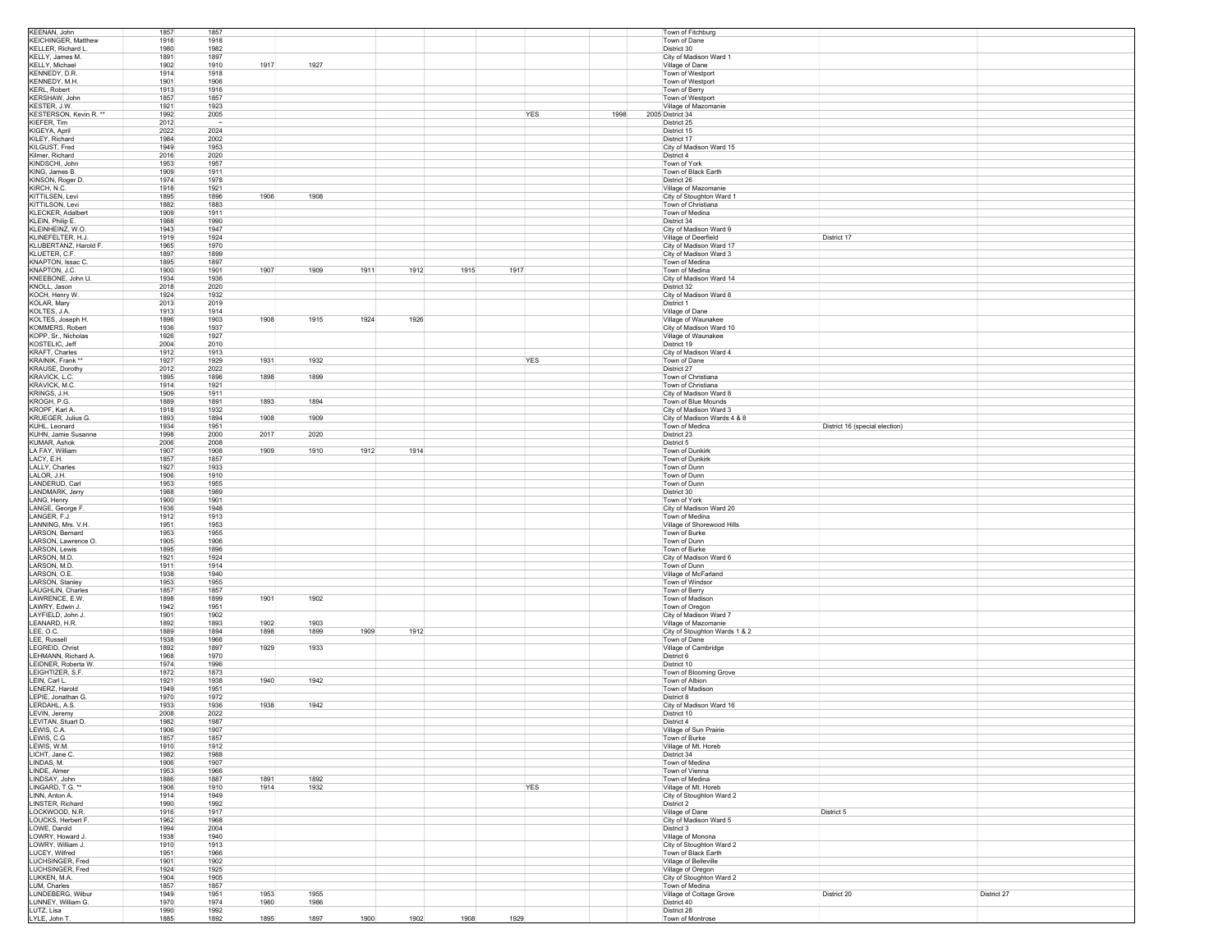| KEENAN, John                           | 1857         | 1857                         |              |              |      |            |      |                            | Town of Fitchburg                                     |                                |
|----------------------------------------|--------------|------------------------------|--------------|--------------|------|------------|------|----------------------------|-------------------------------------------------------|--------------------------------|
| KEICHINGER, Matthew                    | 1916         | 1918                         |              |              |      |            |      |                            | Town of Dane                                          |                                |
| KELLER, Richard L.<br>KELLY, James M.  | 1980<br>1891 | 1982<br>1897                 |              |              |      |            |      | District 30                | City of Madison Ward 1                                |                                |
| KELLY, Michael                         | 1902         | 1917<br>1910                 | 1927         |              |      |            |      |                            | Village of Dane                                       |                                |
| KENNEDY, D.R.                          | 1914         | 1918                         |              |              |      |            |      |                            | Town of Westport                                      |                                |
| KENNEDY, M.H.                          | 1901         | 1906                         |              |              |      |            |      |                            | Town of Westport                                      |                                |
| KERL, Robert                           | 1913         | 1916                         |              |              |      |            |      |                            | Town of Berry                                         |                                |
| KERSHAW, John<br>KESTER, J.W.          | 1857<br>1921 | 1857<br>1923                 |              |              |      |            |      |                            | Town of Westport<br>Village of Mazomanie              |                                |
| <b>KESTERSON, Kevin R. **</b>          | 1992         | 2005                         |              |              |      | <b>YES</b> | 1998 | 2005 District 34           |                                                       |                                |
| KIEFER, Tim                            | 2012         | $\sim$                       |              |              |      |            |      | District 25                |                                                       |                                |
| KIGEYA, April                          | 2022         | 2024                         |              |              |      |            |      | District 15                |                                                       |                                |
| KILEY, Richard                         | 1984         | 2002                         |              |              |      |            |      | District 17                |                                                       |                                |
| KILGUST, Fred                          | 1949         | 1953                         |              |              |      |            |      |                            | City of Madison Ward 15                               |                                |
| Kilmer, Richard<br>KINDSCHI, John      | 2016<br>1953 | 2020<br>1957                 |              |              |      |            |      | District 4                 | Town of York                                          |                                |
| KING, James B.                         | 1909         | 1911                         |              |              |      |            |      |                            | Town of Black Earth                                   |                                |
| KINSON, Roger D.                       | 1974         | 1978                         |              |              |      |            |      | District 26                |                                                       |                                |
| KIRCH, N.C.                            | 1918         | 1921                         |              |              |      |            |      |                            | Village of Mazomanie                                  |                                |
| KITTII SFN Levi                        | 1895         | 1906<br>1896                 | 1908         |              |      |            |      |                            | City of Stoughton Ward 1                              |                                |
| KITTILSON, Levi                        | 1882<br>1909 | 1883                         |              |              |      |            |      |                            | Town of Christiana                                    |                                |
| KLECKER, Adalbert<br>KLEIN, Philip E.  | 1988         | 1911<br>1990                 |              |              |      |            |      | District 34                | Town of Medina                                        |                                |
| KLEINHEINZ, W.O                        | 1943         | 1947                         |              |              |      |            |      |                            | City of Madison Ward 9                                |                                |
| KLINEFELTER, H.J.                      | 1919         | 1924                         |              |              |      |            |      |                            | Village of Deerfield                                  | District 17                    |
| KLUBERTANZ, Harold F.                  | 1965         | 1970                         |              |              |      |            |      |                            | City of Madison Ward 17                               |                                |
| KLUETER, C.F.                          | 1897         | 1899                         |              |              |      |            |      |                            | City of Madison Ward 3                                |                                |
| KNAPTON, Issac C.<br>KNAPTON, J.C.     | 1895<br>1900 | 1897<br>1901<br>1907         | 1909         | 1911<br>1912 | 1915 | 1917       |      |                            | Town of Medina<br>Town of Medina                      |                                |
| KNEEBONE, John U.                      | 1934         | 1936                         |              |              |      |            |      |                            | City of Madison Ward 14                               |                                |
| KNOLL, Jason                           | 2018         | 2020                         |              |              |      |            |      | District 32                |                                                       |                                |
| KOCH, Henry W                          | 1924         | 1932                         |              |              |      |            |      |                            | City of Madison Ward 8                                |                                |
| KOLAR, Marv                            | 2013         | 2019                         |              |              |      |            |      | District 1                 |                                                       |                                |
| KOLTES, J.A.                           | 1913         | 1914                         |              |              |      |            |      |                            | Village of Dane                                       |                                |
| KOLTES, Joseph H.                      | 1896         | 1908<br>1903                 | 1915         | 1924<br>1926 |      |            |      |                            | Village of Waunakee                                   |                                |
| KOMMERS, Robert<br>KOPP, Sr., Nicholas | 1936<br>1926 | 1937<br>1927                 |              |              |      |            |      |                            | City of Madison Ward 10<br>Village of Waunakee        |                                |
| KOSTELIC, Jeff                         | 2004         | 2010                         |              |              |      |            |      | District 19                |                                                       |                                |
| <b>KRAFT, Charles</b>                  | 1912         | 1913                         |              |              |      |            |      |                            | City of Madison Ward 4                                |                                |
| KRAINIK, Frank **                      | 1927         | 1929<br>1931                 | 1932         |              |      | YES        |      |                            | Town of Dane                                          |                                |
| KRAUSE, Dorothy                        | 2012         | 2022                         |              |              |      |            |      | District 27                |                                                       |                                |
| KRAVICK, L.C.                          | 1895         | 1898<br>1896                 | 1899         |              |      |            |      |                            | Town of Christiana                                    |                                |
| KRAVICK, M.C.<br>KRINGS, J.H.          | 1914<br>1909 | 1921<br>1911                 |              |              |      |            |      |                            | Town of Christiana<br>City of Madison Ward 8          |                                |
| KROGH. P.G.                            | 1889         | 1893<br>1891                 | 1894         |              |      |            |      |                            | Town of Blue Mounds                                   |                                |
| KROPF, Karl A.                         | 1918         | 1932                         |              |              |      |            |      |                            | City of Madison Ward 3                                |                                |
| KRUEGER, Julius G.                     | 1893         | 1908<br>1894                 | 1909         |              |      |            |      |                            | City of Madison Wards 4 & 8                           |                                |
| KUHL, Leonard                          | 1934         | 1951                         |              |              |      |            |      |                            | Town of Medina                                        | District 16 (special election) |
| KUHN, Jamie Susanne<br>KUMAR, Ashok    | 1998<br>2006 | 2017<br>2000<br>2008         | 2020         |              |      |            |      | District 23<br>District 5  |                                                       |                                |
| LA FAY, William                        | 1907         | 1908<br>1909                 | 1910         | 1912<br>1914 |      |            |      |                            | Town of Dunkirk                                       |                                |
| LACY, E.H.                             | 1857         | 1857                         |              |              |      |            |      |                            | Town of Dunkirk                                       |                                |
| LALLY, Charles                         | 1927         | 1933                         |              |              |      |            |      |                            | Town of Dunn                                          |                                |
| LALOR, J.H.                            | 1906         | 1910                         |              |              |      |            |      |                            | Town of Dunn                                          |                                |
| LANDERUD, Carl                         | 1953         | 1955                         |              |              |      |            |      |                            | Town of Dunn                                          |                                |
| LANDMARK, Jerry                        | 1988<br>1900 | 1989<br>1901                 |              |              |      |            |      | District 30                |                                                       |                                |
|                                        |              |                              |              |              |      |            |      |                            | Town of York<br>City of Madison Ward 20               |                                |
| LANG, Henry                            |              |                              |              |              |      |            |      |                            |                                                       |                                |
| LANGE, George F.                       | 1936         | 1948                         |              |              |      |            |      |                            |                                                       |                                |
| LANGER, F.J.<br>LANNING, Mrs. V.H.     | 1912<br>1951 | 1913<br>1953                 |              |              |      |            |      |                            | Town of Medina<br>Village of Shorewood Hills          |                                |
| LARSON, Bernard                        | 1953         | 1955                         |              |              |      |            |      |                            | Town of Burke                                         |                                |
| LARSON, Lawrence O.                    | 1905         | 1906                         |              |              |      |            |      |                            | Town of Dunn                                          |                                |
| LARSON, Lewis                          | 1895         | 1896                         |              |              |      |            |      |                            | Town of Burke                                         |                                |
| LARSON, M.D.                           | 1921         | 1924                         |              |              |      |            |      |                            | City of Madison Ward 6                                |                                |
| LARSON, M.D.<br>LARSON, O.E.           | 1911<br>1938 | 1914<br>1940                 |              |              |      |            |      |                            | Town of Dunn                                          |                                |
| LARSON, Stanley                        | 1953         | 1955                         |              |              |      |            |      |                            | Village of McFarland<br>Town of Windsor               |                                |
| LAUGHLIN, Charles                      | 1857         | 1857                         |              |              |      |            |      |                            | Town of Berry                                         |                                |
| LAWRENCE, E.W.                         | 1898         | 1901<br>1899                 | 1902         |              |      |            |      |                            | Town of Madison                                       |                                |
| LAWRY, Edwin J.                        | 1942         | 1951                         |              |              |      |            |      |                            | Town of Oregon                                        |                                |
| LAYFIELD, John J.                      | 1901         | 1902                         |              |              |      |            |      |                            | City of Madison Ward 7                                |                                |
| LEANARD, H.R.<br>LEE, O.C.             | 1892<br>1889 | 1902<br>1893<br>1894<br>1898 | 1903<br>1899 | 1909<br>1912 |      |            |      |                            | Village of Mazomanie<br>City of Stoughton Wards 1 & 2 |                                |
| LEE, Russell                           | 1938         | 1966                         |              |              |      |            |      |                            | Town of Dane                                          |                                |
| LEGREID, Christ                        | 1892         | 1897<br>1929                 | 1933         |              |      |            |      |                            | Village of Cambridge                                  |                                |
| LEHMANN, Richard A.                    | 1968         | 1970                         |              |              |      |            |      | District 6                 |                                                       |                                |
| LEIDNER, Roberta W.                    | 1974         | 1996                         |              |              |      |            |      | District 10                |                                                       |                                |
| LEIGHTIZER, S.F.                       | 1872         | 1873                         |              |              |      |            |      |                            | Town of Blooming Grove                                |                                |
| LEIN, Carl L.<br>LENERZ, Harold        | 1921<br>1949 | 1938<br>1940<br>1951         | 1942         |              |      |            |      |                            | Town of Albion<br>Town of Madison                     |                                |
| LEPIE, Jonathan G                      | 1970         | 1972                         |              |              |      |            |      | District 8                 |                                                       |                                |
| LERDAHL, A.S.                          | 1933         | 1936<br>1938                 | 1942         |              |      |            |      |                            | City of Madison Ward 16                               |                                |
| LEVIN, Jeremy                          | 2008         | 2022                         |              |              |      |            |      | District 10                |                                                       |                                |
| LEVITAN, Stuart D                      | 1982         | 1987                         |              |              |      |            |      | District 4                 |                                                       |                                |
| LEWIS, C.A.                            | 1906         | 1907                         |              |              |      |            |      |                            | Village of Sun Prairie                                |                                |
| LEWIS, C.G.<br>LEWIS, W.M.             | 1857<br>1910 | 1857<br>1912                 |              |              |      |            |      |                            | Town of Burke<br>Village of Mt. Horeb                 |                                |
| LICHT, Jane C.                         | 1982         | 1988                         |              |              |      |            |      | District 34                |                                                       |                                |
| LINDAS, M.                             | 1906         | 1907                         |              |              |      |            |      |                            | Town of Medina                                        |                                |
| LINDE, Almer                           | 1953         | 1966                         |              |              |      |            |      |                            | Town of Vienna                                        |                                |
| LINDSAY, John                          | 1886         | 1891<br>1887                 | 1892         |              |      |            |      |                            | Town of Medina                                        |                                |
| LINGARD, T.G. **                       | 1906         | 1910<br>1914<br>1949         | 1932         |              |      | YES        |      |                            | Village of Mt. Horeb                                  |                                |
| LINN, Anton A.<br>LINSTER, Richard     | 1914<br>1990 | 1992                         |              |              |      |            |      | District 2                 | City of Stoughton Ward 2                              |                                |
| LOCKWOOD, N.R.                         | 1916         | 1917                         |              |              |      |            |      |                            | Village of Dane                                       | District 5                     |
| LOUCKS, Herbert F.                     | 1962         | 1968                         |              |              |      |            |      |                            | City of Madison Ward 5                                |                                |
| LOWE, Darold                           | 1994         | 2004                         |              |              |      |            |      | District 3                 |                                                       |                                |
| LOWRY, Howard J.                       | 1938         | 1940                         |              |              |      |            |      |                            | Village of Monona                                     |                                |
| LOWRY, William J.<br>LUCEY, Wilfred    | 1910<br>1951 | 1913<br>1966                 |              |              |      |            |      |                            | City of Stoughton Ward 2<br>Town of Black Earth       |                                |
| LUCHSINGER, Fred                       | 1901         | 1902                         |              |              |      |            |      |                            | Village of Belleville                                 |                                |
| LUCHSINGER, Fred                       | 1924         | 1925                         |              |              |      |            |      |                            | Village of Oregon                                     |                                |
| LUKKEN, M.A.                           | 1904         | 1905                         |              |              |      |            |      |                            | City of Stoughton Ward 2                              |                                |
| LUM, Charles                           | 1857         | 1857                         |              |              |      |            |      |                            | Town of Medina                                        |                                |
| LUNDEBERG, Wilbur                      | 1949         | 1953<br>1951                 | 1955         |              |      |            |      |                            | Village of Cottage Grove                              | District 27<br>District 20     |
| LUNNEY, William G.<br>LUTZ, Lisa       | 1970<br>1990 | 1974<br>1980<br>1992         | 1986         |              |      |            |      | District 40<br>District 28 |                                                       |                                |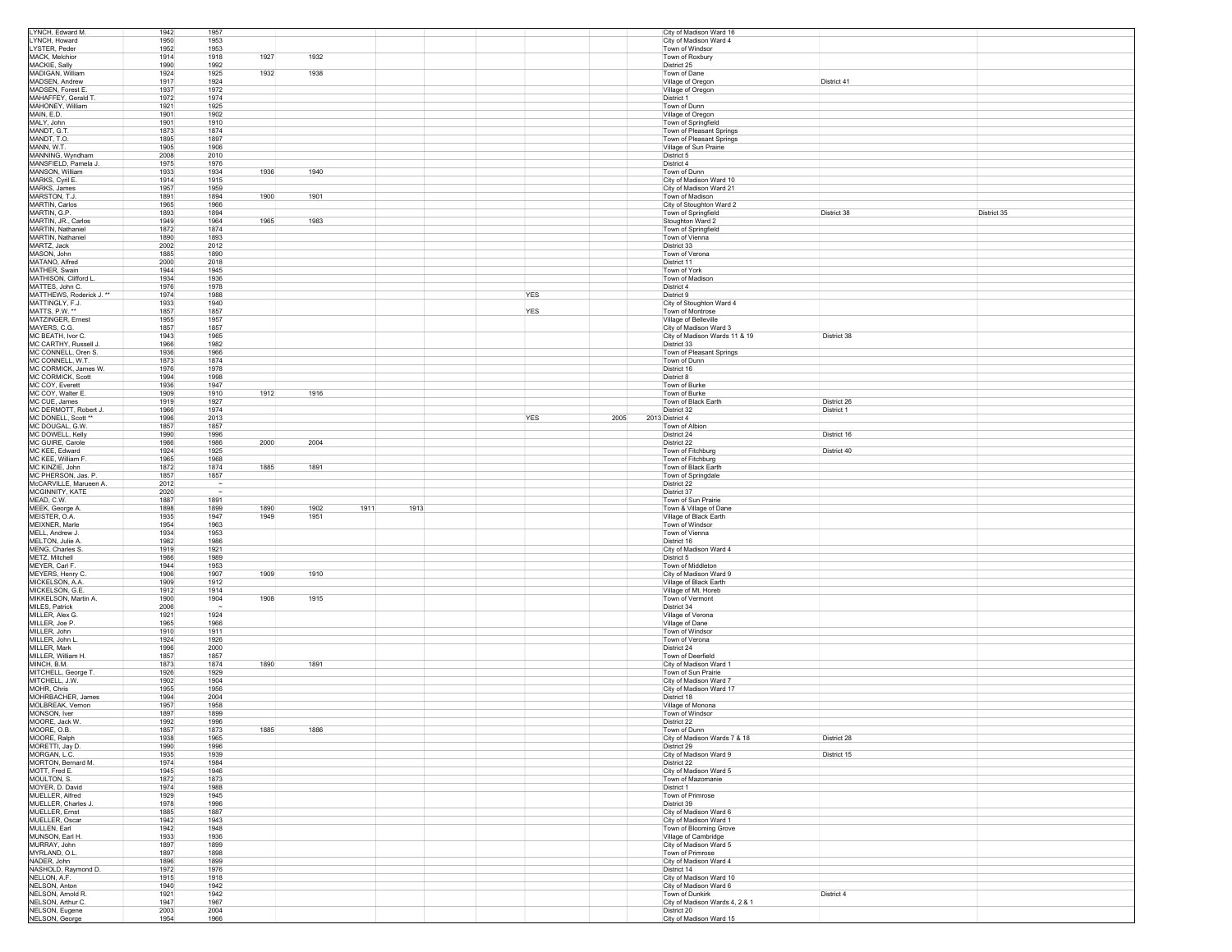| LYNCH, Edward M.                         | 1942<br>1957                 |                  |              |      |            |      | City of Madison Ward 16                                 |             |             |
|------------------------------------------|------------------------------|------------------|--------------|------|------------|------|---------------------------------------------------------|-------------|-------------|
| LYNCH, Howard                            | 1950<br>1953                 |                  |              |      |            |      | City of Madison Ward 4                                  |             |             |
| LYSTER, Peder<br><b>MACK. Melchior</b>   | 1952<br>1953<br>1914<br>1918 | 1927             | 1932         |      |            |      | Town of Windsor<br>Town of Roxbury                      |             |             |
| MACKIE, Sally                            | 1990<br>1992                 |                  |              |      |            |      | District 25                                             |             |             |
| MADIGAN, William                         | 1924<br>1925                 | 1932             | 1938         |      |            |      | Town of Dane                                            |             |             |
| MADSEN, Andrew                           | 1917<br>1924                 |                  |              |      |            |      | Village of Oregon                                       | District 41 |             |
| MADSEN, Forest E                         | 1937<br>1972                 |                  |              |      |            |      | Village of Oregon                                       |             |             |
| MAHAFFEY, Gerald T.<br>MAHONEY, William  | 1972<br>1974<br>1921<br>1925 |                  |              |      |            |      | District 1<br>Town of Dunn                              |             |             |
| MAIN, E.D.                               | 1901<br>1902                 |                  |              |      |            |      | Village of Oregon                                       |             |             |
| MALY, John                               | 1901<br>1910                 |                  |              |      |            |      | Town of Springfield                                     |             |             |
| MANDT, G.T.                              | 1873<br>1874                 |                  |              |      |            |      | Town of Pleasant Springs                                |             |             |
| MANDT, T.O.                              | 1895<br>1897                 |                  |              |      |            |      | Town of Pleasant Springs                                |             |             |
| MANN, W.T.                               | 1905<br>1906                 |                  |              |      |            |      | Village of Sun Prairie                                  |             |             |
| MANNING, Wyndham<br>MANSFIELD, Pamela J. | 2008<br>2010<br>1975<br>1976 |                  |              |      |            |      | District 5<br>District 4                                |             |             |
| MANSON, William                          | 1933<br>1934                 | 1936             | 1940         |      |            |      | Town of Dunn                                            |             |             |
| MARKS, Cyril E.                          | 1914<br>1915                 |                  |              |      |            |      | City of Madison Ward 10                                 |             |             |
| MARKS, James                             | 1957<br>1959                 |                  |              |      |            |      | City of Madison Ward 21                                 |             |             |
| MARSTON, T.J.                            | 1891<br>1894                 | 1900             | 1901         |      |            |      | Town of Madison                                         |             |             |
| MARTIN, Carlos<br>MARTIN, G.P.           | 1965<br>1966<br>1893<br>1894 |                  |              |      |            |      | City of Stoughton Ward 2                                | District 38 | District 35 |
| MARTIN, JR., Carlos                      | 1949<br>1964                 | 1965             | 1983         |      |            |      | Town of Springfield<br>Stoughton Ward 2                 |             |             |
| MARTIN, Nathaniel                        | 1872<br>1874                 |                  |              |      |            |      | Town of Springfield                                     |             |             |
| MARTIN, Nathaniel                        | 1890<br>1893                 |                  |              |      |            |      | Town of Vienna                                          |             |             |
| MARTZ, Jack                              | 2002<br>2012                 |                  |              |      |            |      | District 33                                             |             |             |
| MASON, John                              | 1885<br>1890                 |                  |              |      |            |      | Town of Verona                                          |             |             |
| MATANO, Alfred                           | 2000<br>2018                 |                  |              |      |            |      | District 11                                             |             |             |
| MATHER, Swain<br>MATHISON, Clifford L    | 1944<br>1945<br>1934<br>1936 |                  |              |      |            |      | Town of York<br>Town of Madison                         |             |             |
| MATTES, John C.                          | 1976<br>1978                 |                  |              |      |            |      | District 4                                              |             |             |
| MATTHEWS, Roderick J. **                 | 1974<br>1988                 |                  |              |      | YES        |      | District 9                                              |             |             |
| MATTINGLY, F.J.                          | 1933<br>1940                 |                  |              |      |            |      | City of Stoughton Ward 4                                |             |             |
| <b>MATTS, P.W. **</b>                    | 1857<br>1857                 |                  |              |      | YES        |      | Town of Montrose                                        |             |             |
| MATZINGER, Ernest                        | 1955<br>1957                 |                  |              |      |            |      | Village of Belleville                                   |             |             |
| MAYERS, C.G.<br>MC BEATH, Ivor C.        | 1857<br>1857<br>1943<br>1965 |                  |              |      |            |      | City of Madison Ward 3<br>City of Madison Wards 11 & 19 | District 38 |             |
| MC CARTHY, Russell J                     | 1966<br>1982                 |                  |              |      |            |      | District 33                                             |             |             |
| MC CONNELL, Oren S.                      | 1936<br>1966                 |                  |              |      |            |      | Town of Pleasant Springs                                |             |             |
| MC CONNELL, W.T.                         | 1873<br>1874                 |                  |              |      |            |      | Town of Dunn                                            |             |             |
| MC CORMICK, James W.                     | 1976<br>1978                 |                  |              |      |            |      | District 16                                             |             |             |
| MC CORMICK, Scott<br>MC COY, Everett     | 1994<br>1998<br>1936<br>1947 |                  |              |      |            |      | District 8<br>Town of Burke                             |             |             |
| MC COY, Walter E.                        | 1909<br>1910                 | 1912             | 1916         |      |            |      | Town of Burke                                           |             |             |
| MC CUE, James                            | 1919<br>1927                 |                  |              |      |            |      | Town of Black Earth                                     | District 26 |             |
| MC DERMOTT, Robert J.                    | 1966<br>1974                 |                  |              |      |            |      | District 32                                             | District 1  |             |
| MC DONELL, Scott **                      | 1996<br>2013                 |                  |              |      | <b>YES</b> | 2005 | 2013 District 4                                         |             |             |
| MC DOUGAL, G.W.                          | 1857<br>1857                 |                  |              |      |            |      | Town of Albion                                          |             |             |
| MC DOWELL, Kelly<br>MC GUIRE, Carole     | 1990<br>1996<br>1986<br>1986 | 2000             | 2004         |      |            |      | District 24<br>District 22                              | District 16 |             |
| MC KEE, Edward                           | 1924<br>1925                 |                  |              |      |            |      | Town of Fitchburg                                       | District 40 |             |
| MC KEE, William F.                       | 1965<br>1968                 |                  |              |      |            |      | Town of Fitchburg                                       |             |             |
| MC KINZIE John                           | 1872<br>1874                 | 1885             | 1891         |      |            |      | Town of Black Earth                                     |             |             |
| MC PHERSON, Jas. P.                      | 1857<br>1857                 |                  |              |      |            |      | Town of Springdale                                      |             |             |
| McCARVILLE, Marueen A.                   | 2012                         | $\sim$<br>$\sim$ |              |      |            |      | District 22                                             |             |             |
| MCGINNITY, KATE<br>MEAD, C.W.            | 2020<br>1887<br>1891         |                  |              |      |            |      | District 37<br>Town of Sun Prairie                      |             |             |
| MEEK, George A.                          | 1898                         | 1899<br>1890     | 1902<br>1911 | 1913 |            |      | Town & Village of Dane                                  |             |             |
| MEISTER, O.A.                            | 1947<br>1935                 | 1949             | 1951         |      |            |      | Village of Black Earth                                  |             |             |
| MEIXNER, Marle                           | 1954<br>1963                 |                  |              |      |            |      | Town of Windsor                                         |             |             |
| MELL, Andrew J.                          | 1934<br>1953                 |                  |              |      |            |      | Town of Vienna                                          |             |             |
| MELTON, Julie A.                         | 1982<br>1986                 |                  |              |      |            |      | District 16                                             |             |             |
| MENG, Charles S.<br>METZ, Mitchell       | 1919<br>1921<br>1986<br>1989 |                  |              |      |            |      | City of Madison Ward 4<br>District 5                    |             |             |
| MEYER, Carl F.                           | 1944<br>1953                 |                  |              |      |            |      | Town of Middleton                                       |             |             |
| MEYERS, Henry C.                         | 1906<br>1907                 | 1909             | 1910         |      |            |      | City of Madison Ward 9                                  |             |             |
| MICKELSON, A.A.                          | 1909<br>1912                 |                  |              |      |            |      | Village of Black Earth                                  |             |             |
| MICKELSON, G.E.                          | 1912<br>1914                 |                  |              |      |            |      | Village of Mt. Horeb                                    |             |             |
| MIKKELSON, Martin A.                     | 1900<br>1904                 | 1908             | 1915         |      |            |      | Town of Vermont                                         |             |             |
| MILES, Patrick<br>MILLER, Alex G.        | 2006<br>1921                 | $\sim$<br>1924   |              |      |            |      | District 34<br>Village of Verona                        |             |             |
| MILLER, Joe P.                           | 1965<br>1966                 |                  |              |      |            |      | Village of Dane                                         |             |             |
| MILLER, John                             | 1910<br>1911                 |                  |              |      |            |      | Town of Windsor                                         |             |             |
| MILLER, John L                           | 1924<br>1926                 |                  |              |      |            |      | Town of Verona                                          |             |             |
| MILLER, Mark                             | 1996<br>2000                 |                  |              |      |            |      | District 24                                             |             |             |
| MILLER, William H.                       | 1857<br>1857                 |                  |              |      |            |      | Town of Deerfield                                       |             |             |
| MINCH, B.M.<br>MITCHELL, George T.       | 1873<br>1874<br>1926<br>1929 | 1890             | 1891         |      |            |      | City of Madison Ward 1<br>Town of Sun Prairie           |             |             |
| MITCHELL, J.W.                           | 1902<br>1904                 |                  |              |      |            |      | City of Madison Ward 7                                  |             |             |
| MOHR, Chris                              | 1955<br>1956                 |                  |              |      |            |      | City of Madison Ward 17                                 |             |             |
| MOHRBACHER, James                        | 1994<br>2004                 |                  |              |      |            |      | District 18                                             |             |             |
| MOLBREAK, Vernon                         | 1957<br>1958                 |                  |              |      |            |      | Village of Monona                                       |             |             |
| MONSON, Iver                             | 1897                         | 1899             |              |      |            |      | Town of Windsor                                         |             |             |
| MOORE, Jack W.<br>MOORE, O.B.            | 1992<br>1996<br>1857         | 1873<br>1885     | 1886         |      |            |      | District 22<br>Town of Dunn                             |             |             |
| MOORE, Ralph                             | 1938<br>1965                 |                  |              |      |            |      | City of Madison Wards 7 & 18                            | District 28 |             |
| MORETTI, Jay D.                          | 1990                         | 1996             |              |      |            |      | District 29                                             |             |             |
| MORGAN, L.C.                             | 1935                         | 1939             |              |      |            |      | City of Madison Ward 9                                  | District 15 |             |
| MORTON, Bernard M.                       | 1974<br>1984                 |                  |              |      |            |      | District 22                                             |             |             |
| MOTT, Fred E.<br>MOULTON, S.             | 1945<br>1946<br>1872         | 1873             |              |      |            |      | City of Madison Ward 5<br>Town of Mazomanie             |             |             |
| MOYER, D. David                          | 1974<br>1988                 |                  |              |      |            |      | District 1                                              |             |             |
| MUELLER, Alfred                          | 1929<br>1945                 |                  |              |      |            |      | Town of Primrose                                        |             |             |
| MUELLER, Charles J.                      | 1978<br>1996                 |                  |              |      |            |      | District 39                                             |             |             |
| MUELLER, Emst                            | 1885<br>1887                 |                  |              |      |            |      | City of Madison Ward 6                                  |             |             |
| MUELLER, Oscar                           | 1942                         | 1943             |              |      |            |      | City of Madison Ward 1                                  |             |             |
| MULLEN, Earl                             | 1942                         | 1948             |              |      |            |      | Town of Blooming Grove                                  |             |             |
| MUNSON, Earl H.<br>MURRAY, John          | 1933<br>1936<br>1897<br>1899 |                  |              |      |            |      | Village of Cambridge<br>City of Madison Ward 5          |             |             |
| MYRLAND, O.L.                            | 1897<br>1898                 |                  |              |      |            |      | Town of Primrose                                        |             |             |
| NADER, John                              | 1896<br>1899                 |                  |              |      |            |      | City of Madison Ward 4                                  |             |             |
| NASHOLD, Raymond D.                      | 1972<br>1976                 |                  |              |      |            |      | District 14                                             |             |             |
| NELLON, A.F.                             | 1915<br>1918                 |                  |              |      |            |      | City of Madison Ward 10                                 |             |             |
| NELSON, Anton                            | 1940<br>1942                 |                  |              |      |            |      | City of Madison Ward 6                                  |             |             |
| NELSON, Arnold R.                        |                              |                  |              |      |            |      | Town of Dunkirk                                         | District 4  |             |
|                                          | 1921<br>1942                 |                  |              |      |            |      |                                                         |             |             |
| NELSON, Arthur C.<br>NELSON, Eugene      | 1947<br>1967<br>2003<br>2004 |                  |              |      |            |      | City of Madison Wards 4, 2 & 1<br>District 20           |             |             |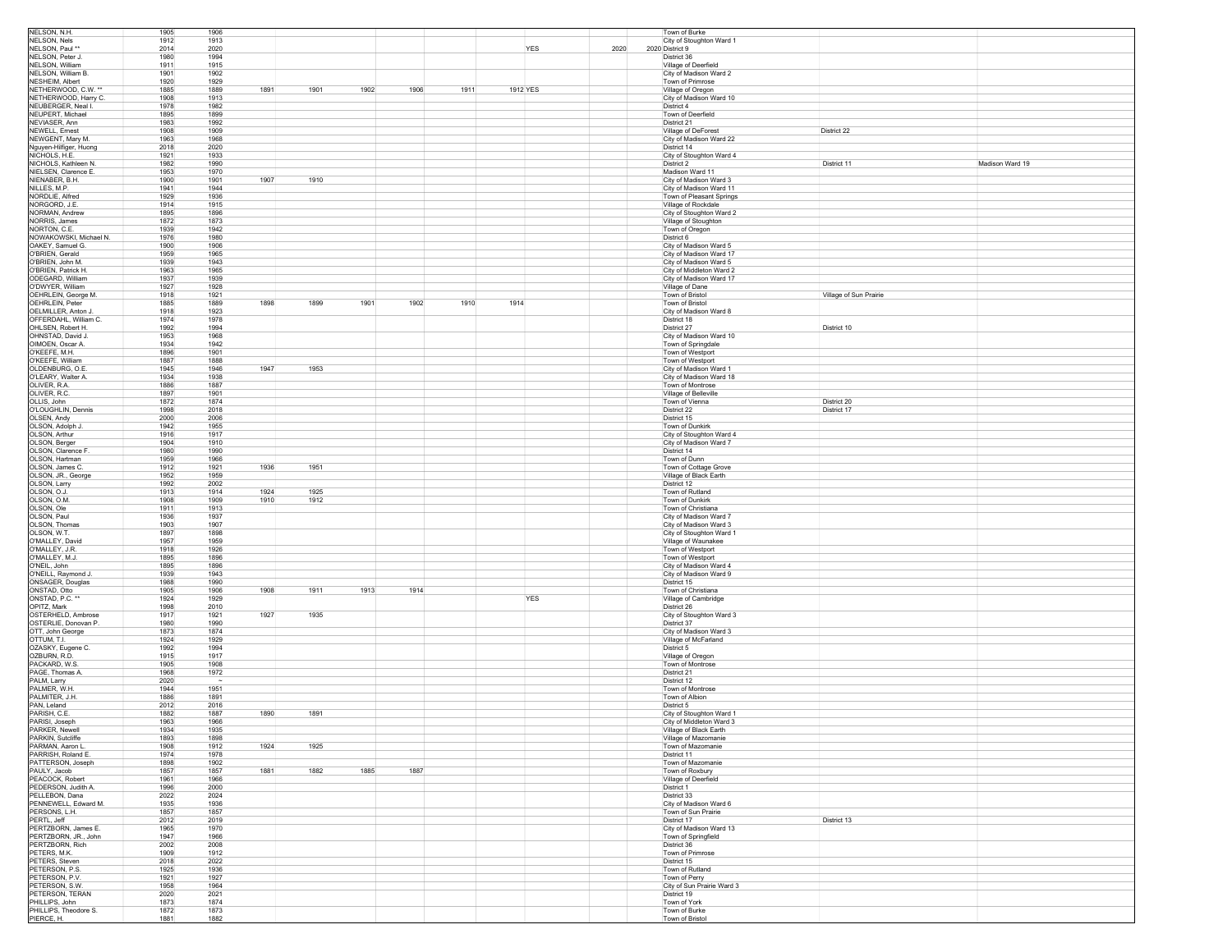| NELSON, N.H.                     | 1905         | 1906         |      |              |      |            |      | Town of Burke                                   |                        |                 |
|----------------------------------|--------------|--------------|------|--------------|------|------------|------|-------------------------------------------------|------------------------|-----------------|
| NELSON, Nels                     | 1912         | 1913         |      |              |      |            |      | City of Stoughton Ward 1                        |                        |                 |
| NELSON, Paul **                  | 2014         | 2020         |      |              |      | <b>YES</b> | 2020 | 2020 District 9                                 |                        |                 |
| NELSON, Peter J.                 | 1980         | 1994         |      |              |      |            |      | District 36                                     |                        |                 |
| NELSON, William                  | 1911         | 1915         |      |              |      |            |      | Village of Deerfield                            |                        |                 |
| NELSON, William B.               | 1901         | 1902         |      |              |      |            |      | City of Madison Ward 2                          |                        |                 |
| NESHEIM, Albert                  | 1920         | 1929         |      |              |      |            |      | Town of Primrose                                |                        |                 |
| NETHERWOOD, C.W. *               | 1885         | 1891<br>1889 | 1901 | 1906<br>1902 | 1911 | 1912 YES   |      | Village of Oregon                               |                        |                 |
| NETHERWOOD, Harry C.             | 1908         | 1913         |      |              |      |            |      | City of Madison Ward 10                         |                        |                 |
| NEUBERGER, Neal I.               | 1978         | 1982         |      |              |      |            |      | District 4                                      |                        |                 |
| NEUPERT, Michael                 | 1895         | 1899         |      |              |      |            |      | Town of Deerfield                               |                        |                 |
| NEVIASER, Ann                    | 1983         | 1992         |      |              |      |            |      | District 21                                     |                        |                 |
| NEWELL, Ernest                   | 1908         | 1909         |      |              |      |            |      | Village of DeForest                             | District 22            |                 |
| NEWGENT, Mary M.                 | 1963         | 1968         |      |              |      |            |      | City of Madison Ward 22                         |                        |                 |
| Nguyen-Hilfiger, Huong           | 2018         | 2020         |      |              |      |            |      | District 14                                     |                        |                 |
| NICHOLS, H.E.                    | 1921         | 1933         |      |              |      |            |      | City of Stoughton Ward 4                        |                        |                 |
| NICHOLS, Kathleen N.             | 1982         | 1990         |      |              |      |            |      | District 2                                      | District 11            | Madison Ward 19 |
| NIELSEN, Clarence E.             | 1953         | 1970         |      |              |      |            |      | Madison Ward 11                                 |                        |                 |
| NIENABER, B.H.                   | 1900         | 1901<br>1907 | 1910 |              |      |            |      | City of Madison Ward 3                          |                        |                 |
| NILLES, M.P.                     | 1941         | 1944         |      |              |      |            |      | City of Madison Ward 11                         |                        |                 |
| NORDLIE, Alfred<br>NORGORD. J.E. | 1929<br>1914 | 1936<br>1915 |      |              |      |            |      | Town of Pleasant Springs                        |                        |                 |
| NORMAN, Andrew                   | 1895         | 1896         |      |              |      |            |      | Village of Rockdale<br>City of Stoughton Ward 2 |                        |                 |
| NORRIS, James                    | 1872         | 1873         |      |              |      |            |      |                                                 |                        |                 |
| NORTON, C.E.                     | 1939         | 1942         |      |              |      |            |      | Village of Stoughton<br>Town of Oregon          |                        |                 |
| NOWAKOWSKI, Michael N.           | 1976         | 1980         |      |              |      |            |      | District 6                                      |                        |                 |
| OAKEY, Samuel G.                 | 1900         | 1906         |      |              |      |            |      | City of Madison Ward 5                          |                        |                 |
| O'BRIEN, Gerald                  | 1959         | 1965         |      |              |      |            |      | City of Madison Ward 17                         |                        |                 |
| O'BRIEN, John M.                 | 1939         | 1943         |      |              |      |            |      | City of Madison Ward 5                          |                        |                 |
| O'BRIEN, Patrick H.              | 1963         | 1965         |      |              |      |            |      | City of Middleton Ward 2                        |                        |                 |
| ODEGARD, William                 | 1937         | 1939         |      |              |      |            |      | City of Madison Ward 17                         |                        |                 |
| O'DWYER, William                 | 1927         | 1928         |      |              |      |            |      | Village of Dane                                 |                        |                 |
| OEHRLEIN, George M.              | 1918         | 1921         |      |              |      |            |      | Town of Bristol                                 | Village of Sun Prairie |                 |
| OEHRLEIN, Peter                  | 1885         | 1898<br>1889 | 1899 | 1901<br>1902 | 1910 | 1914       |      | Town of Bristol                                 |                        |                 |
| OELMILLER, Anton J.              | 1918         | 1923         |      |              |      |            |      | City of Madison Ward 8                          |                        |                 |
| OFFERDAHL, William C.            | 1974         | 1978         |      |              |      |            |      | District 18                                     |                        |                 |
| OHLSEN, Robert H.                | 1992         | 1994         |      |              |      |            |      | District 27                                     | District 10            |                 |
| OHNSTAD, David J.                | 1953         | 1968         |      |              |      |            |      | City of Madison Ward 10                         |                        |                 |
| OIMOEN, Oscar A.                 | 1934         | 1942         |      |              |      |            |      | Town of Springdale                              |                        |                 |
| O'KEEFE, M.H.                    | 1896         | 1901         |      |              |      |            |      | Town of Westport                                |                        |                 |
| O'KEEFE, William                 | 1887         | 1888         |      |              |      |            |      | Town of Westport                                |                        |                 |
| OLDENBURG, O.E.                  | 1945         | 1946<br>1947 | 1953 |              |      |            |      | City of Madison Ward 1                          |                        |                 |
| O'LEARY, Walter A.               | 1934         | 1938         |      |              |      |            |      | City of Madison Ward 18                         |                        |                 |
| OLIVER, R.A.                     | 1886         | 1887         |      |              |      |            |      | Town of Montrose                                |                        |                 |
| OLIVER, R.C.                     | 1897         | 1901         |      |              |      |            |      | Village of Belleville                           |                        |                 |
| OLLIS, John                      | 1872         | 1874         |      |              |      |            |      | Town of Vienna                                  | District 20            |                 |
| O'LOUGHLIN, Dennis               | 1998         | 2018         |      |              |      |            |      | District 22                                     | District 17            |                 |
| OLSEN, Andy                      | 2000         | 2006         |      |              |      |            |      | District 15                                     |                        |                 |
| OLSON, Adolph J                  | 1942         | 1955         |      |              |      |            |      | Town of Dunkirk                                 |                        |                 |
| OLSON, Arthur                    | 1916         | 1917         |      |              |      |            |      | City of Stoughton Ward 4                        |                        |                 |
| OLSON, Berger                    | 1904         | 1910         |      |              |      |            |      | City of Madison Ward 7                          |                        |                 |
| OLSON, Clarence F.               | 1980         | 1990         |      |              |      |            |      | District 14                                     |                        |                 |
| OLSON, Hartman                   | 1959         | 1966         |      |              |      |            |      | Town of Dunn                                    |                        |                 |
| OLSON, James C.                  | 1912         | 1936<br>1921 | 1951 |              |      |            |      | Town of Cottage Grove                           |                        |                 |
| OLSON, JR., George               | 1952         | 1959         |      |              |      |            |      | Village of Black Earth                          |                        |                 |
| OLSON, Larry                     | 1992         | 2002         |      |              |      |            |      | District 12                                     |                        |                 |
| OLSON, O.J.                      | 1913         | 1924<br>1914 | 1925 |              |      |            |      | Town of Rutland                                 |                        |                 |
| OLSON, O.M.                      | 1908         | 1909<br>1910 | 1912 |              |      |            |      | Town of Dunkirk                                 |                        |                 |
| OLSON, Ole                       | 1911         | 1913         |      |              |      |            |      | Town of Christiana                              |                        |                 |
| OLSON, Paul                      | 1936         | 1937         |      |              |      |            |      | City of Madison Ward 7                          |                        |                 |
| OLSON, Thomas                    | 1903         | 1907         |      |              |      |            |      | City of Madison Ward 3                          |                        |                 |
| OLSON, W.T.                      | 1897         | 1898         |      |              |      |            |      | City of Stoughton Ward 1                        |                        |                 |
| O'MALLEY, David                  | 1957         | 1959         |      |              |      |            |      | Village of Waunakee                             |                        |                 |
| O'MALLEY, J.R.                   | 1918         | 1926         |      |              |      |            |      | Town of Westport                                |                        |                 |
| O'MALLEY, M.J.                   | 1895         | 1896         |      |              |      |            |      | Town of Westport                                |                        |                 |
| O'NEIL. John                     | 1895         | 1896         |      |              |      |            |      | City of Madison Ward 4                          |                        |                 |
| O'NEILL, Raymond J.              | 1939         | 1943         |      |              |      |            |      | City of Madison Ward 9                          |                        |                 |
| ONSAGER, Douglas                 | 1988         | 1990         |      |              |      |            |      | District 15                                     |                        |                 |
| ONSTAD, Otto                     | 1905         | 1906<br>1908 | 1911 | 1913<br>1914 |      |            |      | Town of Christiana                              |                        |                 |
| ONSTAD, P.C. *                   | 1924         | 1929         |      |              |      | YES        |      | Village of Cambridge                            |                        |                 |
| OPITZ, Mark                      | 1998         | 2010         |      |              |      |            |      | District 26                                     |                        |                 |
| OSTERHELD, Ambrose               | 1917         | 1927<br>1921 | 1935 |              |      |            |      | City of Stoughton Ward 3                        |                        |                 |
| OSTERLIE, Donovan P.             | 1980         | 1990         |      |              |      |            |      | District 37                                     |                        |                 |
| OTT, John George                 | 1873         | 1874         |      |              |      |            |      | City of Madison Ward 3                          |                        |                 |
| OTTUM, T.I.                      | 1924         | 1929         |      |              |      |            |      | Village of McFarland                            |                        |                 |
| OZASKY, Eugene C.                | 1992         | 1994         |      |              |      |            |      | District 5                                      |                        |                 |
| OZBURN, R.D.                     | 1915         | 1917         |      |              |      |            |      | Village of Oregon                               |                        |                 |
| PACKARD, W.S.                    | 1905<br>1968 | 1908         |      |              |      |            |      | Town of Montrose                                |                        |                 |
| PAGE, Thomas A.                  |              | 1972         |      |              |      |            |      | District 21                                     |                        |                 |
| PALM, Larry<br>PALMER, W.H.      | 2020<br>1944 | 1951         |      |              |      |            |      | District 12<br>Town of Montrose                 |                        |                 |
| PALMITER, J.H.                   | 1886         | 1891         |      |              |      |            |      | Town of Albion                                  |                        |                 |
| PAN, Leland                      | 2012         | 2016         |      |              |      |            |      | District 5                                      |                        |                 |
| PARISH, C.E.                     | 1882         | 1890<br>1887 | 1891 |              |      |            |      | City of Stoughton Ward 1                        |                        |                 |
| PARISI, Joseph                   | 1963         | 1966         |      |              |      |            |      | City of Middleton Ward 3                        |                        |                 |
| PARKER, Newell                   | 1934         | 1935         |      |              |      |            |      | Village of Black Earth                          |                        |                 |
| PARKIN, Sutcliffe                | 1893         | 1898         |      |              |      |            |      | Village of Mazomanie                            |                        |                 |
| PARMAN, Aaron L.                 | 1908         | 1924<br>1912 | 1925 |              |      |            |      | Town of Mazomanie                               |                        |                 |
| PARRISH, Roland E.               | 1974         | 1978         |      |              |      |            |      | District 11                                     |                        |                 |
| PATTERSON, Joseph                | 1898         | 1902         |      |              |      |            |      | Town of Mazomanie                               |                        |                 |
| PAULY, Jacob                     | 1857         | 1881<br>1857 | 1882 | 1887<br>1885 |      |            |      | Town of Roxbury                                 |                        |                 |
| PEACOCK, Robert                  | 1961         | 1966         |      |              |      |            |      | Village of Deerfield                            |                        |                 |
| PEDERSON, Judith A.              | 1996         | 2000         |      |              |      |            |      | District 1                                      |                        |                 |
| PELLEBON, Dana                   | 2022         | 2024         |      |              |      |            |      | District 33                                     |                        |                 |
| PENNEWELL, Edward M.             | 1935         | 1936         |      |              |      |            |      | City of Madison Ward 6                          |                        |                 |
| PERSONS, L.H.                    | 1857         | 1857         |      |              |      |            |      | Town of Sun Prairie                             |                        |                 |
| PERTL, Jeff                      | 2012         | 2019         |      |              |      |            |      | District 17                                     | District 13            |                 |
| PERTZBORN, James E.              | 1965         | 1970         |      |              |      |            |      | City of Madison Ward 13                         |                        |                 |
| PERTZBORN, JR., John             | 1947         | 1966         |      |              |      |            |      | Town of Springfield                             |                        |                 |
| PERTZBORN, Rich                  | 2002         | 2008         |      |              |      |            |      | District 36                                     |                        |                 |
| PETERS, M.K.                     | 1909         | 1912         |      |              |      |            |      | Town of Primrose                                |                        |                 |
| PETERS, Steven                   | 2018         | 2022         |      |              |      |            |      | District 15                                     |                        |                 |
| PETERSON, P.S.                   | 1925         | 1936         |      |              |      |            |      | Town of Rutland                                 |                        |                 |
| PETERSON, P.V.                   | 1921         | 1927         |      |              |      |            |      | Town of Perry                                   |                        |                 |
| PETERSON, S.W.                   | 1958         | 1964         |      |              |      |            |      | City of Sun Prairie Ward 3                      |                        |                 |
| PETERSON, TERAN                  | 2020         | 2021         |      |              |      |            |      | District 19                                     |                        |                 |
| PHILLIPS, John                   | 1873         | 1874         |      |              |      |            |      | Town of York                                    |                        |                 |
| PHILLIPS, Theodore S.            | 1872         | 1873         |      |              |      |            |      | Town of Burke                                   |                        |                 |
| PIERCE, H.                       | 1881         | 1882         |      |              |      |            |      | Town of Bristol                                 |                        |                 |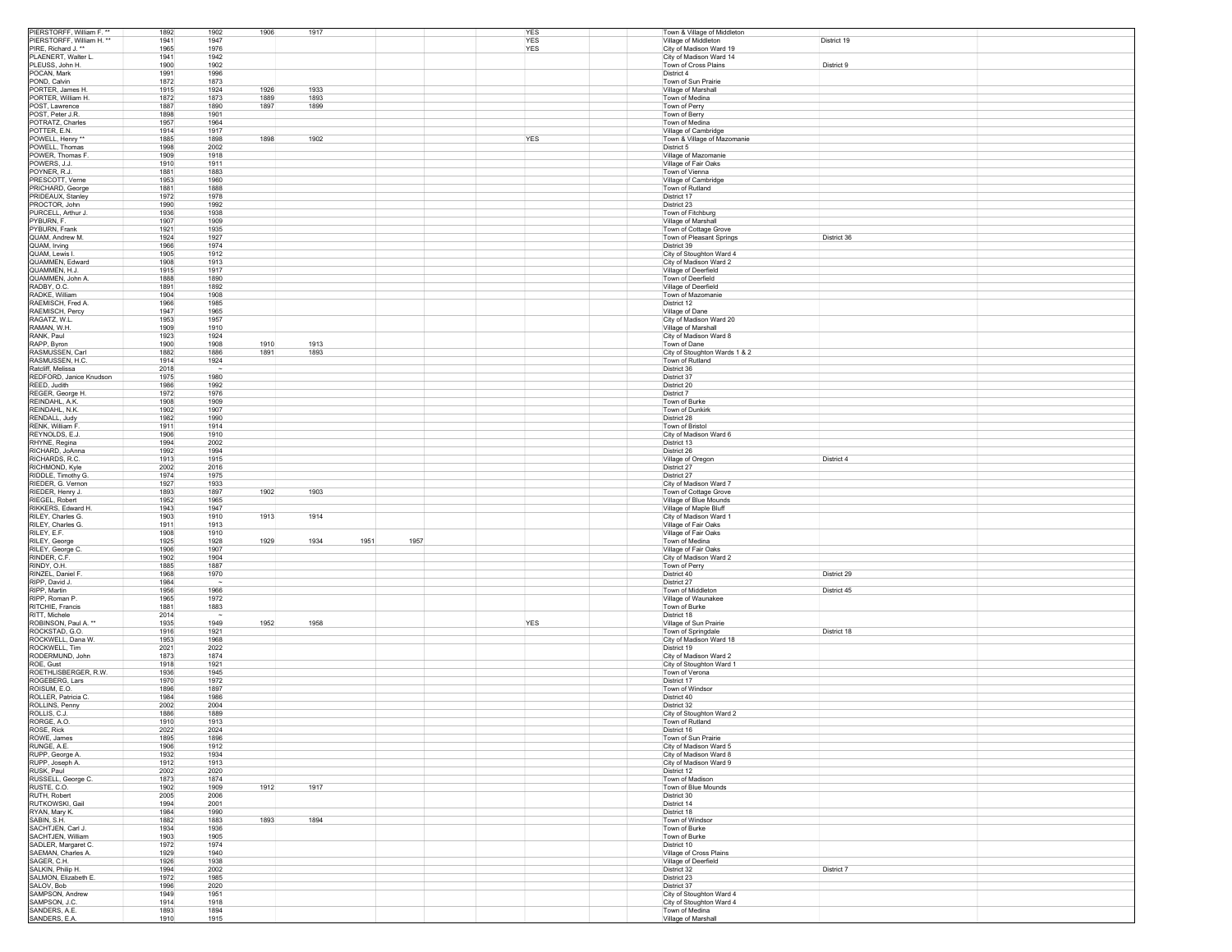| PIERSTORFF, William F. **          | 1892         | 1902<br>1906 | 1917         |      | YES        | Town & Village of Middleton            |             |
|------------------------------------|--------------|--------------|--------------|------|------------|----------------------------------------|-------------|
| PIERSTORFF, William H. **          | 1941         | 1947         |              |      | YES        | Village of Middleton                   | District 19 |
| PIRE, Richard J. **                | 1965         | 1976         |              |      | <b>YES</b> | City of Madison Ward 19                |             |
| PLAENERT, Walter L.                | 1941         | 1942         |              |      |            | City of Madison Ward 14                |             |
| PLEUSS, John H.                    | 1900         | 1902         |              |      |            | Town of Cross Plains                   | District 9  |
| POCAN, Mark                        | 1991         | 1996         |              |      |            | District 4                             |             |
| POND, Calvin                       | 1872         | 1873         |              |      |            | Town of Sun Prairie                    |             |
| PORTER, James H.                   | 1915         | 1924<br>1926 | 1933         |      |            | Village of Marshall                    |             |
| PORTER, William H.                 | 1872         | 1873<br>1889 | 1893         |      |            | Town of Medina                         |             |
| POST, Lawrence                     | 1887         | 1897<br>1890 | 1899         |      |            | Town of Perry                          |             |
| POST, Peter J.R.                   | 1898         | 1901         |              |      |            | Town of Berry                          |             |
| POTRATZ, Charles                   | 1957         | 1964         |              |      |            | Town of Medina                         |             |
| POTTER, E.N.                       | 1914         | 1917         |              |      |            | Village of Cambridge                   |             |
|                                    |              |              |              |      |            |                                        |             |
| POWELL, Henry                      | 1885         | 1898<br>1898 | 1902         |      | <b>YES</b> | Town & Village of Mazomanie            |             |
| POWELL, Thomas                     | 1998         | 2002         |              |      |            | District 5                             |             |
| POWER, Thomas F.                   | 1909         | 1918         |              |      |            | Village of Mazomanie                   |             |
| POWERS, J.J.                       | 1910         | 1911         |              |      |            | Village of Fair Oaks                   |             |
| POYNER, R.J.                       | 1881         | 1883         |              |      |            | Town of Vienna                         |             |
| PRESCOTT, Verne                    | 1953         | 1960         |              |      |            | Village of Cambridge                   |             |
| PRICHARD, George                   | 1881         | 1888         |              |      |            | Town of Rutland                        |             |
| PRIDEAUX, Stanley                  | 1972         | 1978         |              |      |            | District 17                            |             |
| PROCTOR, John                      | 1990         | 1992         |              |      |            | District 23                            |             |
| PURCELL, Arthur J.                 | 1936         | 1938         |              |      |            | Town of Fitchburg                      |             |
| PYBURN, F.                         | 1907         | 1909         |              |      |            | Village of Marshall                    |             |
| <b>PYBURN Frank</b>                | 1921         | 1935         |              |      |            | Town of Cottage Grove                  |             |
| QUAM, Andrew M.                    | 1924         | 1927         |              |      |            | Town of Pleasant Springs               | District 36 |
| QUAM, Irving                       | 1966         | 1974         |              |      |            | District 39                            |             |
| QUAM, Lewis I.                     | 1905         | 1912         |              |      |            | City of Stoughton Ward 4               |             |
|                                    |              |              |              |      |            |                                        |             |
| QUAMMEN, Edward                    | 1908         | 1913         |              |      |            | City of Madison Ward 2                 |             |
| QUAMMEN, H.J.                      | 1915         | 1917         |              |      |            | Village of Deerfield                   |             |
| QUAMMEN, John A.                   | 1888         | 1890         |              |      |            | Town of Deerfield                      |             |
| RADBY, O.C.                        | 1891         | 1892         |              |      |            | Village of Deerfield                   |             |
| RADKE, William                     | 1904         | 1908         |              |      |            | Town of Mazomanie                      |             |
| RAEMISCH, Fred A.                  | 1966         | 1985         |              |      |            | District 12                            |             |
| RAEMISCH, Percy                    | 1947         | 1965         |              |      |            | Village of Dane                        |             |
| RAGATZ, W.L.                       | 1953         | 1957         |              |      |            | City of Madison Ward 20                |             |
| raman, W.H.                        | 1909         | 1910         |              |      |            | Village of Marshall                    |             |
| RANK, Paul                         | 1923         | 1924         |              |      |            | City of Madison Ward 8                 |             |
| RAPP, Byron                        | 1900         | 1908<br>1910 | 1913         |      |            | Town of Dane                           |             |
| RASMUSSEN, Carl                    | 1882         | 1886<br>1891 | 1893         |      |            | City of Stoughton Wards 1 & 2          |             |
| RASMUSSEN, H.C.                    | 1914         | 1924         |              |      |            | Town of Rutland                        |             |
| Ratcliff, Melissa                  | 2018         | $\sim$       |              |      |            | District 36                            |             |
| REDFORD, Janice Knudson            | 1975         | 1980         |              |      |            | District 37                            |             |
| REED, Judith                       | 1986         | 1992         |              |      |            | District 20                            |             |
| REGER, George H.                   | 1972         | 1976         |              |      |            | District 7                             |             |
| REINDAHL, A.K.                     | 1908         | 1909         |              |      |            | Town of Burke                          |             |
| REINDAHL, N.K.                     | 1902         | 1907         |              |      |            | Town of Dunkirk                        |             |
| RENDALL, Judy                      | 1982         | 1990         |              |      |            | District 28                            |             |
| RENK, William F                    | 1911         | 1914         |              |      |            | Town of Bristol                        |             |
| REYNOLDS, E.J.                     | 1906         | 1910         |              |      |            | City of Madison Ward 6                 |             |
| RHYNE, Regina                      | 1994         | 2002         |              |      |            | District 13                            |             |
| RICHARD, JoAnna                    | 1992         | 1994         |              |      |            | District 26                            |             |
| RICHARDS, R.C.                     | 1913         | 1915         |              |      |            | Village of Oregon                      | District 4  |
| RICHMOND, Kyle                     | 2002         | 2016         |              |      |            | District 27                            |             |
| RIDDLE, Timothy G.                 | 1974         | 1975         |              |      |            | District 27                            |             |
| RIEDER, G. Vernon                  | 1927         | 1933         |              |      |            | City of Madison Ward 7                 |             |
| RIEDER, Henry J.                   | 1893         | 1902<br>1897 | 1903         |      |            | Town of Cottage Grove                  |             |
|                                    |              |              |              |      |            |                                        |             |
| RIEGEL, Robert                     | 1952         | 1965         |              |      |            | Village of Blue Mounds                 |             |
| RIKKERS, Edward H.                 | 1943         | 1947         |              |      |            | Village of Maple Bluff                 |             |
| RILEY, Charles G.                  | 1903         | 1913<br>1910 | 1914         |      |            | City of Madison Ward 1                 |             |
| RILEY, Charles G.                  | 1911         | 1913         |              |      |            | Village of Fair Oaks                   |             |
| RILEY, E.F.                        | 1908         | 1910         |              |      |            | Village of Fair Oaks                   |             |
| RILEY, George                      | 1925         | 1929<br>1928 | 1951<br>1934 | 1957 |            | Town of Medina                         |             |
| RILEY, George C.                   | 1906         | 1907         |              |      |            | Village of Fair Oaks                   |             |
| RINDER, C.F.                       | 1902         | 1904         |              |      |            | City of Madison Ward 2                 |             |
| RINDY, O.H.                        | 1885         | 1887         |              |      |            | Town of Perry                          |             |
| RINZEL, Daniel F.                  | 1968         | 1970         |              |      |            | District 40                            | District 29 |
| RIPP, David J.                     | 1984         |              |              |      |            | District 27                            |             |
| RIPP, Martin                       | 1956         | 1966         |              |      |            | Town of Middleton                      | District 45 |
| RIPP, Roman P                      | 1965         | 1972         |              |      |            | Village of Waunakee                    |             |
| RITCHIE, Francis                   | 1881         | 1883         |              |      |            | Town of Burke                          |             |
| RITT, Michele                      | 2014         |              |              |      |            | District 18                            |             |
| ROBINSON, Paul A. **               | 1935         | 1949<br>1952 | 1958         |      | <b>YES</b> | Village of Sun Prairie                 |             |
| ROCKSTAD, G.O.                     | 1916         | 1921         |              |      |            | Town of Springdale                     | District 18 |
| ROCKWELL, Dana W.                  | 1953         | 1968         |              |      |            | City of Madison Ward 18                |             |
| ROCKWELL, Tim                      | 2021         | 2022         |              |      |            | District 19                            |             |
| RODERMUND, John                    | 1873         | 1874         |              |      |            | City of Madison Ward 2                 |             |
| ROE, Gust                          | 1918         | 1921         |              |      |            | City of Stoughton Ward 1               |             |
| ROETHLISBERGER, R.W.               | 1936         | 1945         |              |      |            | Town of Verona                         |             |
| ROGEBERG, Lars                     | 1970         | 1972         |              |      |            | District 17                            |             |
| ROISUM, E.O.                       | 1896         | 1897         |              |      |            | Town of Windsor                        |             |
| ROLLER, Patricia C.                | 1984         | 1986         |              |      |            | District 40                            |             |
| ROLLINS, Penny                     | 2002         | 2004         |              |      |            | District 32                            |             |
| ROLLIS, C.J.                       | 1886         | 1889         |              |      |            | City of Stoughton Ward 2               |             |
| RORGE, A.O.                        | 1910         | 1913         |              |      |            | Town of Rutland                        |             |
| ROSE, Rick                         | 2022         | 2024         |              |      |            | District 16                            |             |
| ROWE, James                        | 1895         | 1896         |              |      |            | Town of Sun Prairie                    |             |
| RUNGE, A.E.                        | 1906         | 1912         |              |      |            | City of Madison Ward 5                 |             |
| RUPP, George A.                    | 1932         | 1934         |              |      |            | City of Madison Ward 8                 |             |
| RUPP, Joseph A.                    | 1912         | 1913         |              |      |            | City of Madison Ward 9                 |             |
| RUSK, Paul                         | 2002         | 2020         |              |      |            | District 12                            |             |
| RUSSELL, George C.                 | 1873         | 1874         |              |      |            | Town of Madison                        |             |
| RUSTE, C.O.                        | 1902         | 1909<br>1912 | 1917         |      |            | Town of Blue Mounds                    |             |
| RUTH, Robert                       | 2005         | 2006         |              |      |            | District 30                            |             |
| RUTKOWSKI, Gail                    | 1994         | 2001         |              |      |            | District 14                            |             |
|                                    | 1984         | 1990         |              |      |            | District 18                            |             |
| RYAN, Mary K.                      |              |              |              |      |            |                                        |             |
| SABIN, S.H.                        | 1882         | 1883<br>1893 | 1894         |      |            | Town of Windsor                        |             |
| SACHTJEN, Carl J.                  | 1934         | 1936         |              |      |            | Town of Burke                          |             |
| SACHTJEN, William                  | 1903         | 1905<br>1974 |              |      |            | Town of Burke                          |             |
| SADLER, Margaret C.                | 1972         |              |              |      |            | District 10<br>Village of Cross Plains |             |
| SAEMAN, Charles A.                 | 1929         | 1940         |              |      |            |                                        |             |
| SAGER, C.H.                        | 1926         | 1938         |              |      |            | Village of Deerfield                   |             |
| SALKIN, Philip H.                  | 1994         | 2002         |              |      |            | District 32                            | District 7  |
| SALMON, Elizabeth E.<br>SALOV, Bob | 1972         | 1985         |              |      |            | District 23                            |             |
|                                    | 1996         | 2020         |              |      |            | District 37                            |             |
| SAMPSON, Andrew                    | 1949         | 1951         |              |      |            | City of Stoughton Ward 4               |             |
|                                    |              |              |              |      |            |                                        |             |
| SAMPSON, J.C.                      | 1914         | 1918         |              |      |            | City of Stoughton Ward 4               |             |
| SANDERS, A.E.<br>SANDERS, E.A.     | 1893<br>1910 | 1894<br>1915 |              |      |            | Town of Medina<br>Village of Marshall  |             |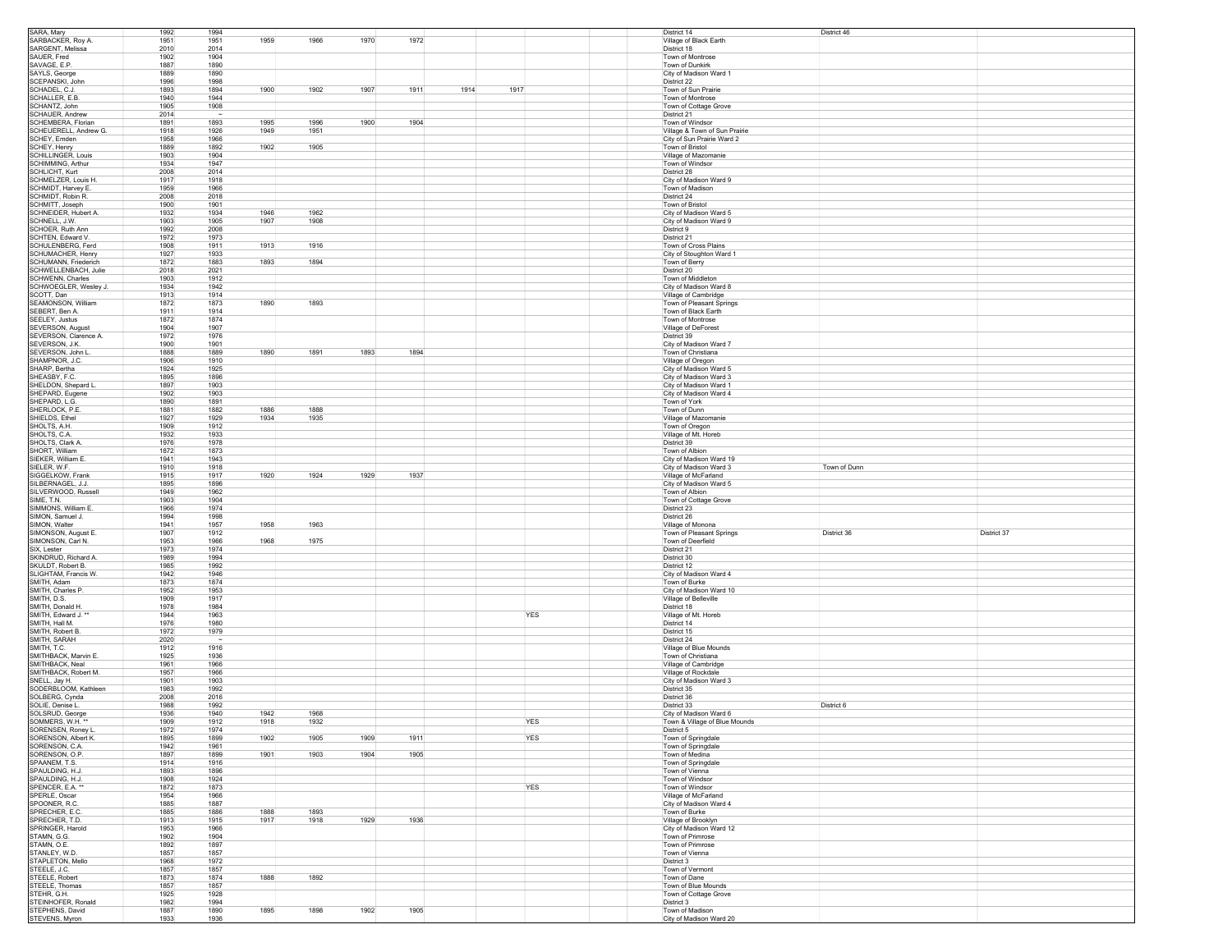| SARA, Mary                                                                                                                                                                                                                                                                                                            | 1992         | 1994         |      |      |      |      |      |            | District 14     |                                            | District 46                   |             |
|-----------------------------------------------------------------------------------------------------------------------------------------------------------------------------------------------------------------------------------------------------------------------------------------------------------------------|--------------|--------------|------|------|------|------|------|------------|-----------------|--------------------------------------------|-------------------------------|-------------|
| SARBACKER, Roy A.                                                                                                                                                                                                                                                                                                     | 1951         | 1951         | 1959 | 1966 | 1970 | 1972 |      |            |                 | Village of Black Earth                     |                               |             |
| SARGENT, Melissa                                                                                                                                                                                                                                                                                                      | 2010         | 2014         |      |      |      |      |      |            | District 18     |                                            |                               |             |
|                                                                                                                                                                                                                                                                                                                       |              |              |      |      |      |      |      |            |                 |                                            |                               |             |
| SAUER, Fred                                                                                                                                                                                                                                                                                                           | 1902         | 1904         |      |      |      |      |      |            |                 | Town of Montrose                           |                               |             |
| SAVAGE, E.P.                                                                                                                                                                                                                                                                                                          | 1887         | 1890         |      |      |      |      |      |            |                 | Town of Dunkirk                            |                               |             |
| SAYLS, George                                                                                                                                                                                                                                                                                                         | 1889         | 1890         |      |      |      |      |      |            |                 | City of Madison Ward 1                     |                               |             |
| SCEPANSKI, John                                                                                                                                                                                                                                                                                                       | 1996         | 1998         |      |      |      |      |      |            | District 22     |                                            |                               |             |
|                                                                                                                                                                                                                                                                                                                       |              |              |      |      |      |      |      |            |                 |                                            |                               |             |
| SCHADEL, C.J.                                                                                                                                                                                                                                                                                                         | 1893         | 1894         | 1900 | 1902 | 1907 | 1911 | 1914 | 1917       |                 | Town of Sun Prairie                        |                               |             |
| <b>SCHALLER, E.B.</b>                                                                                                                                                                                                                                                                                                 | 1940         | 1944         |      |      |      |      |      |            |                 | Town of Montrose                           |                               |             |
| SCHANTZ, John                                                                                                                                                                                                                                                                                                         | 1905         | 1908         |      |      |      |      |      |            |                 | Town of Cottage Grove                      |                               |             |
| <b>SCHAUER, Andrew</b>                                                                                                                                                                                                                                                                                                | 2014         | $\sim$       |      |      |      |      |      |            | District 21     |                                            |                               |             |
| SCHEMBERA, Florian                                                                                                                                                                                                                                                                                                    | 1891         | 1893         | 1995 | 1996 | 1900 | 1904 |      |            |                 | Town of Windsor                            |                               |             |
| SCHEUERELL, Andrew G.                                                                                                                                                                                                                                                                                                 | 1918         | 1926         | 1949 | 1951 |      |      |      |            |                 |                                            |                               |             |
|                                                                                                                                                                                                                                                                                                                       |              |              |      |      |      |      |      |            |                 |                                            | Village & Town of Sun Prairie |             |
| SCHEY, Emden                                                                                                                                                                                                                                                                                                          | 1958         | 1966         |      |      |      |      |      |            |                 | City of Sun Prairie Ward 2                 |                               |             |
| SCHEY, Henry                                                                                                                                                                                                                                                                                                          | 1889         | 1892         | 1902 | 1905 |      |      |      |            | Town of Bristol |                                            |                               |             |
| SCHILLINGER, Louis                                                                                                                                                                                                                                                                                                    | 1903         | 1904         |      |      |      |      |      |            |                 | Village of Mazomanie                       |                               |             |
| <b>SCHIMMING, Arthur</b>                                                                                                                                                                                                                                                                                              |              | 1947         |      |      |      |      |      |            |                 |                                            |                               |             |
|                                                                                                                                                                                                                                                                                                                       | 1934         |              |      |      |      |      |      |            |                 | Town of Windsor                            |                               |             |
| SCHLICHT, Kurt                                                                                                                                                                                                                                                                                                        | 2008         | 2014         |      |      |      |      |      |            | District 28     |                                            |                               |             |
| SCHMELZER, Louis H.                                                                                                                                                                                                                                                                                                   | 1917         | 1918         |      |      |      |      |      |            |                 | City of Madison Ward 9                     |                               |             |
| SCHMIDT, Harvey E.                                                                                                                                                                                                                                                                                                    | 1959         | 1966         |      |      |      |      |      |            |                 | Town of Madison                            |                               |             |
| SCHMIDT, Robin R.                                                                                                                                                                                                                                                                                                     | 2008         | 2018         |      |      |      |      |      |            | District 24     |                                            |                               |             |
| SCHMITT, Joseph                                                                                                                                                                                                                                                                                                       | 1900         | 1901         |      |      |      |      |      |            | Town of Bristol |                                            |                               |             |
| SCHNEIDER, Hubert A.                                                                                                                                                                                                                                                                                                  | 1932         | 1934         | 1946 | 1962 |      |      |      |            |                 | City of Madison Ward 5                     |                               |             |
|                                                                                                                                                                                                                                                                                                                       |              |              |      |      |      |      |      |            |                 |                                            |                               |             |
| SCHNELL, J.W.                                                                                                                                                                                                                                                                                                         | 1903         | 1905         | 1907 | 1908 |      |      |      |            |                 | City of Madison Ward 9                     |                               |             |
| SCHOER, Ruth Ann                                                                                                                                                                                                                                                                                                      | 1992         | 2008         |      |      |      |      |      |            | District 9      |                                            |                               |             |
| SCHTEN, Edward V.                                                                                                                                                                                                                                                                                                     | 1972         | 1973         |      |      |      |      |      |            | District 21     |                                            |                               |             |
| SCHULENBERG, Ferd                                                                                                                                                                                                                                                                                                     | 1908         | 1911         | 1913 | 1916 |      |      |      |            |                 | Town of Cross Plains                       |                               |             |
| SCHUMACHER, Henry                                                                                                                                                                                                                                                                                                     | 1927         | 1933         |      |      |      |      |      |            |                 | City of Stoughton Ward 1                   |                               |             |
|                                                                                                                                                                                                                                                                                                                       |              |              |      |      |      |      |      |            |                 |                                            |                               |             |
| SCHUMANN, Friederich                                                                                                                                                                                                                                                                                                  | 1872         | 1883         | 1893 | 1894 |      |      |      |            | Town of Berry   |                                            |                               |             |
| SCHWELLENBACH, Julie                                                                                                                                                                                                                                                                                                  | 2018         | 2021         |      |      |      |      |      |            | District 20     |                                            |                               |             |
| SCHWENN, Charles                                                                                                                                                                                                                                                                                                      | 1903         | 1912         |      |      |      |      |      |            |                 | Town of Middleton                          |                               |             |
| SCHWOEGLER, Wesley J.                                                                                                                                                                                                                                                                                                 | 1934         | 1942         |      |      |      |      |      |            |                 | City of Madison Ward 8                     |                               |             |
| SCOTT, Dan                                                                                                                                                                                                                                                                                                            | 1913         | 1914         |      |      |      |      |      |            |                 | Village of Cambridge                       |                               |             |
|                                                                                                                                                                                                                                                                                                                       |              |              | 1890 | 1893 |      |      |      |            |                 |                                            |                               |             |
| SEAMONSON, William                                                                                                                                                                                                                                                                                                    | 1872         | 1873         |      |      |      |      |      |            |                 | Town of Pleasant Springs                   |                               |             |
| SEBERT, Ben A.                                                                                                                                                                                                                                                                                                        | 1911         | 1914         |      |      |      |      |      |            |                 | Town of Black Earth                        |                               |             |
| SEELEY, Justus                                                                                                                                                                                                                                                                                                        | 1872         | 1874         |      |      |      |      |      |            |                 | Town of Montrose                           |                               |             |
| SEVERSON, August                                                                                                                                                                                                                                                                                                      | 1904         | 1907         |      |      |      |      |      |            |                 | Village of DeForest                        |                               |             |
| SEVERSON, Clarence A.                                                                                                                                                                                                                                                                                                 | 1972         | 1976         |      |      |      |      |      |            | District 39     |                                            |                               |             |
| SEVERSON, J.K.                                                                                                                                                                                                                                                                                                        |              |              |      |      |      |      |      |            |                 |                                            |                               |             |
|                                                                                                                                                                                                                                                                                                                       | 1900         | 1901         |      |      |      |      |      |            |                 | City of Madison Ward 7                     |                               |             |
| SEVERSON John L                                                                                                                                                                                                                                                                                                       | 1888         | 1889         | 1890 | 1891 | 1893 | 1894 |      |            |                 | Town of Christiana                         |                               |             |
| SHAMPNOR, J.C.                                                                                                                                                                                                                                                                                                        | 1906         | 1910         |      |      |      |      |      |            |                 | Village of Oregon                          |                               |             |
| SHARP Bertha                                                                                                                                                                                                                                                                                                          | 1924         | 1925         |      |      |      |      |      |            |                 | City of Madison Ward 5                     |                               |             |
| SHEASBY, F.C.                                                                                                                                                                                                                                                                                                         | 1895         | 1896         |      |      |      |      |      |            |                 | City of Madison Ward 3                     |                               |             |
| SHELDON, Shepard L.                                                                                                                                                                                                                                                                                                   | 1897         | 1903         |      |      |      |      |      |            |                 | City of Madison Ward 1                     |                               |             |
|                                                                                                                                                                                                                                                                                                                       |              |              |      |      |      |      |      |            |                 |                                            |                               |             |
| SHEPARD, Eugene                                                                                                                                                                                                                                                                                                       | 1902         | 1903         |      |      |      |      |      |            |                 | City of Madison Ward 4                     |                               |             |
| SHEPARD I G                                                                                                                                                                                                                                                                                                           | 1890         | 1891         |      |      |      |      |      |            | Town of York    |                                            |                               |             |
| SHERLOCK, P.E                                                                                                                                                                                                                                                                                                         | 1881         | 1882         | 1886 | 1888 |      |      |      |            | Town of Dunn    |                                            |                               |             |
| SHIELDS, Ethel                                                                                                                                                                                                                                                                                                        | 1927         | 1929         | 1934 | 1935 |      |      |      |            |                 | Village of Mazomanie                       |                               |             |
| SHOLTS, A.H.                                                                                                                                                                                                                                                                                                          | 1909         | 1912         |      |      |      |      |      |            |                 | Town of Oregon                             |                               |             |
| SHOLTS, C.A.                                                                                                                                                                                                                                                                                                          | 1932         | 1933         |      |      |      |      |      |            |                 | Village of Mt. Horeb                       |                               |             |
|                                                                                                                                                                                                                                                                                                                       |              |              |      |      |      |      |      |            |                 |                                            |                               |             |
| SHOLTS, Clark A.                                                                                                                                                                                                                                                                                                      | 1976         | 1978         |      |      |      |      |      |            | District 39     |                                            |                               |             |
| SHORT, William                                                                                                                                                                                                                                                                                                        | 1872         | 1873         |      |      |      |      |      |            | Town of Albion  |                                            |                               |             |
| SIEKER, William E.                                                                                                                                                                                                                                                                                                    | 1941         | 1943         |      |      |      |      |      |            |                 | City of Madison Ward 19                    |                               |             |
| SIELER, W.F.                                                                                                                                                                                                                                                                                                          | 1910         | 1918         |      |      |      |      |      |            |                 | City of Madison Ward 3                     | Town of Dunn                  |             |
| SIGGELKOW, Frank                                                                                                                                                                                                                                                                                                      | 1915         | 1917         | 1920 | 1924 | 1929 | 1937 |      |            |                 |                                            |                               |             |
|                                                                                                                                                                                                                                                                                                                       |              |              |      |      |      |      |      |            |                 |                                            |                               |             |
|                                                                                                                                                                                                                                                                                                                       |              |              |      |      |      |      |      |            |                 | Village of McFarland                       |                               |             |
|                                                                                                                                                                                                                                                                                                                       | 1895         | 1896         |      |      |      |      |      |            |                 | City of Madison Ward 5                     |                               |             |
|                                                                                                                                                                                                                                                                                                                       | 1949         | 1962         |      |      |      |      |      |            | Town of Albion  |                                            |                               |             |
|                                                                                                                                                                                                                                                                                                                       | 1903         | 1904         |      |      |      |      |      |            |                 | Town of Cottage Grove                      |                               |             |
|                                                                                                                                                                                                                                                                                                                       | 1966         | 1974         |      |      |      |      |      |            | District 23     |                                            |                               |             |
|                                                                                                                                                                                                                                                                                                                       |              |              |      |      |      |      |      |            |                 |                                            |                               |             |
| SILBERNAGEL, J.J.<br>SILVERWOOD, Russell<br>SIME, T.N.<br>SIMMONS, William E.<br>SIMON, Samuel J.                                                                                                                                                                                                                     | 1994         | 1998         |      |      |      |      |      |            | District 26     |                                            |                               |             |
|                                                                                                                                                                                                                                                                                                                       | 1941         | 1957         | 1958 | 1963 |      |      |      |            |                 | Village of Monona                          |                               |             |
|                                                                                                                                                                                                                                                                                                                       | 1907         | 1912         |      |      |      |      |      |            |                 | Town of Pleasant Springs                   | District 36                   | District 37 |
|                                                                                                                                                                                                                                                                                                                       | 1953         | 1966         | 1968 | 1975 |      |      |      |            |                 | Town of Deerfield                          |                               |             |
| SIMON, Walter<br>SIMONSON, August E.<br>SIMONSON, Carl N.<br>SIX, Lester                                                                                                                                                                                                                                              | 1973         | 1974         |      |      |      |      |      |            | District 21     |                                            |                               |             |
| SKINDRUD, Richard A.                                                                                                                                                                                                                                                                                                  | 1989         | 1994         |      |      |      |      |      |            | District 30     |                                            |                               |             |
|                                                                                                                                                                                                                                                                                                                       |              |              |      |      |      |      |      |            |                 |                                            |                               |             |
|                                                                                                                                                                                                                                                                                                                       | 1985         | 1992         |      |      |      |      |      |            | District 12     |                                            |                               |             |
|                                                                                                                                                                                                                                                                                                                       | 1942         | 1946         |      |      |      |      |      |            |                 | City of Madison Ward 4                     |                               |             |
|                                                                                                                                                                                                                                                                                                                       | 1873         | 1874         |      |      |      |      |      |            | Town of Burke   |                                            |                               |             |
|                                                                                                                                                                                                                                                                                                                       | 1952         | 1953         |      |      |      |      |      |            |                 | City of Madison Ward 10                    |                               |             |
|                                                                                                                                                                                                                                                                                                                       | 1909         | 1917         |      |      |      |      |      |            |                 | Village of Belleville                      |                               |             |
| SKULDT, Robert B.<br>SLIGHTAM, Francis W.<br>SMITH, Adam<br>SMITH, Charles P<br>SMITH, D.S.<br>SMITH, Donald H.                                                                                                                                                                                                       | 1978         | 1984         |      |      |      |      |      |            | District 18     |                                            |                               |             |
|                                                                                                                                                                                                                                                                                                                       |              |              |      |      |      |      |      |            |                 |                                            |                               |             |
|                                                                                                                                                                                                                                                                                                                       | 1944         | 1963         |      |      |      |      |      | YES        |                 | Village of Mt. Horeb                       |                               |             |
|                                                                                                                                                                                                                                                                                                                       | 1976         | 1980         |      |      |      |      |      |            | District 14     |                                            |                               |             |
|                                                                                                                                                                                                                                                                                                                       | 1972         | 1979         |      |      |      |      |      |            | District 15     |                                            |                               |             |
| SMITH, Edward J. **<br>SMITH, Hall M.<br>SMITH, Robert B.<br>SMITH SARAH                                                                                                                                                                                                                                              | 2020         | $\sim$       |      |      |      |      |      |            | District 24     |                                            |                               |             |
|                                                                                                                                                                                                                                                                                                                       | 1912         | 1916         |      |      |      |      |      |            |                 | Village of Blue Mounds                     |                               |             |
| SMITH, T.C.<br>SMITHBACK, Marvin E.                                                                                                                                                                                                                                                                                   | 1925         | 1936         |      |      |      |      |      |            |                 | Town of Christiana                         |                               |             |
| SMITHBACK, Neal                                                                                                                                                                                                                                                                                                       | 1961         | 1966         |      |      |      |      |      |            |                 |                                            |                               |             |
|                                                                                                                                                                                                                                                                                                                       |              |              |      |      |      |      |      |            |                 | Village of Cambridge                       |                               |             |
|                                                                                                                                                                                                                                                                                                                       | 1957         | 1966         |      |      |      |      |      |            |                 | Village of Rockdale                        |                               |             |
|                                                                                                                                                                                                                                                                                                                       | 1901         | 1903         |      |      |      |      |      |            |                 | City of Madison Ward 3                     |                               |             |
| SMITHBACK, Robert M.<br>SNELL, Jay H.<br>SODERBLOOM, Kathleen                                                                                                                                                                                                                                                         | 1983         | 1992         |      |      |      |      |      |            | District 35     |                                            |                               |             |
| SOLBERG, Cynda                                                                                                                                                                                                                                                                                                        | 2008         | 2016         |      |      |      |      |      |            | District 36     |                                            |                               |             |
|                                                                                                                                                                                                                                                                                                                       |              |              |      |      |      |      |      |            |                 |                                            |                               |             |
| SOLIE, Denise L.                                                                                                                                                                                                                                                                                                      | 1988<br>1936 | 1992<br>1940 | 1942 | 1968 |      |      |      |            | District 33     | City of Madison Ward 6                     | District 6                    |             |
| SOLSRUD, George                                                                                                                                                                                                                                                                                                       |              |              |      |      |      |      |      |            |                 |                                            |                               |             |
|                                                                                                                                                                                                                                                                                                                       | 1909         | 1912         | 1918 | 1932 |      |      |      | <b>YES</b> |                 |                                            | Town & Village of Blue Mounds |             |
|                                                                                                                                                                                                                                                                                                                       | 1972         | 1974         |      |      |      |      |      |            | District 5      |                                            |                               |             |
|                                                                                                                                                                                                                                                                                                                       | 1895         | 1899         | 1902 | 1905 | 1909 | 1911 |      | YES        |                 | Town of Springdale                         |                               |             |
|                                                                                                                                                                                                                                                                                                                       | 1942         | 1961         |      |      |      |      |      |            |                 | Town of Springdale                         |                               |             |
|                                                                                                                                                                                                                                                                                                                       | 1897         | 1899         | 1901 | 1903 | 1904 | 1905 |      |            |                 | Town of Medina                             |                               |             |
|                                                                                                                                                                                                                                                                                                                       | 1914         | 1916         |      |      |      |      |      |            |                 |                                            |                               |             |
|                                                                                                                                                                                                                                                                                                                       |              |              |      |      |      |      |      |            |                 | Town of Springdale                         |                               |             |
|                                                                                                                                                                                                                                                                                                                       | 1893         | 1896         |      |      |      |      |      |            |                 | Town of Vienna                             |                               |             |
|                                                                                                                                                                                                                                                                                                                       | 1908         | 1924         |      |      |      |      |      |            |                 | Town of Windsor                            |                               |             |
|                                                                                                                                                                                                                                                                                                                       | 1872         | 1873         |      |      |      |      |      | YES        |                 | Town of Windsor                            |                               |             |
|                                                                                                                                                                                                                                                                                                                       | 1954         | 1966         |      |      |      |      |      |            |                 | Village of McFarland                       |                               |             |
|                                                                                                                                                                                                                                                                                                                       | 1885         | 1887         |      |      |      |      |      |            |                 | City of Madison Ward 4                     |                               |             |
|                                                                                                                                                                                                                                                                                                                       | 1885         | 1886         | 1888 | 1893 |      |      |      |            |                 |                                            |                               |             |
|                                                                                                                                                                                                                                                                                                                       |              |              |      |      |      |      |      |            | Town of Burke   |                                            |                               |             |
|                                                                                                                                                                                                                                                                                                                       | 1913         | 1915         | 1917 | 1918 | 1929 | 1936 |      |            |                 | Village of Brooklyn                        |                               |             |
|                                                                                                                                                                                                                                                                                                                       | 1953         | 1966         |      |      |      |      |      |            |                 | City of Madison Ward 12                    |                               |             |
|                                                                                                                                                                                                                                                                                                                       | 1902         | 1904         |      |      |      |      |      |            |                 | Town of Primrose                           |                               |             |
|                                                                                                                                                                                                                                                                                                                       | 1892         | 1897         |      |      |      |      |      |            |                 | Town of Primrose                           |                               |             |
| SOMMERS, W.H. **<br>SORENSEN, Roney L.<br>SORENSON, Albert K.<br>SORENSON, C.A.<br>SORENSON, O.P.<br>SPAANEM, T.S.<br>SPAULDING, H.J.<br>SPAULDING, H.J.<br>SPENCER, E.A. **<br>SPERLE, Oscar<br>SPOONER, R.C.<br>SPRECHER, E.C.<br>SPRECHER, T.D.<br>SPRINGER, Harold<br>STAMN, G.G.<br>STAMN, O.E.<br>STANLEY, W.D. | 1857         | 1857         |      |      |      |      |      |            |                 | Town of Vienna                             |                               |             |
| STAPLETON, Mello                                                                                                                                                                                                                                                                                                      | 1968         | 1972         |      |      |      |      |      |            | District 3      |                                            |                               |             |
|                                                                                                                                                                                                                                                                                                                       |              |              |      |      |      |      |      |            |                 |                                            |                               |             |
| STEELE, J.C.                                                                                                                                                                                                                                                                                                          | 1857         | 1857         |      |      |      |      |      |            |                 | Town of Vermont                            |                               |             |
| STEELE, Robert                                                                                                                                                                                                                                                                                                        | 1873         | 1874         | 1888 | 1892 |      |      |      |            | Town of Dane    |                                            |                               |             |
| STEELE, Thomas                                                                                                                                                                                                                                                                                                        | 1857         | 1857         |      |      |      |      |      |            |                 | Town of Blue Mounds                        |                               |             |
| STEHR, G.H.                                                                                                                                                                                                                                                                                                           | 1925         | 1928         |      |      |      |      |      |            |                 | Town of Cottage Grove                      |                               |             |
| STEINHOFER, Ronald                                                                                                                                                                                                                                                                                                    | 1982         | 1994         |      |      |      |      |      |            | District 3      |                                            |                               |             |
| STEPHENS, David<br>STEVENS, Myron                                                                                                                                                                                                                                                                                     | 1887<br>1933 | 1890<br>1936 | 1895 | 1898 | 1902 | 1905 |      |            |                 | Town of Madison<br>City of Madison Ward 20 |                               |             |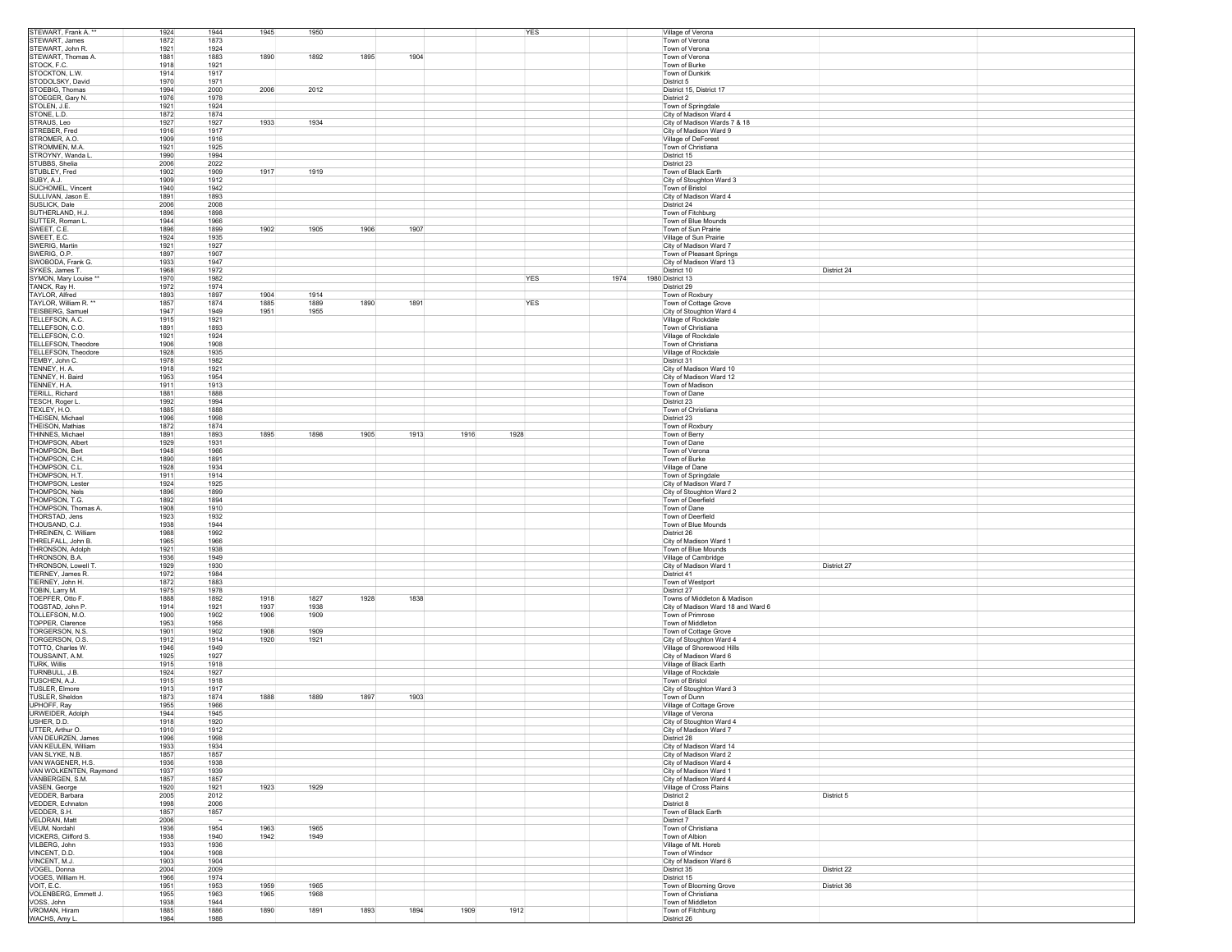| STEWART, Frank A. **                                                                                                                                                                                                                                                                                                                                                                                                           | 1924         | 1944<br>1945         | 1950 |              |      | YES  |      | Village of Verona                                                  |             |
|--------------------------------------------------------------------------------------------------------------------------------------------------------------------------------------------------------------------------------------------------------------------------------------------------------------------------------------------------------------------------------------------------------------------------------|--------------|----------------------|------|--------------|------|------|------|--------------------------------------------------------------------|-------------|
| STEWART, James                                                                                                                                                                                                                                                                                                                                                                                                                 | 1872         | 1873                 |      |              |      |      |      | Town of Verona                                                     |             |
| STEWART, John R.                                                                                                                                                                                                                                                                                                                                                                                                               | 1921         | 1924                 |      |              |      |      |      | Town of Verona                                                     |             |
| STEWART, Thomas A.                                                                                                                                                                                                                                                                                                                                                                                                             | 1881         | 1890<br>1883         | 1892 | 1895<br>1904 |      |      |      | Town of Verona                                                     |             |
| STOCK, F.C.                                                                                                                                                                                                                                                                                                                                                                                                                    | 1918         | 1921                 |      |              |      |      |      | Town of Burke                                                      |             |
| STOCKTON, L.W.                                                                                                                                                                                                                                                                                                                                                                                                                 | 1914         | 1917                 |      |              |      |      |      | Town of Dunkirk                                                    |             |
| STODOLSKY, David                                                                                                                                                                                                                                                                                                                                                                                                               | 1970         | 1971                 |      |              |      |      |      | District 5                                                         |             |
| STOEBIG, Thomas                                                                                                                                                                                                                                                                                                                                                                                                                | 1994         | 2006<br>2000         | 2012 |              |      |      |      | District 15, District 17                                           |             |
| STOEGER, Gary N.                                                                                                                                                                                                                                                                                                                                                                                                               | 1976         | 1978                 |      |              |      |      |      | District 2                                                         |             |
| STOLEN, J.E.                                                                                                                                                                                                                                                                                                                                                                                                                   | 1921         | 1924                 |      |              |      |      |      | Town of Springdale                                                 |             |
| STONE, L.D.                                                                                                                                                                                                                                                                                                                                                                                                                    | 1872         | 1874                 |      |              |      |      |      | City of Madison Ward 4                                             |             |
| STRAUS, Leo                                                                                                                                                                                                                                                                                                                                                                                                                    | 1927         | 1927<br>1933         | 1934 |              |      |      |      | City of Madison Wards 7 & 18                                       |             |
| STREBER, Fred                                                                                                                                                                                                                                                                                                                                                                                                                  | 1916         | 1917                 |      |              |      |      |      | City of Madison Ward 9                                             |             |
| STROMER, A.O.                                                                                                                                                                                                                                                                                                                                                                                                                  | 1909         | 1916                 |      |              |      |      |      | Village of DeForest                                                |             |
| STROMMEN, M.A                                                                                                                                                                                                                                                                                                                                                                                                                  | 1921         | 1925                 |      |              |      |      |      | Town of Christiana                                                 |             |
| STROYNY, Wanda L.                                                                                                                                                                                                                                                                                                                                                                                                              | 1990         | 1994                 |      |              |      |      |      | District 15                                                        |             |
| STUBBS, Shelia                                                                                                                                                                                                                                                                                                                                                                                                                 | 2006         | 2022                 |      |              |      |      |      | District 23                                                        |             |
| STUBLEY, Fred                                                                                                                                                                                                                                                                                                                                                                                                                  | 1902         | 1917<br>1909         | 1919 |              |      |      |      | Town of Black Earth                                                |             |
| SUBY, A.J.                                                                                                                                                                                                                                                                                                                                                                                                                     | 1909         | 1912                 |      |              |      |      |      | City of Stoughton Ward 3                                           |             |
| SUCHOMEL, Vincent                                                                                                                                                                                                                                                                                                                                                                                                              | 1940         | 1942                 |      |              |      |      |      | Town of Bristol                                                    |             |
| SULLIVAN, Jason E.                                                                                                                                                                                                                                                                                                                                                                                                             | 1891         | 1893                 |      |              |      |      |      | City of Madison Ward 4                                             |             |
| SUSLICK, Dale                                                                                                                                                                                                                                                                                                                                                                                                                  | 2006         | 2008                 |      |              |      |      |      | District 24                                                        |             |
| SUTHERLAND, H.J.                                                                                                                                                                                                                                                                                                                                                                                                               | 1896         | 1898                 |      |              |      |      |      | Town of Fitchburg                                                  |             |
| SUTTER, Roman L.                                                                                                                                                                                                                                                                                                                                                                                                               | 1944         | 1966                 |      |              |      |      |      | Town of Blue Mounds                                                |             |
| SWEET, C.E.                                                                                                                                                                                                                                                                                                                                                                                                                    | 1896         | 1899<br>1902         | 1905 | 1906<br>1907 |      |      |      | Town of Sun Prairie                                                |             |
|                                                                                                                                                                                                                                                                                                                                                                                                                                |              |                      |      |              |      |      |      |                                                                    |             |
| SWEET, E.C.                                                                                                                                                                                                                                                                                                                                                                                                                    | 1924         | 1935                 |      |              |      |      |      | Village of Sun Prairie                                             |             |
| SWERIG, Martin                                                                                                                                                                                                                                                                                                                                                                                                                 | 1921         | 1927                 |      |              |      |      |      | City of Madison Ward 7                                             |             |
| SWERIG, O.P.                                                                                                                                                                                                                                                                                                                                                                                                                   | 1897<br>1933 | 1907                 |      |              |      |      |      | Town of Pleasant Springs                                           |             |
| SWOBODA, Frank G.                                                                                                                                                                                                                                                                                                                                                                                                              |              | 1947                 |      |              |      |      |      | City of Madison Ward 13                                            |             |
| SYKES, James T.                                                                                                                                                                                                                                                                                                                                                                                                                | 1968         | 1972                 |      |              |      |      |      | District 10                                                        | District 24 |
| "* SYMON, Mary Louise                                                                                                                                                                                                                                                                                                                                                                                                          | 1970         | 1982                 |      |              |      | YES  | 1974 | 1980 District 13                                                   |             |
| TANCK, Ray H.                                                                                                                                                                                                                                                                                                                                                                                                                  | 1972         | 1974                 |      |              |      |      |      | District 29                                                        |             |
| TAYLOR, Alfred                                                                                                                                                                                                                                                                                                                                                                                                                 | 1893         | 1897<br>1904         | 1914 |              |      |      |      | Town of Roxbury                                                    |             |
| TAYLOR, William R. **                                                                                                                                                                                                                                                                                                                                                                                                          | 1857         | 1874<br>1885         | 1889 | 1890<br>1891 |      | YES  |      | Town of Cottage Grove                                              |             |
| TEISBERG, Samuel                                                                                                                                                                                                                                                                                                                                                                                                               | 1947         | 1949<br>1951         | 1955 |              |      |      |      | City of Stoughton Ward 4                                           |             |
| TELLEFSON, A.C.                                                                                                                                                                                                                                                                                                                                                                                                                | 1915         | 1921                 |      |              |      |      |      | Village of Rockdale                                                |             |
| TELLEFSON, C.O.                                                                                                                                                                                                                                                                                                                                                                                                                | 1891         | 1893                 |      |              |      |      |      | Town of Christiana                                                 |             |
| TELLEFSON, C.O.                                                                                                                                                                                                                                                                                                                                                                                                                | 1921         | 1924                 |      |              |      |      |      | Village of Rockdale                                                |             |
| TELLEFSON, Theodore                                                                                                                                                                                                                                                                                                                                                                                                            | 1906         | 1908                 |      |              |      |      |      | Town of Christiana                                                 |             |
| TELLEFSON, Theodore                                                                                                                                                                                                                                                                                                                                                                                                            | 1928         | 1935                 |      |              |      |      |      | Village of Rockdale                                                |             |
| TEMBY, John C.                                                                                                                                                                                                                                                                                                                                                                                                                 | 1978         | 1982                 |      |              |      |      |      | District 31                                                        |             |
| TENNEY, H. A.                                                                                                                                                                                                                                                                                                                                                                                                                  | 1918         | 1921                 |      |              |      |      |      | City of Madison Ward 10                                            |             |
| TENNEY, H. Baird                                                                                                                                                                                                                                                                                                                                                                                                               | 1953         | 1954                 |      |              |      |      |      | City of Madison Ward 12                                            |             |
| TENNEY, H.A.                                                                                                                                                                                                                                                                                                                                                                                                                   | 1911         | 1913                 |      |              |      |      |      | Town of Madison                                                    |             |
| TERILL, Richard                                                                                                                                                                                                                                                                                                                                                                                                                | 1881         | 1888                 |      |              |      |      |      | Town of Dane                                                       |             |
| TESCH, Roger L.                                                                                                                                                                                                                                                                                                                                                                                                                | 1992         | 1994                 |      |              |      |      |      | District 23                                                        |             |
| TEXLEY, H.O.                                                                                                                                                                                                                                                                                                                                                                                                                   | 1885         | 1888                 |      |              |      |      |      | Town of Christiana                                                 |             |
| THEISEN, Michael                                                                                                                                                                                                                                                                                                                                                                                                               | 1996         | 1998                 |      |              |      |      |      | District 23                                                        |             |
| THEISON, Mathias                                                                                                                                                                                                                                                                                                                                                                                                               | 1872         | 1874                 |      |              |      |      |      | Town of Roxbury                                                    |             |
| THINNES, Michael                                                                                                                                                                                                                                                                                                                                                                                                               | 1891         | 1893<br>1895         | 1898 | 1905<br>1913 | 1916 | 1928 |      | Town of Berry                                                      |             |
| THOMPSON, Albert                                                                                                                                                                                                                                                                                                                                                                                                               | 1929         | 1931                 |      |              |      |      |      | Town of Dane                                                       |             |
| THOMPSON, Bert                                                                                                                                                                                                                                                                                                                                                                                                                 | 1948         | 1966                 |      |              |      |      |      |                                                                    |             |
|                                                                                                                                                                                                                                                                                                                                                                                                                                |              |                      |      |              |      |      |      | Town of Verona                                                     |             |
| THOMPSON, C.H.                                                                                                                                                                                                                                                                                                                                                                                                                 | 1890         | 1891                 |      |              |      |      |      | Town of Burke                                                      |             |
| THOMPSON, C.L.                                                                                                                                                                                                                                                                                                                                                                                                                 | 1928         | 1934                 |      |              |      |      |      | Village of Dane                                                    |             |
| THOMPSON, H.T.                                                                                                                                                                                                                                                                                                                                                                                                                 | 1911         | 1914                 |      |              |      |      |      | Town of Springdale                                                 |             |
| <b>THOMPSON, Lester</b>                                                                                                                                                                                                                                                                                                                                                                                                        | 1924         | 1925                 |      |              |      |      |      | City of Madison Ward 7                                             |             |
| THOMPSON, Nels                                                                                                                                                                                                                                                                                                                                                                                                                 | 1896         | 1899                 |      |              |      |      |      | City of Stoughton Ward 2                                           |             |
| THOMPSON, T.G.                                                                                                                                                                                                                                                                                                                                                                                                                 | 1892         | 1894                 |      |              |      |      |      | Town of Deerfield                                                  |             |
| THOMPSON, Thomas A.                                                                                                                                                                                                                                                                                                                                                                                                            | 1908         | 1910                 |      |              |      |      |      | Town of Dane                                                       |             |
| THORSTAD, Jens                                                                                                                                                                                                                                                                                                                                                                                                                 | 1923         | 1932                 |      |              |      |      |      | Town of Deerfield                                                  |             |
| THOUSAND, C.J.                                                                                                                                                                                                                                                                                                                                                                                                                 | 1938         | 1944                 |      |              |      |      |      | Town of Blue Mounds                                                |             |
| THREINEN, C. William                                                                                                                                                                                                                                                                                                                                                                                                           | 1988         | 1992                 |      |              |      |      |      | District 26                                                        |             |
| THRELFALL, John B.                                                                                                                                                                                                                                                                                                                                                                                                             | 1965         | 1966                 |      |              |      |      |      | City of Madison Ward 1                                             |             |
| THRONSON, Adolph                                                                                                                                                                                                                                                                                                                                                                                                               |              |                      |      |              |      |      |      |                                                                    |             |
|                                                                                                                                                                                                                                                                                                                                                                                                                                | 1921         | 1938                 |      |              |      |      |      | Town of Blue Mounds                                                |             |
|                                                                                                                                                                                                                                                                                                                                                                                                                                | 1936         | 1949                 |      |              |      |      |      | Village of Cambridge                                               |             |
| THRONSON, B.A.<br>THRONSON, Lowell T.                                                                                                                                                                                                                                                                                                                                                                                          | 1929         | 1930                 |      |              |      |      |      | City of Madison Ward 1                                             | District 27 |
| TIERNEY, James R.                                                                                                                                                                                                                                                                                                                                                                                                              | 1972         | 1984                 |      |              |      |      |      | District 41                                                        |             |
|                                                                                                                                                                                                                                                                                                                                                                                                                                | 1872         | 1883                 |      |              |      |      |      |                                                                    |             |
| TIERNEY, John H.                                                                                                                                                                                                                                                                                                                                                                                                               |              |                      |      |              |      |      |      | Town of Westport                                                   |             |
| TOBIN, Larry M.<br>TOEPFER, Otto F                                                                                                                                                                                                                                                                                                                                                                                             | 1975<br>1888 | 1978<br>1918<br>1892 | 1827 | 1838<br>1928 |      |      |      | District 27                                                        |             |
| TOGSTAD, John P.                                                                                                                                                                                                                                                                                                                                                                                                               | 1914         | 1921<br>1937         | 1938 |              |      |      |      | Towns of Middleton & Madison<br>City of Madison Ward 18 and Ward 6 |             |
| TOLLEFSON, M.O.                                                                                                                                                                                                                                                                                                                                                                                                                | 1900         |                      |      |              |      |      |      |                                                                    |             |
|                                                                                                                                                                                                                                                                                                                                                                                                                                |              | 1902<br>1906         | 1909 |              |      |      |      | Town of Primrose                                                   |             |
| TOPPER, Clarence                                                                                                                                                                                                                                                                                                                                                                                                               | 1953         | 1956                 |      |              |      |      |      | Town of Middleton                                                  |             |
| TORGERSON, N.S.                                                                                                                                                                                                                                                                                                                                                                                                                | 1901         | 1902<br>1908         | 1909 |              |      |      |      | Town of Cottage Grove                                              |             |
| TORGERSON, O.S.                                                                                                                                                                                                                                                                                                                                                                                                                | 1912         | 1914<br>1920         | 1921 |              |      |      |      | City of Stoughton Ward 4                                           |             |
| TOTTO, Charles W.                                                                                                                                                                                                                                                                                                                                                                                                              | 1946         | 1949                 |      |              |      |      |      | Village of Shorewood Hills                                         |             |
| TOUSSAINT, A.M.                                                                                                                                                                                                                                                                                                                                                                                                                | 1925         | 1927                 |      |              |      |      |      | City of Madison Ward 6                                             |             |
| TURK, Willis                                                                                                                                                                                                                                                                                                                                                                                                                   | 1915         | 1918                 |      |              |      |      |      | Village of Black Earth                                             |             |
| TURNBULL, J.B.                                                                                                                                                                                                                                                                                                                                                                                                                 | 1924         | 1927                 |      |              |      |      |      | Village of Rockdale                                                |             |
| TUSCHEN, A.J.                                                                                                                                                                                                                                                                                                                                                                                                                  | 1915         | 1918                 |      |              |      |      |      | Town of Bristol                                                    |             |
| <b>TUSLER, Elmore</b>                                                                                                                                                                                                                                                                                                                                                                                                          | 1913         | 1917                 |      |              |      |      |      | City of Stoughton Ward 3                                           |             |
| <b>TUSLER, Sheldon</b>                                                                                                                                                                                                                                                                                                                                                                                                         | 1873         | 1888<br>1874         | 1889 | 1897<br>1903 |      |      |      | Town of Dunn                                                       |             |
|                                                                                                                                                                                                                                                                                                                                                                                                                                | 1955         | 1966                 |      |              |      |      |      | Village of Cottage Grove                                           |             |
|                                                                                                                                                                                                                                                                                                                                                                                                                                | 1944         | 1945                 |      |              |      |      |      | Village of Verona                                                  |             |
|                                                                                                                                                                                                                                                                                                                                                                                                                                | 1918         | 1920                 |      |              |      |      |      | City of Stoughton Ward 4                                           |             |
|                                                                                                                                                                                                                                                                                                                                                                                                                                | 1910         | 1912                 |      |              |      |      |      | City of Madison Ward 7                                             |             |
|                                                                                                                                                                                                                                                                                                                                                                                                                                | 1996         | 1998                 |      |              |      |      |      | District 28                                                        |             |
|                                                                                                                                                                                                                                                                                                                                                                                                                                | 1933         | 1934                 |      |              |      |      |      | City of Madison Ward 14                                            |             |
|                                                                                                                                                                                                                                                                                                                                                                                                                                | 1857         | 1857                 |      |              |      |      |      | City of Madison Ward 2                                             |             |
|                                                                                                                                                                                                                                                                                                                                                                                                                                | 1936         | 1938                 |      |              |      |      |      | City of Madison Ward 4                                             |             |
|                                                                                                                                                                                                                                                                                                                                                                                                                                | 1937         | 1939                 |      |              |      |      |      | City of Madison Ward 1                                             |             |
|                                                                                                                                                                                                                                                                                                                                                                                                                                | 1857         | 1857                 |      |              |      |      |      | City of Madison Ward 4                                             |             |
|                                                                                                                                                                                                                                                                                                                                                                                                                                | 1920         | 1923<br>1921         | 1929 |              |      |      |      | Village of Cross Plains                                            |             |
|                                                                                                                                                                                                                                                                                                                                                                                                                                | 2005         | 2012                 |      |              |      |      |      | District 2                                                         | District 5  |
|                                                                                                                                                                                                                                                                                                                                                                                                                                | 1998         | 2006                 |      |              |      |      |      | District 8                                                         |             |
|                                                                                                                                                                                                                                                                                                                                                                                                                                | 1857         | 1857                 |      |              |      |      |      | Town of Black Earth                                                |             |
|                                                                                                                                                                                                                                                                                                                                                                                                                                | 2006         | $\sim$               |      |              |      |      |      | District 7                                                         |             |
|                                                                                                                                                                                                                                                                                                                                                                                                                                | 1936         | 1954<br>1963         | 1965 |              |      |      |      | Town of Christiana                                                 |             |
|                                                                                                                                                                                                                                                                                                                                                                                                                                | 1938         | 1940<br>1942         | 1949 |              |      |      |      | Town of Albion                                                     |             |
|                                                                                                                                                                                                                                                                                                                                                                                                                                | 1933         | 1936                 |      |              |      |      |      | Village of Mt. Horeb                                               |             |
|                                                                                                                                                                                                                                                                                                                                                                                                                                |              |                      |      |              |      |      |      | Town of Windsor                                                    |             |
|                                                                                                                                                                                                                                                                                                                                                                                                                                | 1904<br>1903 | 1908<br>1904         |      |              |      |      |      | City of Madison Ward 6                                             |             |
|                                                                                                                                                                                                                                                                                                                                                                                                                                |              |                      |      |              |      |      |      |                                                                    |             |
|                                                                                                                                                                                                                                                                                                                                                                                                                                | 2004         | 2009                 |      |              |      |      |      | District 35                                                        | District 22 |
| UPHOFF, Ray<br>URWEIDER, Adolph<br>USHER, D.D.<br>UTTER, Arthur O.<br>VAN DEURZEN, James<br>VAN KEULEN, William<br>VAN SLYKE, N.B.<br>VAN WAGENER, H.S.<br>VAN WOLKENTEN, Raymond<br>VANBERGEN, S.M.<br>VASEN, George<br>VEDDER, Barbara<br>VEDDER, Echnaton<br>VEDDER, S.H.<br>VELDRAN, Matt<br>VEUM, Nordahl<br>VICKERS, Clifford S.<br>VILBERG, John<br>VINCENT, D.D.<br>VINCENT, M.J.<br>VOGEL, Donna<br>VOGES, William H. | 1966         | 1974                 |      |              |      |      |      | District 15                                                        |             |
| VOIT, E.C.                                                                                                                                                                                                                                                                                                                                                                                                                     | 1951         | 1959<br>1953         | 1965 |              |      |      |      | Town of Blooming Grove                                             | District 36 |
| VOLENBERG, Emmett J.                                                                                                                                                                                                                                                                                                                                                                                                           | 1955         | 1963<br>1965         | 1968 |              |      |      |      | Town of Christiana                                                 |             |
| VOSS, John<br><b>VROMAN, Hiram</b>                                                                                                                                                                                                                                                                                                                                                                                             | 1938<br>1885 | 1944<br>1886<br>1890 | 1891 | 1893<br>1894 | 1909 | 1912 |      | Town of Middleton<br>Town of Fitchburg                             |             |